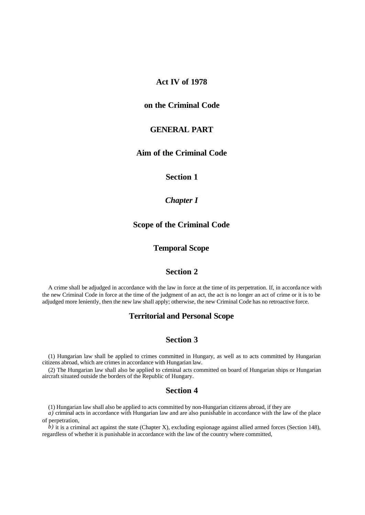## **Act IV of 1978**

# **on the Criminal Code**

### **GENERAL PART**

# **Aim of the Criminal Code**

#### **Section 1**

# *Chapter I*

## **Scope of the Criminal Code**

# **Temporal Scope**

# **Section 2**

A crime shall be adjudged in accordance with the law in force at the time of its perpetration. If, in accorda nce with the new Criminal Code in force at the time of the judgment of an act, the act is no longer an act of crime or it is to be adjudged more leniently, then the new law shall apply; otherwise, the new Criminal Code has no retroactive force.

#### **Territorial and Personal Scope**

# **Section 3**

(1) Hungarian law shall be applied to crimes committed in Hungary, as well as to acts committed by Hungarian citizens abroad, which are crimes in accordance with Hungarian law.

(2) The Hungarian law shall also be applied to criminal acts committed on board of Hungarian ships or Hungarian aircraft situated outside the borders of the Republic of Hungary.

#### **Section 4**

(1) Hungarian law shall also be applied to acts committed by non-Hungarian citizens abroad, if they are

*a)* criminal acts in accordance with Hungarian law and are also punishable in accordance with the law of the place of perpetration,

*b*) it is a criminal act against the state (Chapter X), excluding espionage against allied armed forces (Section 148), regardless of whether it is punishable in accordance with the law of the country where committed,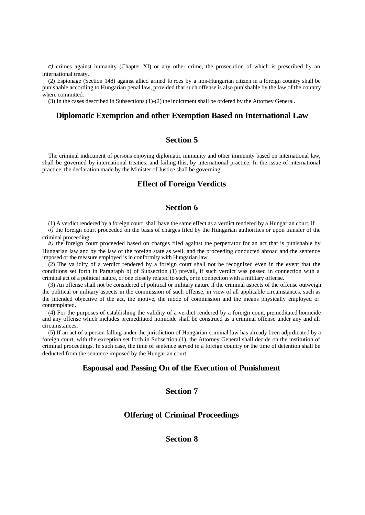*c)* crimes against humanity (Chapter XI) or any other crime, the prosecution of which is prescribed by an international treaty.

(2) Espionage (Section 148) against allied armed fo rces by a non-Hungarian citizen in a foreign country shall be punishable according to Hungarian penal law, provided that such offense is also punishable by the law of the country where committed.

(3) In the cases described in Subsections (1)-(2) the indictment shall be ordered by the Attorney General.

#### **Diplomatic Exemption and other Exemption Based on International Law**

# **Section 5**

The criminal indictment of persons enjoying diplomatic immunity and other immunity based on international law, shall be governed by international treaties, and failing this, by international practice. In the issue of international practice, the declaration made by the Minister of Justice shall be governing.

# **Effect of Foreign Verdicts**

# **Section 6**

(1) A verdict rendered by a foreign court shall have the same effect as a verdict rendered by a Hungarian court, if

*a*) the foreign court proceeded on the basis of charges filed by the Hungarian authorities or upon transfer of the criminal proceeding,

*b*) the foreign court proceeded based on charges filed against the perpetrator for an act that is punishable by Hungarian law and by the law of the foreign state as well, and the proceeding conducted abroad and the sentence imposed or the measure employed is in conformity with Hungarian law.

(2) The va lidity of a verdict rendered by a foreign court shall not be recognized even in the event that the conditions set forth in Paragraph b) of Subsection (1) prevail, if such verdict was passed in connection with a criminal act of a political nature, or one closely related to such, or in connection with a military offense.

(3) An offense shall not be considered of political or military nature if the criminal aspects of the offense outweigh the political or military aspects in the commission of such offense, in view of all applicable circumstances, such as the intended objective of the act, the motive, the mode of commission and the means physically employed or contemplated.

(4) For the purposes of establishing the validity of a verdict rendered by a foreign court, premeditated homicide and any offense which includes premeditated homicide shall be construed as a criminal offense under any and all circumstances.

(5) If an act of a person falling under the jurisdiction of Hungarian criminal law has already been adjudicated by a foreign court, with the exception set forth in Subsection (1), the Attorney General shall decide on the institution of criminal proceedings. In such case, the time of sentence served in a foreign country or the time of detention shall be deducted from the sentence imposed by the Hungarian court.

## **Espousal and Passing On of the Execution of Punishment**

# **Section 7**

#### **Offering of Criminal Proceedings**

## **Section 8**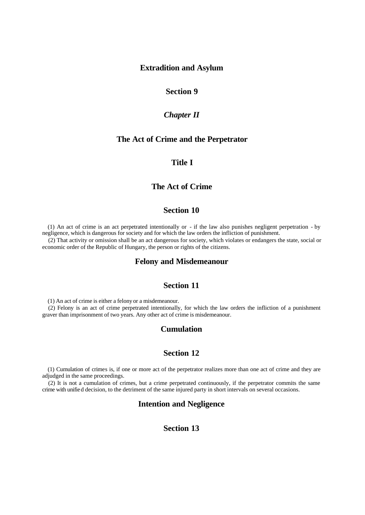#### **Extradition and Asylum**

# **Section 9**

#### *Chapter II*

## **The Act of Crime and the Perpetrator**

## **Title I**

## **The Act of Crime**

# **Section 10**

(1) An act of crime is an act perpetrated intentionally or - if the law also punishes negligent perpetration - by negligence, which is dangerous for society and for which the law orders the infliction of punishment.

(2) That activity or omission shall be an act dangerous for society, which violates or endangers the state, social or economic order of the Republic of Hungary, the person or rights of the citizens.

## **Felony and Misdemeanour**

# **Section 11**

(1) An act of crime is either a felony or a misdemeanour.

(2) Felony is an act of crime perpetrated intentionally, for which the law orders the infliction of a punishment graver than imprisonment of two years. Any other act of crime is misdemeanour.

#### **Cumulation**

## **Section 12**

(1) Cumulation of crimes is, if one or more act of the perpetrator realizes more than one act of crime and they are adjudged in the same proceedings.

(2) It is not a cumulation of crimes, but a crime perpetrated continuously, if the perpetrator commits the same crime with unified decision, to the detriment of the same injured party in short intervals on several occasions.

## **Intention and Negligence**

# **Section 13**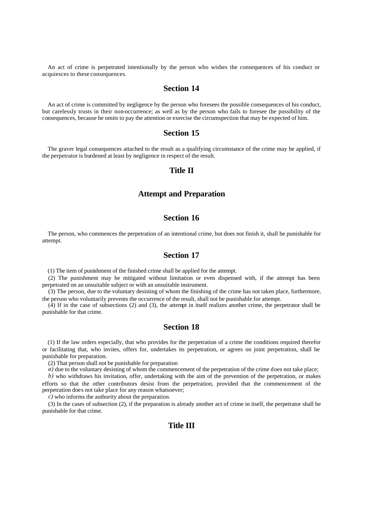An act of crime is perpetrated intentionally by the person who wishes the consequences of his conduct or acquiesces to these consequences.

## **Section 14**

An act of crime is committed by negligence by the person who foresees the possible consequences of his conduct, but carelessly trusts in their non-occurrence; as well as by the person who fails to foresee the possibility of the consequences, because he omits to pay the attention or exercise the circumspection that may be expected of him.

#### **Section 15**

The graver legal consequences attached to the result as a qualifying circumstance of the crime may be applied, if the perpetrator is burdened at least by negligence in respect of the result.

# **Title II**

#### **Attempt and Preparation**

## **Section 16**

The person, who commences the perpetration of an intentional crime, but does not finish it, shall be punishable for attempt.

# **Section 17**

(1) The item of punishment of the finished crime shall be applied for the attempt.

(2) The punishment may be mitigated without limitation or even dispensed with, if the attempt has been perpetrated on an unsuitable subject or with an unsuitable instrument.

(3) The person, due to the voluntary desisting of whom the finishing of the crime has not taken place, furthermore, the person who voluntarily prevents the occurrence of the result, shall not be punishable for attempt.

(4) If in the case of subsections (2) and (3), the attempt in itself realizes another crime, the perpetrator shall be punishable for that crime.

#### **Section 18**

(1) If the law orders especially, that who provides for the perpetration of a crime the conditions required therefor or facilitating that, who invites, offers for, undertakes its perpetration, or agrees on joint perpetration, shall be punishable for preparation.

(2) That person shall not be punishable for preparation

*a)* due to the voluntary desisting of whom the commencement of the perpetration of the crime does not take place;

*b)* who withdraws his invitation, offer, undertaking with the aim of the prevention of the perpetration, or makes efforts so that the other contributors desist from the perpetration, provided that the commencement of the perpetration does not take place for any reason whatsoever;

*c)* who informs the authority about the preparation.

(3) In the cases of subsection (2), if the preparation is already another act of crime in itself, the perpetrator shall be punishable for that crime.

## **Title III**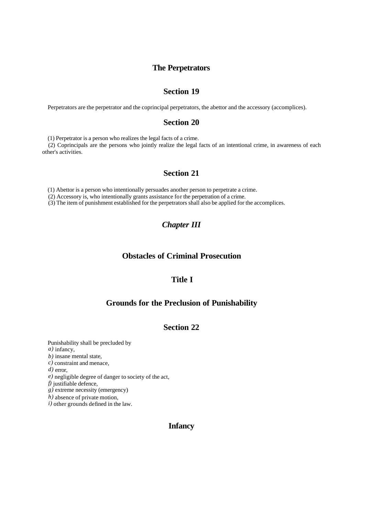## **The Perpetrators**

# **Section 19**

Perpetrators are the perpetrator and the coprincipal perpetrators, the abettor and the accessory (accomplices).

### **Section 20**

(1) Perpetrator is a person who realizes the legal facts of a crime.

(2) Coprincipals are the persons who jointly realize the legal facts of an intentional crime, in awareness of each other's activities.

# **Section 21**

(1) Abettor is a person who intentionally persuades another person to perpetrate a crime.

(2) Accessory is, who intentionally grants assistance for the perpetration of a crime.

(3) The item of punishment established for the perpetrators shall also be applied for the accomplices.

# *Chapter III*

# **Obstacles of Criminal Prosecution**

# **Title I**

# **Grounds for the Preclusion of Punishability**

# **Section 22**

Punishability shall be precluded by *a)* infancy, *b)* insane mental state, *c)* constraint and menace, *d)* error, *e)* negligible degree of danger to society of the act, *f)* justifiable defence, *g)* extreme necessity (emergency) *h)* absence of private motion, *i)* other grounds defined in the law.

# **Infancy**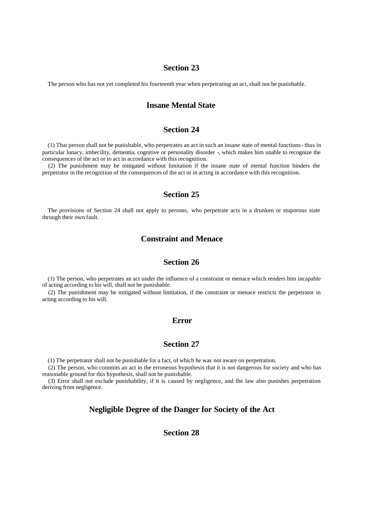The person who has not yet completed his fourteenth year when perpetrating an act, shall not be punishable.

# **Insane Mental State**

# **Section 24**

(1) That person shall not be punishable, who perpetrates an act in such an insane state of mental functions - thus in particular lunacy, imbecility, dementia, cognitive or personality disorder -, which makes him unable to recognize the consequences of the act or to act in accordance with this recognition.

(2) The punishment may be mitigated without limitation if the insane state of mental function hinders the perpetrator in the recognition of the consequences of the act or in acting in accordance with this recognition.

#### **Section 25**

The provisions of Section 24 shall not apply to persons, who perpetrate acts in a drunken or stuporous state through their own fault.

# **Constraint and Menace**

# **Section 26**

(1) The person, who perpetrates an act under the influence of a constraint or menace which renders him incapable of acting according to his will, shall not be punishable.

(2) The punishment may be mitigated without limitation, if the constraint or menace restricts the perpetrator in acting according to his will.

#### **Error**

## **Section 27**

(1) The perpetrator shall not be punishable for a fact, of which he was not aware on perpetration.

(2) The person, who commits an act in the erroneous hypothesis that it is not dangerous for society and who has reasonable ground for this hypothesis, shall not be punishable.

(3) Error shall not exclude punishability, if it is caused by negligence, and the law also punishes perpetration deriving from negligence.

## **Negligible Degree of the Danger for Society of the Act**

# **Section 28**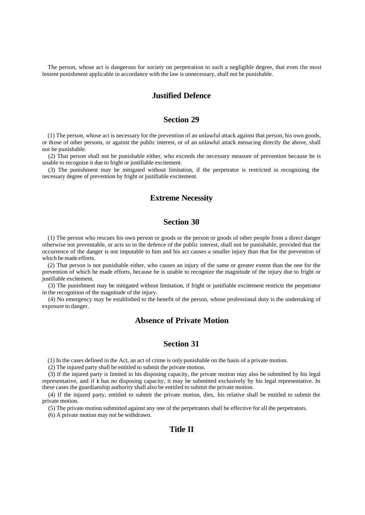The person, whose act is dangerous for society on perpetration to such a negligible degree, that even the most lenient punishment applicable in accordance with the law is unnecessary, shall not be punishable.

## **Justified Defence**

## **Section 29**

(1) The person, whose act is necessary for the prevention of an unlawful attack against that person, his own goods, or those of other persons, or against the public interest, or of an unlawful attack menacing directly the above, shall not be punishable.

(2) That person shall not be punishable either, who exceeds the necessary measure of prevention because he is unable to recognize it due to fright or justifiable excitement.

(3) The punishment may be mitigated without limitation, if the perpetrator is restricted in recognizing the necessary degree of prevention by fright or justifiable excitement.

## **Extreme Necessity**

# **Section 30**

(1) The person who rescues his own person or goods or the person or goods of other people from a direct danger otherwise not preventable, or acts so in the defence of the public interest, shall not be punishable, provided that the occurrence of the danger is not imputable to him and his act causes a smaller injury than that for the prevention of which he made efforts.

(2) That person is not punishable either, who causes an injury of the same or greater extent than the one for the prevention of which he made efforts, because he is unable to recognize the magnitude of the injury due to fright or justifiable excitement.

(3) The punishment may be mitigated without limitation, if fright or justifiable excitement restricts the perpetrator in the recognition of the magnitude of the injury.

(4) No emergency may be established to the benefit of the person, whose professional duty is the undertaking of exposure to danger.

# **Absence of Private Motion**

#### **Section 31**

(1) In the cases defined in the Act, an act of crime is only punishable on the basis of a private motion.

(2) The injured party shall be entitled to submit the private motion.

(3) If the injured party is limited in his disposing capacity, the private motion may also be submitted by his legal representative, and if it has no disposing capacity, it may be submitted exclusively by his legal representative. In these cases the guardianship authority shall also be entitled to submit the private motion.

(4) If the injured party, entitled to submit the private motion, dies, his relative shall be entitled to submit the private motion.

(5) The private motion submitted against any one of the perpetrators shall be effective for all the perpetrators.

(6) A private motion may not be withdrawn.

# **Title II**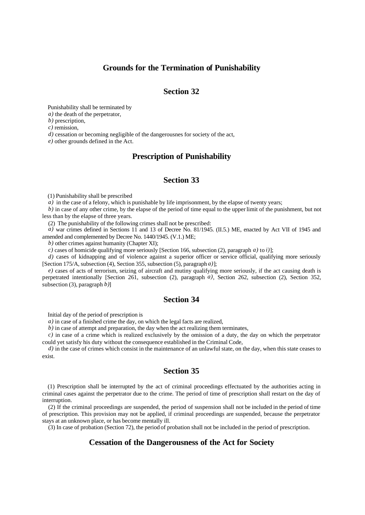## **Grounds for the Termination of Punishability**

## **Section 32**

Punishability shall be terminated by

*a)* the death of the perpetrator,

*b)* prescription,

*c)* remission,

*d)* cessation or becoming negligible of the dangerousnes for society of the act,

*e)* other grounds defined in the Act.

#### **Prescription of Punishability**

# **Section 33**

(1) Punishability shall be prescribed

*a*) in the case of a felony, which is punishable by life imprisonment, by the elapse of twenty years;

*b)* in case of any other crime, by the elapse of the period of time equal to the upper limit of the punishment, but not less than by the elapse of three years.

(2) The punishability of the following crimes shall not be prescribed:

 $a)$  war crimes defined in Sections 11 and 13 of Decree No. 81/1945. (II.5.) ME, enacted by Act VII of 1945 and amended and complemented by Decree No. 1440/1945. (V.1.) ME;

*b)* other crimes against humanity (Chapter XI);

*c)* cases of homicide qualifying more seriously [Section 166, subsection (2), paragraph *a)* to *i)*];

*d*) cases of kidnapping and of violence against a superior officer or service official, qualifying more seriously [Section 175/A, subsection (4), Section 355, subsection (5), paragraph *a)*];

*e)* cases of acts of terrorism, seizing of aircraft and mutiny qualifying more seriously, if the act causing death is perpetrated intentionally [Section 261, subsection (2), paragraph *a)*, Section 262, subsection (2), Section 352, subsection (3), paragraph *b)*]

# **Section 34**

Initial day of the period of prescription is

*a)* in case of a finished crime the day, on which the legal facts are realized,

*b)* in case of attempt and preparation, the day when the act realizing them terminates,

*c)* in case of a crime which is realized exclusively by the omission of a duty, the day on which the perpetrator could yet satisfy his duty without the consequence established in the Criminal Code,

*d*) in the case of crimes which consist in the maintenance of an unlawful state, on the day, when this state ceases to exist.

#### **Section 35**

(1) Prescription shall be interrupted by the act of criminal proceedings effectuated by the authorities acting in criminal cases against the perpetrator due to the crime. The period of time of prescription shall restart on the day of interruption.

(2) If the criminal proceedings are suspended, the period of suspension shall not be included in the period of time of prescription. This provision may not be applied, if criminal proceedings are suspended, because the perpetrator stays at an unknown place, or has become mentally ill.

(3) In case of probation (Section 72), the period of probation shall not be included in the period of prescription.

## **Cessation of the Dangerousness of the Act for Society**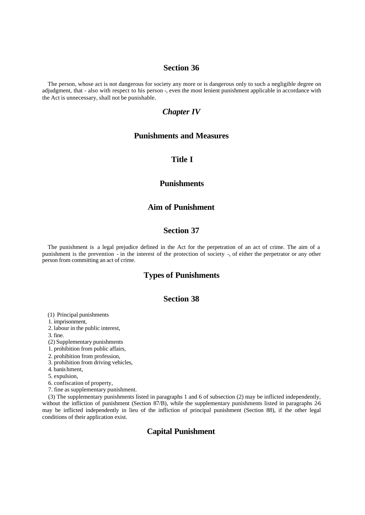The person, whose act is not dangerous for society any more or is dangerous only to such a negligible degree on adjudgment, that - also with respect to his person -, even the most lenient punishment applicable in accordance with the Act is unnecessary, shall not be punishable.

#### *Chapter IV*

#### **Punishments and Measures**

### **Title I**

#### **Punishments**

## **Aim of Punishment**

## **Section 37**

The punishment is a legal prejudice defined in the Act for the perpetration of an act of crime. The aim of a punishment is the prevention - in the interest of the protection of society -, of either the perpetrator or any other person from committing an act of crime.

# **Types of Punishments**

# **Section 38**

(1) Principal punishments

1. imprisonment,

2. labour in the public interest,

3. fine.

(2) Supplementary punishments

1. prohibition from public affairs,

2. prohibition from profession,

3. prohibition from driving vehicles,

4. banis hment,

5. expulsion,

6. confiscation of property,

7. fine as supplementary punishment.

(3) The supplementary punishments listed in paragraphs 1 and 6 of subsection (2) may be inflicted independently, without the infliction of punishment (Section 87/B), while the supplementary punishments listed in paragraphs 2-6 may be inflicted independently in lieu of the infliction of principal punishment (Section 88), if the other legal conditions of their application exist.

# **Capital Punishment**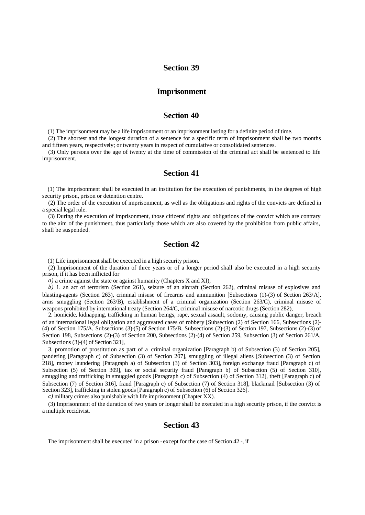#### **Imprisonment**

#### **Section 40**

(1) The imprisonment may be a life imprisonment or an imprisonment lasting for a definite period of time.

(2) The shortest and the longest duration of a sentence for a specific term of imprisonment shall be two months and fifteen years, respectively; or twenty years in respect of cumulative or consolidated sentences.

(3) Only persons over the age of twenty at the time of commission of the criminal act shall be sentenced to life imprisonment.

#### **Section 41**

(1) The imprisonment shall be executed in an institution for the execution of punishments, in the degrees of high security prison, prison or detention centre.

(2) The order of the execution of imprisonment, as well as the obligations and rights of the convicts are defined in a special legal rule.

(3) During the execution of imprisonment, those citizens' rights and obligations of the convict which are contrary to the aim of the punishment, thus particularly those which are also covered by the prohibition from public affairs, shall be suspended.

## **Section 42**

(1) Life imprisonment shall be executed in a high security prison.

(2) Imprisonment of the duration of three years or of a longer period shall also be executed in a high security prison, if it has been inflicted for

*a)* a crime against the state or against humanity (Chapters X and XI),

*b)* 1. an act of terrorism (Section 261), seizure of an aircraft (Section 262), criminal misuse of explosives and blasting-agents (Section 263), criminal misuse of firearms and ammunition [Subsections (1)-(3) of Section 263/A], arms smuggling (Section 263/B), establishment of a criminal organization (Section 263/C), criminal misuse of weapons prohibited by international treaty (Section 264/C, criminal misuse of narcotic drugs (Section 282),

2. homicide, kidnapping, trafficking in human beings, rape, sexual assault, sodomy, causing public danger, breach of an international legal obligation and aggravated cases of robbery [Subsection (2) of Section 166, Subsections (2)- (4) of Section 175/A, Subsections  $(3)$ -(5) of Section 175/B, Subsections  $(2)$ -(3) of Section 197, Subsections  $(2)$ -(3) of Section 198, Subsections (2)-(3) of Section 200, Subsections (2)-(4) of Section 259, Subsection (3) of Section 261/A, Subsections (3)-(4) of Section 321],

3. promotion of prostitution as part of a criminal organization [Paragraph b) of Subsection (3) of Section 205], pandering [Paragraph c) of Subsection (3) of Section 207], smuggling of illegal aliens [Subsection (3) of Section 218], money laundering [Paragraph a) of Subsection (3) of Section 303], foreign exchange fraud [Paragraph c) of Subsection (5) of Section 309], tax or social security fraud [Paragraph b) of Subsection (5) of Section 310], smuggling and trafficking in smuggled goods [Paragraph c) of Subsection (4) of Section 312], theft [Paragraph c) of Subsection (7) of Section 316], fraud [Paragraph c) of Subsection (7) of Section 318], blackmail [Subsection (3) of Section 323], trafficking in stolen goods [Paragraph c) of Subsection (6) of Section 326].

*c)* military crimes also punishable with life imprisonment (Chapter XX).

(3) Imprisonment of the duration of two years or longer shall be executed in a high security prison, if the convict is a multiple recidivist.

## **Section 43**

The imprisonment shall be executed in a prison - except for the case of Section 42 -, if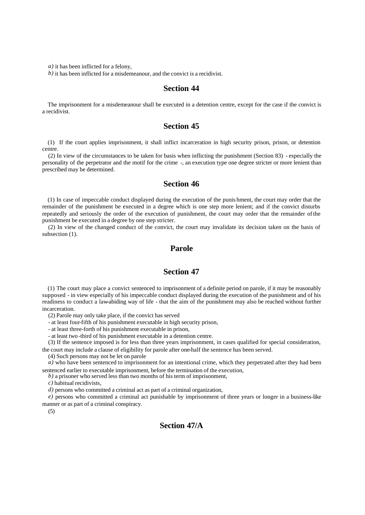*a)* it has been inflicted for a felony,

*b)* it has been inflicted for a misdemeanour, and the convict is a recidivist.

# **Section 44**

The imprisonment for a misdemeanour shall be executed in a detention centre, except for the case if the convict is a recidivist.

#### **Section 45**

(1) If the court applies imprisonment, it shall inflict incarceration in high security prison, prison, or detention centre.

(2) In view of the circumstances to be taken for basis when inflicting the punishment (Section 83) - especially the personality of the perpetrator and the motif for the crime -, an execution type one degree stricter or more lenient than prescribed may be determined.

## **Section 46**

(1) In case of impeccable conduct displayed during the execution of the punis hment, the court may order that the remainder of the punishment be executed in a degree which is one step more lenient; and if the convict disturbs repeatedly and seriously the order of the execution of punishment, the court may order that the remainder of the punishment be executed in a degree by one step stricter.

(2) In view of the changed conduct of the convict, the court may invalidate its decision taken on the basis of subsection  $(1)$ .

## **Parole**

## **Section 47**

(1) The court may place a convict sentenced to imprisonment of a definite period on parole, if it may be reasonably supposed - in view especially of his impeccable conduct displayed during the execution of the punishment and of his readiness to conduct a law-abiding way of life - that the aim of the punishment may also be reached without further incarceration.

(2) Parole may only take place, if the convict has served

- at least four-fifth of his punishment executable in high security prison,

- at least three-forth of his punishment executable in prison,

- at least two -third of his punishment executable in a detention centre.

(3) If the sentence imposed is for less than three years imprisonment, in cases qualified for special consideration, the court may include a clause of eligibility for parole after one-half the sentence has been served.

(4) Such persons may not be let on parole

*a*) who have been sentenced to imprisonment for an intentional crime, which they perpetrated after they had been sentenced earlier to executable imprisonment, before the termination of the execution,

*b)* a prisoner who served less than two months of his term of imprisonment,

*c)* habitual recidivists,

*d)* persons who committed a criminal act as part of a criminal organization,

*e)* persons who committed a criminal act punishable by imprisonment of three years or longer in a business-like manner or as part of a criminal conspiracy.

(5)

#### **Section 47/A**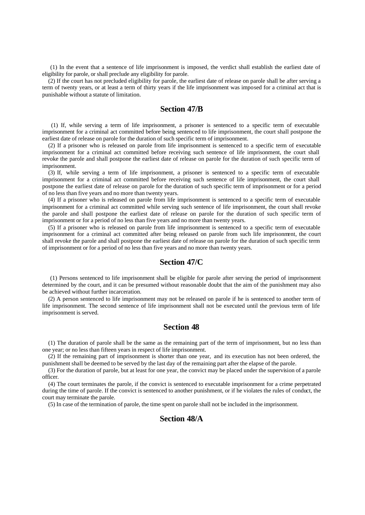(1) In the event that a sentence of life imprisonment is imposed, the verdict shall establish the earliest date of eligibility for parole, or shall preclude any eligibility for parole.

(2) If the court has not precluded eligibility for parole, the earliest date of release on parole shall be after serving a term of twenty years, or at least a term of thirty years if the life imprisonment was imposed for a criminal act that is punishable without a statute of limitation.

#### **Section 47/B**

 (1) If, while serving a term of life imprisonment, a prisoner is sentenced to a specific term of executable imprisonment for a criminal act committed before being sentenced to life imprisonment, the court shall postpone the earliest date of release on parole for the duration of such specific term of imprisonment.

(2) If a prisoner who is released on parole from life imprisonment is sentenced to a specific term of executable imprisonment for a criminal act committed before receiving such sentence of life imprisonment, the court shall revoke the parole and shall postpone the earliest date of release on parole for the duration of such specific term of imprisonment.

(3) If, while serving a term of life imprisonment, a prisoner is sentenced to a specific term of executable imprisonment for a criminal act committed before receiving such sentence of life imprisonment, the court shall postpone the earliest date of release on parole for the duration of such specific term of imprisonment or for a period of no less than five years and no more than twenty years.

(4) If a prisoner who is released on parole from life imprisonment is sentenced to a specific term of executable imprisonment for a criminal act committed while serving such sentence of life imprisonment, the court shall revoke the parole and shall postpone the earliest date of release on parole for the duration of such specific term of imprisonment or for a period of no less than five years and no more than twenty years.

(5) If a prisoner who is released on parole from life imprisonment is sentenced to a specific term of executable imprisonment for a criminal act committed after being released on parole from such life imprisonment, the court shall revoke the parole and shall postpone the earliest date of release on parole for the duration of such specific term of imprisonment or for a period of no less than five years and no more than twenty years.

# **Section 47/C**

 (1) Persons sentenced to life imprisonment shall be eligible for parole after serving the period of imprisonment determined by the court, and it can be presumed without reasonable doubt that the aim of the punishment may also be achieved without further incarceration.

(2) A person sentenced to life imprisonment may not be released on parole if he is sentenced to another term of life imprisonment. The second sentence of life imprisonment shall not be executed until the previous term of life imprisonment is served.

# **Section 48**

(1) The duration of parole shall be the same as the remaining part of the term of imprisonment, but no less than one year; or no less than fifteen years in respect of life imprisonment.

(2) If the remaining part of imprisonment is shorter than one year, and its execution has not been ordered, the punishment shall be deemed to be served by the last day of the remaining part after the elapse of the parole.

(3) For the duration of parole, but at least for one year, the convict may be placed under the supervision of a parole officer.

(4) The court terminates the parole, if the convict is sentenced to executable imprisonment for a crime perpetrated during the time of parole. If the convict is sentenced to another punishment, or if he violates the rules of conduct, the court may terminate the parole.

(5) In case of the termination of parole, the time spent on parole shall not be included in the imprisonment.

# **Section 48/A**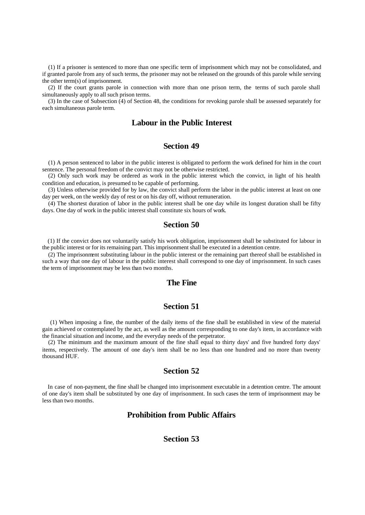(1) If a prisoner is sentenced to more than one specific term of imprisonment which may not be consolidated, and if granted parole from any of such terms, the prisoner may not be released on the grounds of this parole while serving the other term(s) of imprisonment.

(2) If the court grants parole in connection with more than one prison term, the terms of such parole shall simultaneously apply to all such prison terms.

(3) In the case of Subsection (4) of Section 48, the conditions for revoking parole shall be assessed separately for each simultaneous parole term.

#### **Labour in the Public Interest**

#### **Section 49**

(1) A person sentenced to labor in the public interest is obligated to perform the work defined for him in the court sentence. The personal freedom of the convict may not be otherwise restricted.

(2) Only such work may be ordered as work in the public interest which the convict, in light of his health condition and education, is presumed to be capable of performing.

(3) Unless otherwise provided for by law, the convict shall perform the labor in the public interest at least on one day per week, on the weekly day of rest or on his day off, without remuneration.

(4) The shortest duration of labor in the public interest shall be one day while its longest duration shall be fifty days. One day of work in the public interest shall constitute six hours of work.

# **Section 50**

(1) If the convict does not voluntarily satisfy his work obligation, imprisonment shall be substituted for labour in the public interest or for its remaining part. This imprisonment shall be executed in a detention centre.

(2) The imprisonment substituting labour in the public interest or the remaining part thereof shall be established in such a way that one day of labour in the public interest shall correspond to one day of imprisonment. In such cases the term of imprisonment may be less than two months.

#### **The Fine**

# **Section 51**

 (1) When imposing a fine, the number of the daily items of the fine shall be established in view of the material gain achieved or contemplated by the act, as well as the amount corresponding to one day's item, in accordance with the financial situation and income, and the everyday needs of the perpetrator.

(2) The minimum and the maximum amount of the fine shall equal to thirty days' and five hundred forty days' items, respectively. The amount of one day's item shall be no less than one hundred and no more than twenty thousand HUF.

#### **Section 52**

In case of non-payment, the fine shall be changed into imprisonment executable in a detention centre. The amount of one day's item shall be substituted by one day of imprisonment. In such cases the term of imprisonment may be less than two months.

# **Prohibition from Public Affairs**

## **Section 53**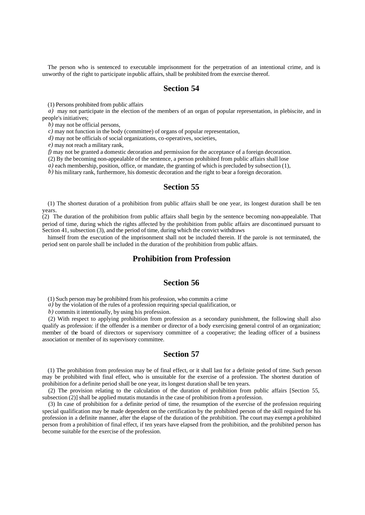The person who is sentenced to executable imprisonment for the perpetration of an intentional crime, and is unworthy of the right to participate in public affairs, shall be prohibited from the exercise thereof.

### **Section 54**

(1) Persons prohibited from public affairs

*a)* may not participate in the election of the members of an organ of popular representation, in plebiscite, and in people's initiatives;

*b)* may not be official persons,

*c)* may not function in the body (committee) of organs of popular representation,

*d*) may not be officials of social organizations, co-operatives, societies,

*e)* may not reach a military rank,

*f*) may not be granted a domestic decoration and permission for the acceptance of a foreign decoration.

(2) By the becoming non-appealable of the sentence, a person prohibited from public affairs shall lose

*a*) each membership, position, office, or mandate, the granting of which is precluded by subsection (1),

*b)* his military rank, furthermore, his domestic decoration and the right to bear a foreign decoration.

## **Section 55**

(1) The shortest duration of a prohibition from public affairs shall be one year, its longest duration shall be ten years.

(2) The duration of the prohibition from public affairs shall begin by the sentence becoming non-appealable. That period of time, during which the rights affected by the prohibition from public affairs are discontinued pursuant to Section 41, subsection (3), and the period of time, during which the convict withdraws

himself from the execution of the imprisonment shall not be included therein. If the parole is not terminated, the period sent on parole shall be included in the duration of the prohibition from public affairs.

## **Prohibition from Profession**

# **Section 56**

(1) Such person may be prohibited from his profession, who commits a crime

*a)* by the violation of the rules of a profession requiring special qualification, or

*b)* commits it intentionally, by using his profession.

(2) With respect to applying prohibition from profession as a secondary punishment, the following shall also qualify as profession: if the offender is a member or director of a body exercising general control of an organization; member of the board of directors or supervisory committee of a cooperative; the leading officer of a business association or member of its supervisory committee.

#### **Section 57**

(1) The prohibition from profession may be of final effect, or it shall last for a definite period of time. Such person may be prohibited with final effect, who is unsuitable for the exercise of a profession. The shortest duration of prohibition for a definite period shall be one year, its longest duration shall be ten years.

(2) The provision relating to the calculation of the duration of prohibition from public affairs [Section 55, subsection (2)] shall be applied mutatis mutandis in the case of prohibition from a profession.

(3) In case of prohibition for a definite period of time, the resumption of the exercise of the profession requiring special qualification may be made dependent on the certification by the prohibited person of the skill required for his profession in a definite manner, after the elapse of the duration of the prohibition. The court may exempt a prohibited person from a prohibition of final effect, if ten years have elapsed from the prohibition, and the prohibited person has become suitable for the exercise of the profession.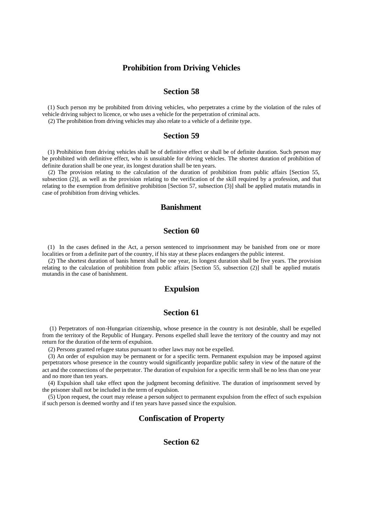#### **Prohibition from Driving Vehicles**

# **Section 58**

(1) Such person my be prohibited from driving vehicles, who perpetrates a crime by the violation of the rules of vehicle driving subject to licence, or who uses a vehicle for the perpetration of criminal acts.

(2) The prohibition from driving vehicles may also relate to a vehicle of a definite type.

#### **Section 59**

(1) Prohibition from driving vehicles shall be of definitive effect or shall be of definite duration. Such person may be prohibited with definitive effect, who is unsuitable for driving vehicles. The shortest duration of prohibition of definite duration shall be one year, its longest duration shall be ten years.

(2) The provision relating to the calculation of the duration of prohibition from public affairs [Section 55, subsection (2)], as well as the provision relating to the verification of the skill required by a profession, and that relating to the exemption from definitive prohibition [Section 57, subsection (3)] shall be applied mutatis mutandis in case of prohibition from driving vehicles.

#### **Banishment**

# **Section 60**

(1) In the cases defined in the Act, a person sentenced to imprisonment may be banished from one or more localities or from a definite part of the country, if his stay at these places endangers the public interest.

(2) The shortest duration of banis hment shall be one year, its longest duration shall be five years. The provision relating to the calculation of prohibition from public affairs [Section 55, subsection (2)] shall be applied mutatis mutandis in the case of banishment.

#### **Expulsion**

#### **Section 61**

(1) Perpetrators of non-Hungarian citizenship, whose presence in the country is not desirable, shall be expelled from the territory of the Republic of Hungary. Persons expelled shall leave the territory of the country and may not return for the duration of the term of expulsion.

(2) Persons granted refugee status pursuant to other laws may not be expelled.

(3) An order of expulsion may be permanent or for a specific term. Permanent expulsion may be imposed against perpetrators whose presence in the country would significantly jeopardize public safety in view of the nature of the act and the connections of the perpetrator. The duration of expulsion for a specific term shall be no less than one year and no more than ten years.

(4) Expulsion shall take effect upon the judgment becoming definitive. The duration of imprisonment served by the prisoner shall not be included in the term of expulsion.

(5) Upon request, the court may release a person subject to permanent expulsion from the effect of such expulsion if such person is deemed worthy and if ten years have passed since the expulsion.

### **Confiscation of Property**

# **Section 62**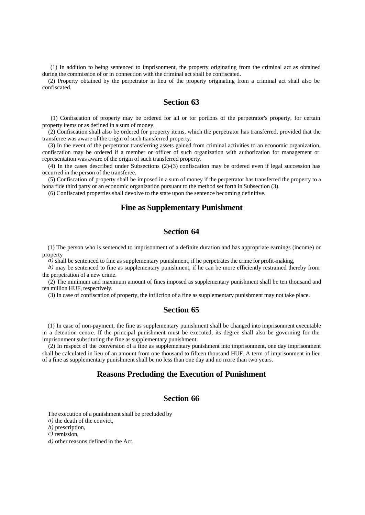(1) In addition to being sentenced to imprisonment, the property originating from the criminal act as obtained during the commission of or in connection with the criminal act shall be confiscated.

(2) Property obtained by the perpetrator in lieu of the property originating from a criminal act shall also be confiscated.

## **Section 63**

 (1) Confiscation of property may be ordered for all or for portions of the perpetrator's property, for certain property items or as defined in a sum of money.

(2) Confiscation shall also be ordered for property items, which the perpetrator has transferred, provided that the transferee was aware of the origin of such transferred property.

(3) In the event of the perpetrator transferring assets gained from criminal activities to an economic organization, confiscation may be ordered if a member or officer of such organization with authorization for management or representation was aware of the origin of such transferred property.

(4) In the cases described under Subsections (2)-(3) confiscation may be ordered even if legal succession has occurred in the person of the transferee.

(5) Confiscation of property shall be imposed in a sum of money if the perpetrator has transferred the property to a bona fide third party or an economic organization pursuant to the method set forth in Subsection (3).

(6) Confiscated properties shall devolve to the state upon the sentence becoming definitive.

#### **Fine as Supplementary Punishment**

# **Section 64**

(1) The person who is sentenced to imprisonment of a definite duration and has appropriate earnings (income) or property

 $\hat{a}$ ) shall be sentenced to fine as supplementary punishment, if he perpetrates the crime for profit-making,

*b*) may be sentenced to fine as supplementary punishment, if he can be more efficiently restrained thereby from the perpetration of a new crime.

(2) The minimum and maximum amount of fines imposed as supplementary punishment shall be ten thousand and ten million HUF, respectively.

(3) In case of confiscation of property, the infliction of a fine as supplementary punishment may not take place.

#### **Section 65**

(1) In case of non-payment, the fine as supplementary punishment shall be changed into imprisonment executable in a detention centre. If the principal punishment must be executed, its degree shall also be governing for the imprisonment substituting the fine as supplementary punishment.

(2) In respect of the conversion of a fine as supplementary punishment into imprisonment, one day imprisonment shall be calculated in lieu of an amount from one thousand to fifteen thousand HUF. A term of imprisonment in lieu of a fine as supplementary punishment shall be no less than one day and no more than two years.

#### **Reasons Precluding the Execution of Punishment**

# **Section 66**

The execution of a punishment shall be precluded by

*a)* the death of the convict,

*b)* prescription,

*c)* remission,

*d)* other reasons defined in the Act.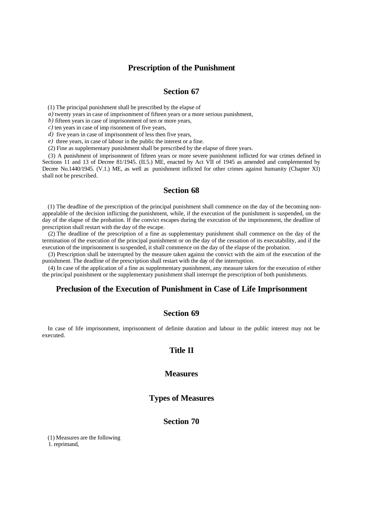#### **Prescription of the Punishment**

#### **Section 67**

(1) The principal punishment shall be prescribed by the elapse of

*a)* twenty years in case of imprisonment of fifteen years or a more serious punishment,

*b)* fifteen years in case of imprisonment of ten or more years,

*c)* ten years in case of imp risonment of five years,

*d)* five years in case of imprisonment of less then five years,

*e)* three years, in case of labour in the public the interest or a fine.

(2) Fine as supplementary punishment shall be prescribed by the elapse of three years.

(3) A punishment of imprisonment of fifteen years or more severe punishment inflicted for war crimes defined in Sections 11 and 13 of Decree 81/1945. (II.5.) ME, enacted by Act VII of 1945 as amended and complemented by Decree No.1440/1945. (V.1.) ME, as well as punishment inflicted for other crimes against humanity (Chapter XI) shall not be prescribed.

#### **Section 68**

(1) The deadline of the prescription of the principal punishment shall commence on the day of the becoming nonappealable of the decision inflicting the punishment, while, if the execution of the punishment is suspended, on the day of the elapse of the probation. If the convict escapes during the execution of the imprisonment, the deadline of prescription shall restart with the day of the escape.

(2) The deadline of the prescription of a fine as supplementary punishment shall commence on the day of the termination of the execution of the principal punishment or on the day of the cessation of its executability, and if the execution of the imprisonment is suspended, it shall commence on the day of the elapse of the probation.

(3) Prescription shall be interrupted by the measure taken against the convict with the aim of the execution of the punishment. The deadline of the prescription shall restart with the day of the interruption.

(4) In case of the application of a fine as supplementary punishment, any measure taken for the execution of either the principal punishment or the supplementary punishment shall interrupt the prescription of both punishments.

#### **Preclusion of the Execution of Punishment in Case of Life Imprisonment**

#### **Section 69**

In case of life imprisonment, imprisonment of definite duration and labour in the public interest may not be executed.

#### **Title II**

#### **Measures**

#### **Types of Measures**

## **Section 70**

(1) Measures are the following 1. reprimand,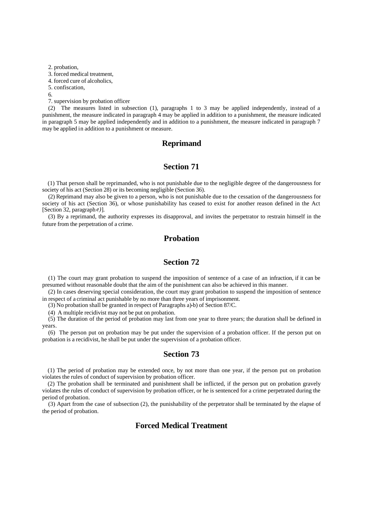2. probation,

3. forced medical treatment,

4. forced cure of alcoholics,

5. confiscation,

6.

7. supervision by probation officer

(2) The measures listed in subsection (1), paragraphs 1 to 3 may be applied independently, instead of a punishment, the measure indicated in paragraph 4 may be applied in addition to a punishment, the measure indicated in paragraph 5 may be applied independently and in addition to a punishment, the measure indicated in paragraph 7 may be applied in addition to a punishment or measure.

#### **Reprimand**

# **Section 71**

(1) That person shall be reprimanded, who is not punishable due to the negligible degree of the dangerousness for society of his act (Section 28) or its becoming negligible (Section 36).

(2) Reprimand may also be given to a person, who is not punishable due to the cessation of the dangerousness for society of his act (Section 36), or whose punishability has ceased to exist for another reason defined in the Act [Section 32, paragraph *e)*].

(3) By a reprimand, the authority expresses its disapproval, and invites the perpetrator to restrain himself in the future from the perpetration of a crime.

# **Probation**

# **Section 72**

(1) The court may grant probation to suspend the imposition of sentence of a case of an infraction, if it can be presumed without reasonable doubt that the aim of the punishment can also be achieved in this manner.

(2) In cases deserving special consideration, the court may grant probation to suspend the imposition of sentence in respect of a criminal act punishable by no more than three years of imprisonment.

(3) No probation shall be granted in respect of Paragraphs a)-b) of Section 87/C.

(4) A multiple recidivist may not be put on probation.

(5) The duration of the period of probation may last from one year to three years; the duration shall be defined in years.

(6) The person put on probation may be put under the supervision of a probation officer. If the person put on probation is a recidivist, he shall be put under the supervision of a probation officer.

#### **Section 73**

(1) The period of probation may be extended once, by not more than one year, if the person put on probation violates the rules of conduct of supervision by probation officer.

(2) The probation shall be terminated and punishment shall be inflicted, if the person put on probation gravely violates the rules of conduct of supervision by probation officer, or he is sentenced for a crime perpetrated during the period of probation.

(3) Apart from the case of subsection (2), the punishability of the perpetrator shall be terminated by the elapse of the period of probation.

# **Forced Medical Treatment**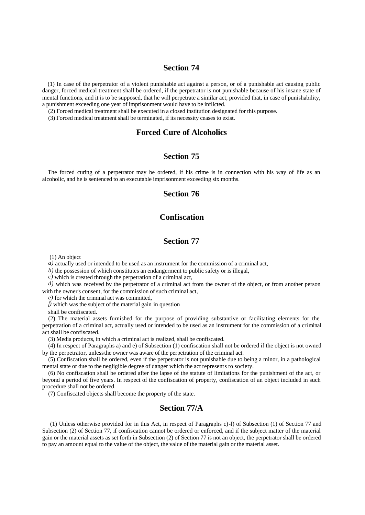(1) In case of the perpetrator of a violent punishable act against a person, or of a punishable act causing public danger, forced medical treatment shall be ordered, if the perpetrator is not punishable because of his insane state of mental functions, and it is to be supposed, that he will perpetrate a similar act, provided that, in case of punishability, a punishment exceeding one year of imprisonment would have to be inflicted.

(2) Forced medical treatment shall be executed in a closed institution designated for this purpose.

(3) Forced medical treatment shall be terminated, if its necessity ceases to exist.

# **Forced Cure of Alcoholics**

## **Section 75**

The forced curing of a perpetrator may be ordered, if his crime is in connection with his way of life as an alcoholic, and he is sentenced to an executable imprisonment exceeding six months.

## **Section 76**

# **Confiscation**

# **Section 77**

(1) An object

*a)* actually used or intended to be used as an instrument for the commission of a criminal act,

*b)* the possession of which constitutes an endangerment to public safety or is illegal,

*c)* which is created through the perpetration of a criminal act,

*d)* which was received by the perpetrator of a criminal act from the owner of the object, or from another person with the owner's consent, for the commission of such criminal act,

*e)* for which the criminal act was committed,

*f)* which was the subject of the material gain in question

shall be confiscated.

(2) The material assets furnished for the purpose of providing substantive or facilitating elements for the perpetration of a criminal act, actually used or intended to be used as an instrument for the commission of a criminal act shall be confiscated.

(3) Media products, in which a criminal act is realized, shall be confiscated.

(4) In respect of Paragraphs a) and e) of Subsection (1) confiscation shall not be ordered if the object is not owned by the perpetrator, unless the owner was aware of the perpetration of the criminal act.

(5) Confiscation shall be ordered, even if the perpetrator is not punishable due to being a minor, in a pathological mental state or due to the negligible degree of danger which the act represents to society.

(6) No confiscation shall be ordered after the lapse of the statute of limitations for the punishment of the act, or beyond a period of five years. In respect of the confiscation of property, confiscation of an object included in such procedure shall not be ordered.

(7) Confiscated objects shall become the property of the state.

# **Section 77/A**

 (1) Unless otherwise provided for in this Act, in respect of Paragraphs c)-f) of Subsection (1) of Section 77 and Subsection (2) of Section 77, if confiscation cannot be ordered or enforced, and if the subject matter of the material gain or the material assets as set forth in Subsection (2) of Section 77 is not an object, the perpetrator shall be ordered to pay an amount equal to the value of the object, the value of the material gain or the material asset.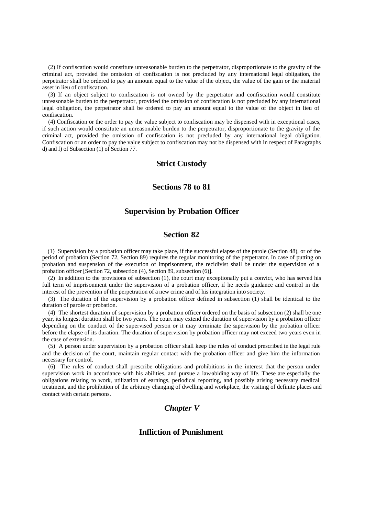(2) If confiscation would constitute unreasonable burden to the perpetrator, disproportionate to the gravity of the criminal act, provided the omission of confiscation is not precluded by any international legal obligation, the perpetrator shall be ordered to pay an amount equal to the value of the object, the value of the gain or the material asset in lieu of confiscation.

(3) If an object subject to confiscation is not owned by the perpetrator and confiscation would constitute unreasonable burden to the perpetrator, provided the omission of confiscation is not precluded by any international legal obligation, the perpetrator shall be ordered to pay an amount equal to the value of the object in lieu of confiscation.

(4) Confiscation or the order to pay the value subject to confiscation may be dispensed with in exceptional cases, if such action would constitute an unreasonable burden to the perpetrator, disproportionate to the gravity of the criminal act, provided the omission of confiscation is not precluded by any international legal obligation. Confiscation or an order to pay the value subject to confiscation may not be dispensed with in respect of Paragraphs d) and f) of Subsection (1) of Section 77.

# **Strict Custody**

#### **Sections 78 to 81**

#### **Supervision by Probation Officer**

## **Section 82**

(1) Supervision by a probation officer may take place, if the successful elapse of the parole (Section 48), or of the period of probation (Section 72, Section 89) requires the regular monitoring of the perpetrator. In case of putting on probation and suspension of the execution of imprisonment, the recidivist shall be under the supervision of a probation officer [Section 72, subsection (4), Section 89, subsection (6)].

(2) In addition to the provisions of subsection (1), the court may exceptionally put a convict, who has served his full term of imprisonment under the supervision of a probation officer, if he needs guidance and control in the interest of the prevention of the perpetration of a new crime and of his integration into society.

(3) The duration of the supervision by a probation officer defined in subsection (1) shall be identical to the duration of parole or probation.

(4) The shortest duration of supervision by a probation officer ordered on the basis of subsection (2) shall be one year, its longest duration shall be two years. The court may extend the duration of supervision by a probation officer depending on the conduct of the supervised person or it may terminate the supervision by the probation officer before the elapse of its duration. The duration of supervision by probation officer may not exceed two years even in the case of extension.

(5) A person under supervision by a probation officer shall keep the rules of conduct prescribed in the legal rule and the decision of the court, maintain regular contact with the probation officer and give him the information necessary for control.

(6) The rules of conduct shall prescribe obligations and prohibitions in the interest that the person under supervision work in accordance with his abilities, and pursue a law-abiding way of life. These are especially the obligations relating to work, utilization of earnings, periodical reporting, and possibly arising necessary medical treatment, and the prohibition of the arbitrary changing of dwelling and workplace, the visiting of definite places and contact with certain persons.

# *Chapter V*

# **Infliction of Punishment**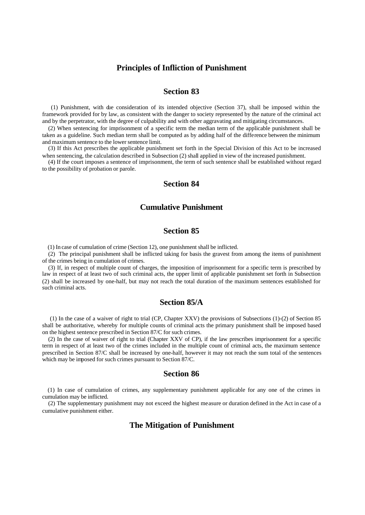#### **Principles of Infliction of Punishment**

## **Section 83**

 (1) Punishment, with due consideration of its intended objective (Section 37), shall be imposed within the framework provided for by law, as consistent with the danger to society represented by the nature of the criminal act and by the perpetrator, with the degree of culpability and with other aggravating and mitigating circumstances.

(2) When sentencing for imprisonment of a specific term the median term of the applicable punishment shall be taken as a guideline. Such median term shall be computed as by adding half of the difference between the minimum and maximum sentence to the lower sentence limit.

(3) If this Act prescribes the applicable punishment set forth in the Special Division of this Act to be increased when sentencing, the calculation described in Subsection (2) shall applied in view of the increased punishment.

(4) If the court imposes a sentence of imprisonment, the term of such sentence shall be established without regard to the possibility of probation or parole.

## **Section 84**

#### **Cumulative Punishment**

# **Section 85**

(1) In case of cumulation of crime (Section 12), one punishment shall be inflicted.

(2) The principal punishment shall be inflicted taking for basis the gravest from among the items of punishment of the crimes being in cumulation of crimes.

(3) If, in respect of multiple count of charges, the imposition of imprisonment for a specific term is prescribed by law in respect of at least two of such criminal acts, the upper limit of applicable punishment set forth in Subsection (2) shall be increased by one-half, but may not reach the total duration of the maximum sentences established for such criminal acts.

#### **Section 85/A**

 (1) In the case of a waiver of right to trial (CP, Chapter XXV) the provisions of Subsections (1)-(2) of Section 85 shall be authoritative, whereby for multiple counts of criminal acts the primary punishment shall be imposed based on the highest sentence prescribed in Section 87/C for such crimes.

(2) In the case of waiver of right to trial (Chapter XXV of CP), if the law prescribes imprisonment for a specific term in respect of at least two of the crimes included in the multiple count of criminal acts, the maximum sentence prescribed in Section 87/C shall be increased by one-half, however it may not reach the sum total of the sentences which may be imposed for such crimes pursuant to Section 87/C.

## **Section 86**

(1) In case of cumulation of crimes, any supplementary punishment applicable for any one of the crimes in cumulation may be inflicted.

(2) The supplementary punishment may not exceed the highest measure or duration defined in the Act in case of a cumulative punishment either.

#### **The Mitigation of Punishment**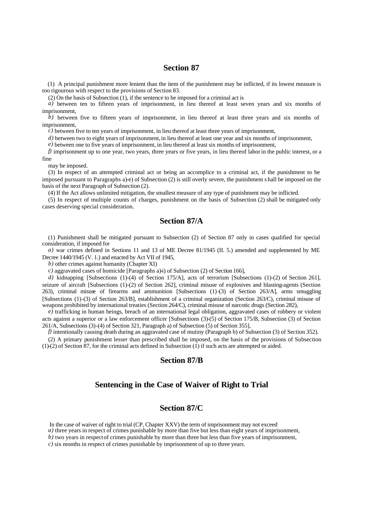(1) A principal punishment more lenient than the item of the punishment may be inflicted, if its lowest measure is too rigourous with respect to the provisions of Section 83.

(2) On the basis of Subsection (1), if the sentence to be imposed for a criminal act is

*a*) between ten to fifteen years of imprisonment, in lieu thereof at least seven years and six months of imprisonment,

 $\hat{b}$ ) between five to fifteen years of imprisonment, in lieu thereof at least three years and six months of imprisonment,

*c)* between five to ten years of imprisonment, in lieu thereof at least three years of imprisonment,

*d*) between two to eight years of imprisonment, in lieu thereof at least one year and six months of imprisonment,

*e)* between one to five years of imprisonment, in lieu thereof at least six months of imprisonment,

*f)* imprisonment up to one year, two years, three years or five years, in lieu thereof labor in the public interest, or a fine

may be imposed.

(3) In respect of an attempted criminal act or being an accomplice to a criminal act, if the punishment to be imposed pursuant to Paragraphs a)-e) of Subsection (2) is still overly severe, the punishment s hall be imposed on the basis of the next Paragraph of Subsection (2).

(4) If the Act allows unlimited mitigation, the smallest measure of any type of punishment may be inflicted.

(5) In respect of multiple counts of charges, punishment on the basis of Subsection (2) shall be mitigated only cases deserving special consideration.

# **Section 87/A**

(1) Punishment shall be mitigated pursuant to Subsection (2) of Section 87 only in cases qualified for special consideration, if imposed for

*a)* war crimes defined in Sections 11 and 13 of ME Decree 81/1945 (II. 5.) amended and supplemented by ME Decree 1440/1945 (V. 1.) and enacted by Act VII of 1945,

*b)* other crimes against humanity (Chapter XI)

*c*) aggravated cases of homicide [Paragraphs a)-i) of Subsection (2) of Section 166],

*d)* kidnapping [Subsections (1)-(4) of Section 175/A], acts of terrorism [Subsections (1)-(2) of Section 261], seizure of aircraft [Subsections (1)-(2) of Section 262], criminal misuse of explosives and blasting-agents (Section 263), criminal misuse of firearms and ammunition [Subsections (1)-(3) of Section 263/A], arms smuggling [Subsections (1)-(3) of Section 263/B], establishment of a criminal organization (Section 263/C), criminal misuse of weapons prohibited by international treaties (Section 264/C), criminal misuse of narcotic drugs (Section 282),

*e)* trafficking in human beings, breach of an international legal obligation, aggravated cases of robbery or violent acts against a superior or a law enforcement officer [Subsections (3)-(5) of Section 175/B, Subsection (3) of Section 261/A, Subsections (3)-(4) of Section 321, Paragraph a) of Subsection (5) of Section 355],

*f)* intentionally causing death during an aggravated case of mutiny (Paragraph b) of Subsection (3) of Section 352).

(2) A primary punishment lesser than prescribed shall be imposed, on the basis of the provisions of Subsection (1)-(2) of Section 87, for the criminal acts defined in Subsection (1) if such acts are attempted or aided.

## **Section 87/B**

# **Sentencing in the Case of Waiver of Right to Trial**

### **Section 87/C**

In the case of waiver of right to trial (CP, Chapter XXV) the term of imprisonment may not exceed

*a*) three years in respect of crimes punishable by more than five but less than eight years of imprisonment,

*b*) two years in respect of crimes punishable by more than three but less than five years of imprisonment,

*c)* six months in respect of crimes punishable by imprisonment of up to three years.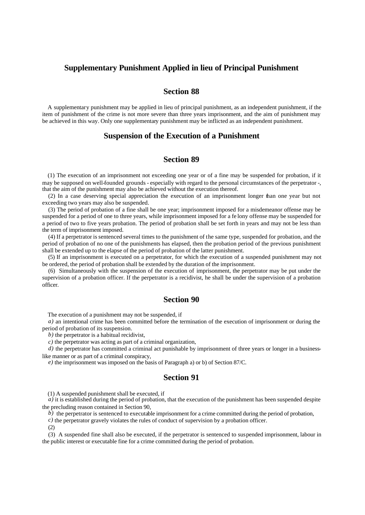#### **Supplementary Punishment Applied in lieu of Principal Punishment**

## **Section 88**

A supplementary punishment may be applied in lieu of principal punishment, as an independent punishment, if the item of punishment of the crime is not more severe than three years imprisonment, and the aim of punishment may be achieved in this way. Only one supplementary punishment may be inflicted as an independent punishment.

#### **Suspension of the Execution of a Punishment**

## **Section 89**

(1) The execution of an imprisonment not exceeding one year or of a fine may be suspended for probation, if it may be supposed on well-founded grounds - especially with regard to the personal circumstances of the perpetrator -, that the aim of the punishment may also be achieved without the execution thereof.

(2) In a case deserving special appreciation the execution of an imprisonment longer than one year but not exceeding two years may also be suspended.

(3) The period of probation of a fine shall be one year; imprisonment imposed for a misdemeanor offense may be suspended for a period of one to three years, while imprisonment imposed for a fe lony offense may be suspended for a period of two to five years probation. The period of probation shall be set forth in years and may not be less than the term of imprisonment imposed.

(4) If a perpetrator is sentenced several times to the punishment of the same type, suspended for probation, and the period of probation of no one of the punishments has elapsed, then the probation period of the previous punishment shall be extended up to the elapse of the period of probation of the latter punishment.

(5) If an imprisonment is executed on a perpetrator, for which the execution of a suspended punishment may not be ordered, the period of probation shall be extended by the duration of the imprisonment.

(6) Simultaneously with the suspension of the execution of imprisonment, the perpetrator may be put under the supervision of a probation officer. If the perpetrator is a recidivist, he shall be under the supervision of a probation officer.

# **Section 90**

The execution of a punishment may not be suspended, if

*a)* an intentional crime has been committed before the termination of the execution of imprisonment or during the period of probation of its suspension.

*b)* the perpetrator is a habitual recidivist,

*c)* the perpetrator was acting as part of a criminal organization,

*d*) the perpetrator has committed a criminal act punishable by imprisonment of three years or longer in a businesslike manner or as part of a criminal conspiracy,

*e)* the imprisonment was imposed on the basis of Paragraph a) or b) of Section 87/C.

# **Section 91**

(1) A suspended punishment shall be executed, if

*a)* it is established during the period of probation, that the execution of the punishment has been suspended despite the precluding reason contained in Section 90,

*b*) the perpetrator is sentenced to executable imprisonment for a crime committed during the period of probation,

*c)* the perpetrator gravely violates the rules of conduct of supervision by a probation officer.

(2)

(3) A suspended fine shall also be executed, if the perpetrator is sentenced to suspended imprisonment, labour in the public interest or executable fine for a crime committed during the period of probation.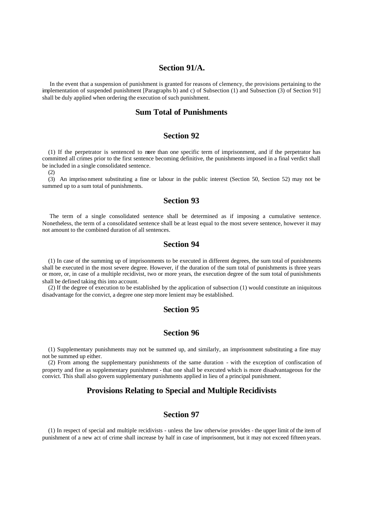# **Section 91/A.**

 In the event that a suspension of punishment is granted for reasons of clemency, the provisions pertaining to the implementation of suspended punishment [Paragraphs b) and c) of Subsection (1) and Subsection (3) of Section 91] shall be duly applied when ordering the execution of such punishment.

#### **Sum Total of Punishments**

#### **Section 92**

(1) If the perpetrator is sentenced to more than one specific term of imprisonment, and if the perpetrator has committed all crimes prior to the first sentence becoming definitive, the punishments imposed in a final verdict shall be included in a single consolidated sentence.

(2)

(3) An impriso nment substituting a fine or labour in the public interest (Section 50, Section 52) may not be summed up to a sum total of punishments.

# **Section 93**

 The term of a single consolidated sentence shall be determined as if imposing a cumulative sentence. Nonetheless, the term of a consolidated sentence shall be at least equal to the most severe sentence, however it may not amount to the combined duration of all sentences.

## **Section 94**

(1) In case of the summing up of imprisonments to be executed in different degrees, the sum total of punishments shall be executed in the most severe degree. However, if the duration of the sum total of punishments is three years or more, or, in case of a multiple recidivist, two or more years, the execution degree of the sum total of punishments shall be defined taking this into account.

(2) If the degree of execution to be established by the application of subsection (1) would constitute an iniquitous disadvantage for the convict, a degree one step more lenient may be established.

## **Section 95**

# **Section 96**

(1) Supplementary punishments may not be summed up, and similarly, an imprisonment substituting a fine may not be summed up either.

(2) From among the supplementary punishments of the same duration - with the exception of confiscation of property and fine as supplementary punishment - that one shall be executed which is more disadvantageous for the convict. This shall also govern supplementary punishments applied in lieu of a principal punishment.

## **Provisions Relating to Special and Multiple Recidivists**

# **Section 97**

(1) In respect of special and multiple recidivists - unless the law otherwise provides - the upper limit of the item of punishment of a new act of crime shall increase by half in case of imprisonment, but it may not exceed fifteen years.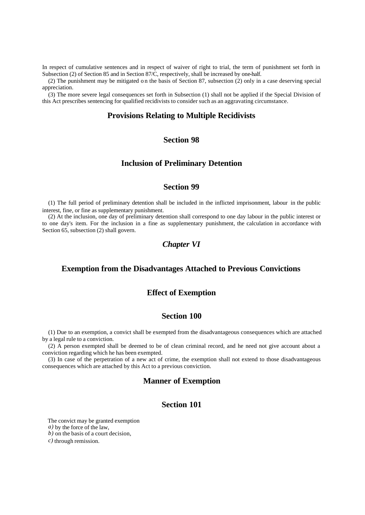In respect of cumulative sentences and in respect of waiver of right to trial, the term of punishment set forth in Subsection (2) of Section 85 and in Section 87/C, respectively, shall be increased by one-half.

(2) The punishment may be mitigated o n the basis of Section 87, subsection (2) only in a case deserving special appreciation.

(3) The more severe legal consequences set forth in Subsection (1) shall not be applied if the Special Division of this Act prescribes sentencing for qualified recidivists to consider such as an aggravating circumstance.

#### **Provisions Relating to Multiple Recidivists**

# **Section 98**

#### **Inclusion of Preliminary Detention**

# **Section 99**

(1) The full period of preliminary detention shall be included in the inflicted imprisonment, labour in the public interest, fine, or fine as supplementary punishment.

(2) At the inclusion, one day of preliminary detention shall correspond to one day labour in the public interest or to one day's item. For the inclusion in a fine as supplementary punishment, the calculation in accordance with Section 65, subsection (2) shall govern.

# *Chapter VI*

## **Exemption from the Disadvantages Attached to Previous Convictions**

#### **Effect of Exemption**

#### **Section 100**

(1) Due to an exemption, a convict shall be exempted from the disadvantageous consequences which are attached by a legal rule to a conviction.

(2) A person exempted shall be deemed to be of clean criminal record, and he need not give account about a conviction regarding which he has been exempted.

(3) In case of the perpetration of a new act of crime, the exemption shall not extend to those disadvantageous consequences which are attached by this Act to a previous conviction.

#### **Manner of Exemption**

#### **Section 101**

The convict may be granted exemption *a)* by the force of the law,

*b)* on the basis of a court decision,

*c)* through remission.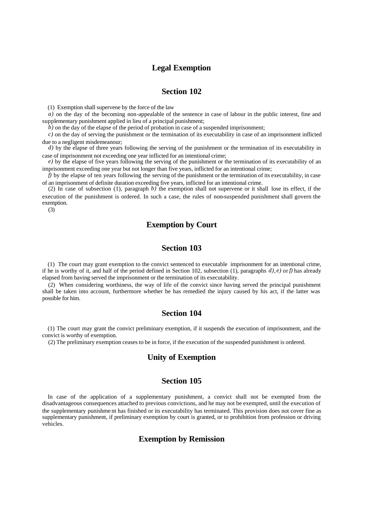# **Legal Exemption**

## **Section 102**

(1) Exemption shall supervene by the force of the law

*a*) on the day of the becoming non-appealable of the sentence in case of labour in the public interest, fine and supplementary punishment applied in lieu of a principal punishment;

*b)* on the day of the elapse of the period of probation in case of a suspended imprisonment;

*c)* on the day of serving the punishment or the termination of its executability in case of an imprisonment inflicted due to a negligent misdemeanour;

*d*) by the elapse of three years following the serving of the punishment or the termination of its executability in case of imprisonment not exceeding one year inflicted for an intentional crime;

*e)* by the elapse of five years following the serving of the punishment or the termination of its executability of an imprisonment exceeding one year but not longer than five years, inflicted for an intentional crime;

 $\bar{f}$ ) by the elapse of ten years following the serving of the punishment or the termination of its executability, in case of an imprisonment of definite duration exceeding five years, inflicted for an intentional crime.

(2) In case of subsection (1), paragraph *b)* the exemption shall not supervene or it shall lose its effect, if the execution of the punishment is ordered. In such a case, the rules of non-suspended punishment shall govern the exemption.

(3)

# **Exemption by Court**

# **Section 103**

(1) The court may grant exemption to the convict sentenced to executable imprisonment for an intentional crime, if he is worthy of it, and half of the period defined in Section 102, subsection (1), paragraphs  $d$ ,  $e$ ) or f) has already elapsed from having served the imprisonment or the termination of its executability.

(2) When considering worthiness, the way of life of the convict since having served the principal punishment shall be taken into account, furthermore whether he has remedied the injury caused by his act, if the latter was possible for him.

## **Section 104**

(1) The court may grant the convict preliminary exemption, if it suspends the execution of imprisonment, and the convict is worthy of exemption.

(2) The preliminary exemption ceases to be in force, if the execution of the suspended punishment is ordered.

## **Unity of Exemption**

## **Section 105**

In case of the application of a supplementary punishment, a convict shall not be exempted from the disadvantageous consequences attached to previous convictions, and he may not be exempted, until the execution of the supplementary punishme nt has finished or its executability has terminated. This provision does not cover fine as supplementary punishment, if preliminary exemption by court is granted, or to prohibition from profession or driving vehicles.

# **Exemption by Remission**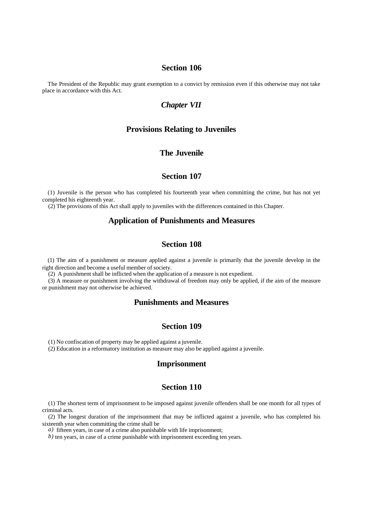The President of the Republic may grant exemption to a convict by remission even if this otherwise may not take place in accordance with this Act.

## *Chapter VII*

#### **Provisions Relating to Juveniles**

# **The Juvenile**

#### **Section 107**

(1) Juvenile is the person who has completed his fourteenth year when committing the crime, but has not yet completed his eighteenth year.

(2) The provisions of this Act shall apply to juveniles with the differences contained in this Chapter.

### **Application of Punishments and Measures**

# **Section 108**

(1) The aim of a punishment or measure applied against a juvenile is primarily that the juvenile develop in the right direction and become a useful member of society.

(2) A punishment shall be inflicted when the application of a measure is not expedient.

(3) A measure or punishment involving the withdrawal of freedom may only be applied, if the aim of the measure or punishment may not otherwise be achieved.

## **Punishments and Measures**

## **Section 109**

(1) No confiscation of property may be applied against a juvenile.

(2) Education in a reformatory institution as measure may also be applied against a juvenile.

#### **Imprisonment**

#### **Section 110**

(1) The shortest term of imprisonment to be imposed against juvenile offenders shall be one month for all types of criminal acts.

(2) The longest duration of the imprisonment that may be inflicted against a juvenile, who has completed his sixteenth year when committing the crime shall be

*a)* fifteen years, in case of a crime also punishable with life imprisonment;

*b)* ten years, in case of a crime punishable with imprisonment exceeding ten years.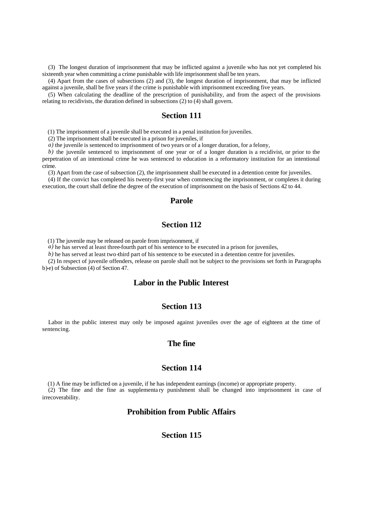(3) The longest duration of imprisonment that may be inflicted against a juvenile who has not yet completed his sixteenth year when committing a crime punishable with life imprisonment shall be ten years.

(4) Apart from the cases of subsections (2) and (3), the longest duration of imprisonment, that may be inflicted against a juvenile, shall be five years if the crime is punishable with imprisonment exceeding five years.

(5) When calculating the deadline of the prescription of punishability, and from the aspect of the provisions relating to recidivists, the duration defined in subsections (2) to (4) shall govern.

#### **Section 111**

(1) The imprisonment of a juvenile shall be executed in a penal institution for juveniles.

(2) The imprisonment shall be executed in a prison for juveniles, if

*a)* the juvenile is sentenced to imprisonment of two years or of a longer duration, for a felony,

*b)* the juvenile sentenced to imprisonment of one year or of a longer duration is a recidivist, or prior to the perpetration of an intentional crime he was sentenced to education in a reformatory institution for an intentional crime.

(3) Apart from the case of subsection (2), the imprisonment shall be executed in a detention centre for juveniles.

(4) If the convict has completed his twenty-first year when commencing the imprisonment, or completes it during execution, the court shall define the degree of the execution of imprisonment on the basis of Sections 42 to 44.

#### **Parole**

## **Section 112**

(1) The juvenile may be released on parole from imprisonment, if

*a*) he has served at least three-fourth part of his sentence to be executed in a prison for juveniles,

*b)* he has served at least two-third part of his sentence to be executed in a detention centre for juveniles.

(2) In respect of juvenile offenders, release on parole shall not be subject to the provisions set forth in Paragraphs b)-e) of Subsection (4) of Section 47.

### **Labor in the Public Interest**

#### **Section 113**

Labor in the public interest may only be imposed against juveniles over the age of eighteen at the time of sentencing.

#### **The fine**

#### **Section 114**

(1) A fine may be inflicted on a juvenile, if he has independent earnings (income) or appropriate property. (2) The fine and the fine as supplementa ry punishment shall be changed into imprisonment in case of irrecoverability.

# **Prohibition from Public Affairs**

#### **Section 115**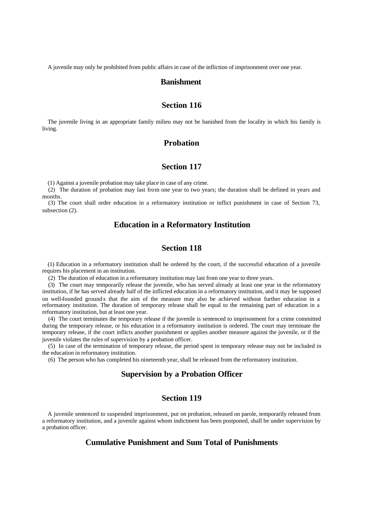A juvenile may only be prohibited from public affairs in case of the infliction of imprisonment over one year.

#### **Banishment**

#### **Section 116**

The juvenile living in an appropriate family milieu may not be banished from the locality in which his family is living.

# **Probation**

## **Section 117**

(1) Against a juvenile probation may take place in case of any crime.

(2) The duration of probation may last from one year to two years; the duration shall be defined in years and months.

(3) The court shall order education in a reformatory institution or inflict punishment in case of Section 73, subsection (2).

#### **Education in a Reformatory Institution**

# **Section 118**

(1) Education in a reformatory institution shall be ordered by the court, if the successful education of a juvenile requires his placement in an institution.

(2) The duration of education in a reformatory institution may last from one year to three years.

(3) The court may temporarily release the juvenile, who has served already at least one year in the reformatory institution, if he has served already half of the inflicted education in a reformatory institution, and it may be supposed on well-founded ground s that the aim of the measure may also be achieved without further education in a reformatory institution. The duration of temporary release shall be equal to the remaining part of education in a reformatory institution, but at least one year.

(4) The court terminates the temporary release if the juvenile is sentenced to imprisonment for a crime committed during the temporary release, or his education in a reformatory institution is ordered. The court may terminate the temporary release, if the court inflicts another punishment or applies another measure against the juvenile, or if the juvenile violates the rules of supervision by a probation officer.

(5) In case of the termination of temporary release, the period spent in temporary release may not be included in the education in reformatory institution.

(6) The person who has completed his nineteenth year, shall be released from the reformatory institution.

#### **Supervision by a Probation Officer**

# **Section 119**

A juvenile sentenced to suspended imprisonment, put on probation, released on parole, temporarily released from a reformatory institution, and a juvenile against whom indictment has been postponed, shall be under supervision by a probation officer.

# **Cumulative Punishment and Sum Total of Punishments**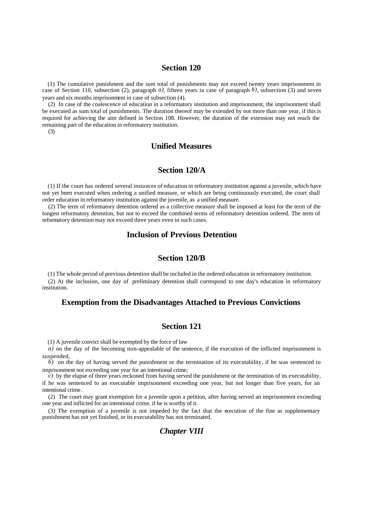(1) The cumulative punishment and the sum total of punishments may not exceed twenty years imprisonment in case of Section 110, subsection (2), paragraph *a)*, fifteen years in case of paragraph *b)*, subsection (3) and seven years and six months imprisonment in case of subsection (4).

(2) In case of the coalescence of education in a reformatory institution and imprisonment, the imprisonment shall be executed as sum total of punishments. The duration thereof may be extended by not more than one year, if this is required for achieving the aim defined in Section 108. However, the duration of the extension may not reach the remaining part of the education in reformatory institution.

(3)

## **Unified Measures**

#### **Section 120/A**

(1) If the court has ordered several instances of education in reformatory institution against a juvenile, which have not yet been executed when ordering a unified measure, or which are being continuously executed, the court shall order education in reformatory institution against the juvenile, as a unified measure.

(2) The term of reformatory detention ordered as a collective measure shall be imposed at least for the term of the longest reformatory detention, but not to exceed the combined terms of reformatory detention ordered. The term of reformatory detention may not exceed three years even in such cases.

## **Inclusion of Previous Detention**

## **Section 120/B**

(1) The whole period of previous detention shall be included in the ordered education in reformatory institution. (2) At the inclusion, one day of preliminary detention shall correspond to one day's education in reformatory institution.

#### **Exemption from the Disadvantages Attached to Previous Convictions**

#### **Section 121**

(1) A juvenile convict shall be exempted by the force of law

*a*) on the day of the becoming non-appealable of the sentence, if the execution of the inflicted imprisonment is suspended,

 $\vec{b}$ ) on the day of having served the punishment or the termination of its executability, if he was sentenced to imprisonment not exceeding one year for an intentional crime;

 $\hat{c}$ ) by the elapse of three years reckoned from having served the punishment or the termination of its executability, if he was sentenced to an executable imprisonment exceeding one year, but not longer than five years, for an intentional crime .

(2) The court may grant exemption for a juvenile upon a petition, after having served an imprisonment exceeding one year and inflicted for an intentional crime, if he is worthy of it.

(3) The exemption of a juvenile is not impeded by the fact that the execution of the fine as supplementary punishment has not yet finished, or its executability has not terminated.

# *Chapter VIII*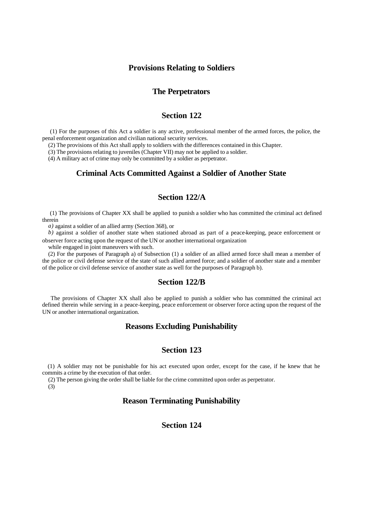#### **Provisions Relating to Soldiers**

### **The Perpetrators**

#### **Section 122**

 (1) For the purposes of this Act a soldier is any active, professional member of the armed forces, the police, the penal enforcement organization and civilian national security services.

(2) The provisions of this Act shall apply to soldiers with the differences contained in this Chapter.

(3) The provisions relating to juveniles (Chapter VII) may not be applied to a soldier.

(4) A military act of crime may only be committed by a soldier as perpetrator.

# **Criminal Acts Committed Against a Soldier of Another State**

# **Section 122/A**

 (1) The provisions of Chapter XX shall be applied to punish a soldier who has committed the criminal act defined therein

*a)* against a soldier of an allied army (Section 368), or

*b)* against a soldier of another state when stationed abroad as part of a peace-keeping, peace enforcement or observer force acting upon the request of the UN or another international organization

while engaged in joint maneuvers with such.

(2) For the purposes of Paragraph a) of Subsection (1) a soldier of an allied armed force shall mean a member of the police or civil defense service of the state of such allied armed force; and a soldier of another state and a member of the police or civil defense service of another state as well for the purposes of Paragraph b).

#### **Section 122/B**

 The provisions of Chapter XX shall also be applied to punish a soldier who has committed the criminal act defined therein while serving in a peace-keeping, peace enforcement or observer force acting upon the request of the UN or another international organization.

#### **Reasons Excluding Punishability**

## **Section 123**

(1) A soldier may not be punishable for his act executed upon order, except for the case, if he knew that he commits a crime by the execution of that order.

(2) The person giving the order shall be liable for the crime committed upon order as perpetrator.

(3)

# **Reason Terminating Punishability**

# **Section 124**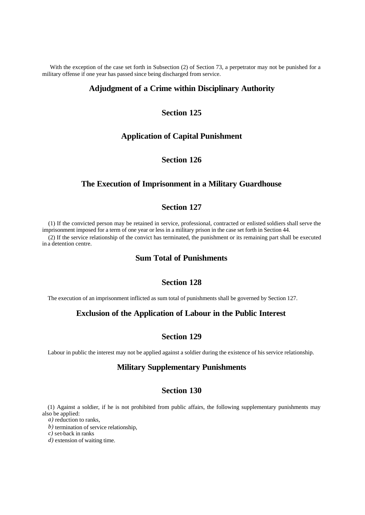With the exception of the case set forth in Subsection (2) of Section 73, a perpetrator may not be punished for a military offense if one year has passed since being discharged from service.

## **Adjudgment of a Crime within Disciplinary Authority**

# **Section 125**

#### **Application of Capital Punishment**

# **Section 126**

# **The Execution of Imprisonment in a Military Guardhouse**

# **Section 127**

(1) If the convicted person may be retained in service, professional, contracted or enlisted soldiers shall serve the imprisonment imposed for a term of one year or less in a military prison in the case set forth in Section 44.

(2) If the service relationship of the convict has terminated, the punishment or its remaining part shall be executed in a detention centre.

# **Sum Total of Punishments**

#### **Section 128**

The execution of an imprisonment inflicted as sum total of punishments shall be governed by Section 127.

## **Exclusion of the Application of Labour in the Public Interest**

# **Section 129**

Labour in public the interest may not be applied against a soldier during the existence of his service relationship.

## **Military Supplementary Punishments**

## **Section 130**

(1) Against a soldier, if he is not prohibited from public affairs, the following supplementary punishments may also be applied:

*a)* reduction to ranks,

*b)* termination of service relationship,

*c)* set-back in ranks

*d)* extension of waiting time.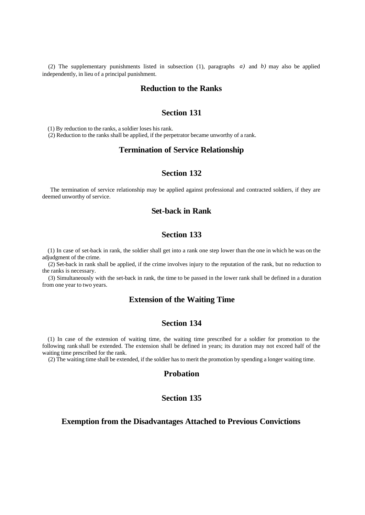(2) The supplementary punishments listed in subsection (1), paragraphs *a)* and *b)* may also be applied independently, in lieu of a principal punishment.

#### **Reduction to the Ranks**

## **Section 131**

(1) By reduction to the ranks, a soldier loses his rank.

(2) Reduction to the ranks shall be applied, if the perpetrator became unworthy of a rank.

# **Termination of Service Relationship**

## **Section 132**

 The termination of service relationship may be applied against professional and contracted soldiers, if they are deemed unworthy of service.

# **Set-back in Rank**

# **Section 133**

(1) In case of set-back in rank, the soldier shall get into a rank one step lower than the one in which he was on the adjudgment of the crime.

(2) Set-back in rank shall be applied, if the crime involves injury to the reputation of the rank, but no reduction to the ranks is necessary.

(3) Simultaneously with the set-back in rank, the time to be passed in the lower rank shall be defined in a duration from one year to two years.

## **Extension of the Waiting Time**

#### **Section 134**

(1) In case of the extension of waiting time, the waiting time prescribed for a soldier for promotion to the following rank shall be extended. The extension shall be defined in years; its duration may not exceed half of the waiting time prescribed for the rank.

(2) The waiting time shall be extended, if the soldier has to merit the promotion by spending a longer waiting time.

#### **Probation**

# **Section 135**

#### **Exemption from the Disadvantages Attached to Previous Convictions**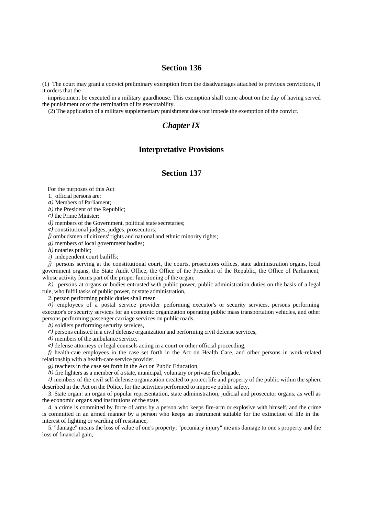(1) The court may grant a convict preliminary exemption from the disadvantages attached to previous convictions, if it orders that the

imprisonment be executed in a military guardhouse. This exemption shall come about on the day of having served the punishment or of the termination of its executability.

(2) The application of a military supplementary punishment does not impede the exemption of the convict.

# *Chapter IX*

#### **Interpretative Provisions**

## **Section 137**

For the purposes of this Act

1. official persons are:

*a)* Members of Parliament;

*b)* the President of the Republic;

*c)* the Prime Minister;

*d)* members of the Government, political state secretaries;

*e)* constitutional judges, judges, prosecutors;

*f)* ombudsmen of citizens' rights and national and ethnic minority rights;

*g)* members of local government bodies;

*h)* notaries public;

*i*) independent court bailiffs;

*j*) persons serving at the constitutional court, the courts, prosecutors offices, state administration organs, local government organs, the State Audit Office, the Office of the President of the Republic, the Office of Parliament, whose activity forms part of the proper functioning of the organ;

*k)* persons at organs or bodies entrusted with public power, public administration duties on the basis of a legal rule, who fulfil tasks of public power, or state administration,

2. person performing public duties shall mean

*a*) employees of a postal service provider performing executor's or security services, persons performing executor's or security services for an economic organization operating public mass transportation vehicles, and other persons performing passenger carriage services on public roads,

*b)* soldiers performing security services,

*c)* persons enlisted in a civil defense organization and performing civil defense services,

*d*) members of the ambulance service,

*e)* defense attorneys or legal counsels acting in a court or other official proceeding,

*f)* health-care employees in the case set forth in the Act on Health Care, and other persons in work-related relationship with a health-care service provider,

*g)* teachers in the case set forth in the Act on Public Education,

*h*) fire fighters as a member of a state, municipal, voluntary or private fire brigade,

*i*) members of the civil self-defense organization created to protect life and property of the public within the sphere described in the Act on the Police, for the activities performed to improve public safety,

3. State organ: an organ of popular representation, state administration, judicial and prosecutor organs, as well as the economic organs and institutions of the state,

4. a crime is committed by force of arms by a person who keeps fire-arm or explosive with himself, and the crime is committed in an armed manner by a person who keeps an instrument suitable for the extinction of life in the interest of fighting or warding off resistance,

5. "damage" means the loss of value of one's property; "pecuniary injury" me ans damage to one's property and the loss of financial gain,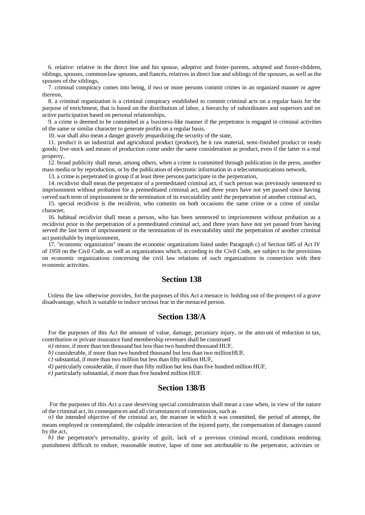6. relative: relative in the direct line and his spouse, adoptive and foster-parents, adopted and foster-children, siblings, spouses, common-law spouses, and fiancés, relatives in direct line and siblings of the spouses, as well as the spouses of the siblings,

7. criminal conspiracy comes into being, if two or more persons commit crimes in an organized manner or agree thereon,

8. a criminal organization is a criminal conspiracy established to commit criminal acts on a regular basis for the purpose of enrichment, that is based on the distribution of labor, a hierarchy of subordinates and superiors and on active participation based on personal relationships,

9. a crime is deemed to be committed in a business-like manner if the perpetrator is engaged in criminal activities of the same or similar character to generate profits on a regular basis,

10. war shall also mean a danger gravely jeopardizing the security of the state,

11. product is an industrial and agricultural product (produce), be it raw material, semi-finished product or ready goods; live-stock and means of production come under the same consideration as product, even if the latter is a real property,

12. broad publicity shall mean, among others, when a crime is committed through publication in the press, another mass media or by reproduction, or by the publication of electronic information in a telecommunications network,

13. a crime is perpetrated in group if at least three persons participate in the perpetration,

14. recidivist shall mean the perpetrator of a premeditated criminal act, if such person was previously sentenced to imprisonment without probation for a premeditated criminal act, and three years have not yet passed since having served such term of imprisonment or the termination of its executability until the perpetration of another criminal act,

15. special recidivist is the recidivist, who commits on both occasions the same crime or a crime of similar character,

16. habitual recidivist shall mean a person, who has been sentenced to imprisonment without probation as a recidivist prior to the perpetration of a premeditated criminal act, and three years have not yet passed from having served the last term of imprisonment or the termination of its executability until the perpetration of another criminal act punishable by imprisonment,

17. "economic organization" means the economic organizations listed under Paragraph c) of Section 685 of Act IV of 1959 on the Civil Code, as well as organizations which, according to the Civil Code, are subject to the provisions on economic organizations concerning the civil law relations of such organizations in connection with their economic activities.

# **Section 138**

Unless the law otherwise provides, for the purposes of this Act a menace is: holding out of the prospect of a grave disadvantage, which is suitable to induce serious fear in the menaced person.

#### **Section 138/A**

For the purposes of this Act the amount of value, damage, pecuniary injury, or the amo unt of reduction in tax, contribution or private insurance fund membership revenues shall be construed

*a)* minor, if more than ten thousand but less than two hundred thousand HUF,

*b)* considerable, if more than two hundred thousand but less than two million HUF,

*c)* substantial, if more than two million but less than fifty million HUF,

*d)* particularly considerable, if more than fifty million but less than five hundred million HUF,

*e)* particularly substantial, if more than five hundred million HUF.

#### **Section 138/B**

 For the purposes of this Act a case deserving special consideration shall mean a case when, in view of the nature of the criminal act, its consequences and all circumstances of commission, such as

*a*) the intended objective of the criminal act, the manner in which it was committed, the period of attempt, the means employed or contemplated, the culpable interaction of the injured party, the compensation of damages caused by the act,

*b*) the perpetrator's personality, gravity of guilt, lack of a previous criminal record, conditions rendering punishment difficult to endure, reasonable motive, lapse of time not attributable to the perpetrator, activities or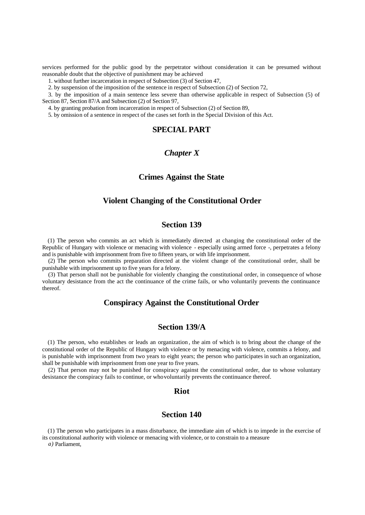services performed for the public good by the perpetrator without consideration it can be presumed without reasonable doubt that the objective of punishment may be achieved

1. without further incarceration in respect of Subsection (3) of Section 47,

2. by suspension of the imposition of the sentence in respect of Subsection (2) of Section 72,

3. by the imposition of a main sentence less severe than otherwise applicable in respect of Subsection (5) of Section 87, Section 87/A and Subsection (2) of Section 97,

4. by granting probation from incarceration in respect of Subsection (2) of Section 89,

5. by omission of a sentence in respect of the cases set forth in the Special Division of this Act.

#### **SPECIAL PART**

### *Chapter X*

## **Crimes Against the State**

#### **Violent Changing of the Constitutional Order**

# **Section 139**

(1) The person who commits an act which is immediately directed at changing the constitutional order of the Republic of Hungary with violence or menacing with violence - especially using armed force -, perpetrates a felony and is punishable with imprisonment from five to fifteen years, or with life imprisonment.

(2) The person who commits preparation directed at the violent change of the constitutional order, shall be punishable with imprisonment up to five years for a felony.

(3) That person shall not be punishable for violently changing the constitutional order, in consequence of whose voluntary desistance from the act the continuance of the crime fails, or who voluntarily prevents the continuance thereof.

#### **Conspiracy Against the Constitutional Order**

#### **Section 139/A**

(1) The person, who establishes or leads an organization , the aim of which is to bring about the change of the constitutional order of the Republic of Hungary with violence or by menacing with violence, commits a felony, and is punishable with imprisonment from two years to eight years; the person who participates in such an organization, shall be punishable with imprisonment from one year to five years.

(2) That person may not be punished for conspiracy against the constitutional order, due to whose voluntary desistance the conspiracy fails to continue, or who voluntarily prevents the continuance thereof.

#### **Riot**

## **Section 140**

(1) The person who participates in a mass disturbance, the immediate aim of which is to impede in the exercise of its constitutional authority with violence or menacing with violence, or to constrain to a measure

*a)* Parliament,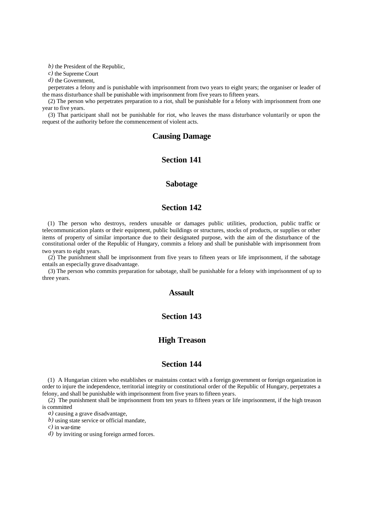*b)* the President of the Republic,

*c)* the Supreme Court

*d)* the Government,

perpetrates a felony and is punishable with imprisonment from two years to eight years; the organiser or leader of the mass disturbance shall be punishable with imprisonment from five years to fifteen years.

(2) The person who perpetrates preparation to a riot, shall be punishable for a felony with imprisonment from one year to five years.

(3) That participant shall not be punishable for riot, who leaves the mass disturbance voluntarily or upon the request of the authority before the commencement of violent acts.

#### **Causing Damage**

## **Section 141**

#### **Sabotage**

# **Section 142**

(1) The person who destroys, renders unusable or damages public utilities, production, public traffic or telecommunication plants or their equipment, public buildings or structures, stocks of products, or supplies or other items of property of similar importance due to their designated purpose, with the aim of the disturbance of the constitutional order of the Republic of Hungary, commits a felony and shall be punishable with imprisonment from two years to eight years.

(2) The punishment shall be imprisonment from five years to fifteen years or life imprisonment, if the sabotage entails an especially grave disadvantage.

(3) The person who commits preparation for sabotage, shall be punishable for a felony with imprisonment of up to three years.

## **Assault**

### **Section 143**

## **High Treason**

#### **Section 144**

(1) A Hungarian citizen who establishes or maintains contact with a foreign government or foreign organization in order to injure the independence, territorial integrity or constitutional order of the Republic of Hungary, perpetrates a felony, and shall be punishable with imprisonment from five years to fifteen years.

(2) The punishment shall be imprisonment from ten years to fifteen years or life imprisonment, if the high treason is committed

*a)* causing a grave disadvantage,

*b)* using state service or official mandate,

*c)* in war-time

*d)* by inviting or using foreign armed forces.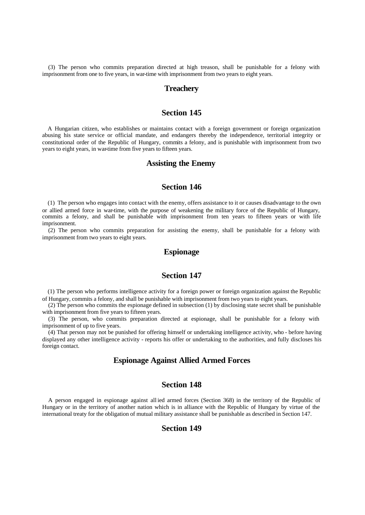(3) The person who commits preparation directed at high treason, shall be punishable for a felony with imprisonment from one to five years, in war-time with imprisonment from two years to eight years.

#### **Treachery**

# **Section 145**

A Hungarian citizen, who establishes or maintains contact with a foreign government or foreign organization abusing his state service or official mandate, and endangers thereby the independence, territorial integrity or constitutional order of the Republic of Hungary, commits a felony, and is punishable with imprisonment from two years to eight years, in war-time from five years to fifteen years.

#### **Assisting the Enemy**

## **Section 146**

(1) The person who engages into contact with the enemy, offers assistance to it or causes disadvantage to the own or allied armed force in war-time, with the purpose of weakening the military force of the Republic of Hungary, commits a felony, and shall be punishable with imprisonment from ten years to fifteen years or with life imprisonment.

(2) The person who commits preparation for assisting the enemy, shall be punishable for a felony with imprisonment from two years to eight years.

#### **Espionage**

# **Section 147**

(1) The person who performs intelligence activity for a foreign power or foreign organization against the Republic of Hungary, commits a felony, and shall be punishable with imprisonment from two years to eight years.

(2) The person who commits the espionage defined in subsection (1) by disclosing state secret shall be punishable with imprisonment from five years to fifteen years.

(3) The person, who commits preparation directed at espionage, shall be punishable for a felony with imprisonment of up to five years.

(4) That person may not be punished for offering himself or undertaking intelligence activity, who - before having displayed any other intelligence activity - reports his offer or undertaking to the authorities, and fully discloses his foreign contact.

# **Espionage Against Allied Armed Forces**

# **Section 148**

A person engaged in espionage against all ied armed forces (Section 368) in the territory of the Republic of Hungary or in the territory of another nation which is in alliance with the Republic of Hungary by virtue of the international treaty for the obligation of mutual military assistance shall be punishable as described in Section 147.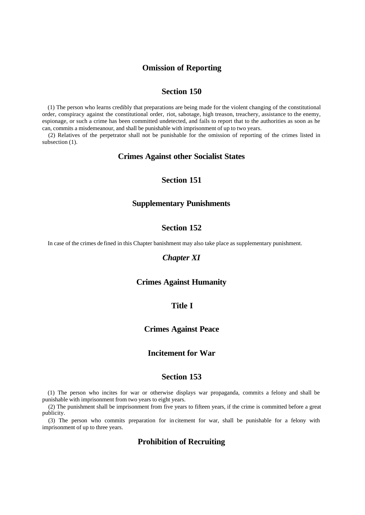### **Omission of Reporting**

# **Section 150**

(1) The person who learns credibly that preparations are being made for the violent changing of the constitutional order, conspiracy against the constitutional order, riot, sabotage, high treason, treachery, assistance to the enemy, espionage, or such a crime has been committed undetected, and fails to report that to the authorities as soon as he can, commits a misdemeanour, and shall be punishable with imprisonment of up to two years.

(2) Relatives of the perpetrator shall not be punishable for the omission of reporting of the crimes listed in subsection  $(1)$ .

#### **Crimes Against other Socialist States**

# **Section 151**

#### **Supplementary Punishments**

# **Section 152**

In case of the crimes de fined in this Chapter banishment may also take place as supplementary punishment.

## *Chapter XI*

# **Crimes Against Humanity**

#### **Title I**

### **Crimes Against Peace**

# **Incitement for War**

#### **Section 153**

(1) The person who incites for war or otherwise displays war propaganda, commits a felony and shall be punishable with imprisonment from two years to eight years.

(2) The punishment shall be imprisonment from five years to fifteen years, if the crime is committed before a great publicity.

(3) The person who commits preparation for in citement for war, shall be punishable for a felony with imprisonment of up to three years.

## **Prohibition of Recruiting**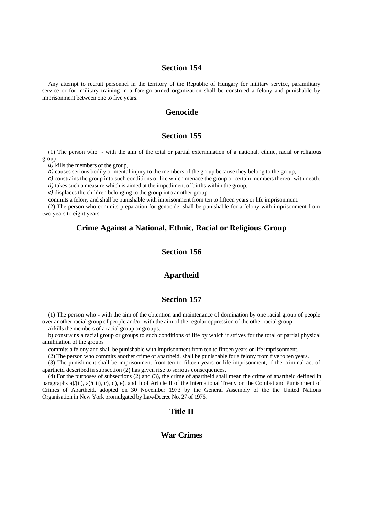# **Section 154**

Any attempt to recruit personnel in the territory of the Republic of Hungary for military service, paramilitary service or for military training in a foreign armed organization shall be construed a felony and punishable by imprisonment between one to five years.

## **Genocide**

### **Section 155**

(1) The person who - with the aim of the total or partial extermination of a national, ethnic, racial or religious group -

*a)* kills the members of the group,

*b*) causes serious bodily or mental injury to the members of the group because they belong to the group,

*c)* constrains the group into such conditions of life which menace the group or certain members thereof with death,

*d*) takes such a measure which is aimed at the impediment of births within the group,

*e)* displaces the children belonging to the group into another group

commits a felony and shall be punishable with imprisonment from ten to fifteen years or life imprisonment.

(2) The person who commits preparation for genocide, shall be punishable for a felony with imprisonment from two years to eight years.

# **Crime Against a National, Ethnic, Racial or Religious Group**

# **Section 156**

#### **Apartheid**

## **Section 157**

(1) The person who - with the aim of the obtention and maintenance of domination by one racial group of people over another racial group of people and/or with the aim of the regular oppression of the other racial group -

a) kills the members of a racial group or groups,

b) constrains a racial group or groups to such conditions of life by which it strives for the total or partial physical annihilation of the groups

commits a felony and shall be punishable with imprisonment from ten to fifteen years or life imprisonment.

(2) The person who commits another crime of apartheid, shall be punishable for a felony from five to ten years.

(3) The punishment shall be imprisonment from ten to fifteen years or life imprisonment, if the criminal act of apartheid described in subsection (2) has given rise to serious consequences.

(4) For the purposes of subsections (2) and (3), the crime of apartheid shall mean the crime of apartheid defined in paragraphs a)/(ii), a)/(iii), c), d), e), and f) of Article II of the International Treaty on the Combat and Punishment of Crimes of Apartheid, adopted on 30 November 1973 by the General Assembly of the the United Nations Organisation in New York promulgated by Law-Decree No. 27 of 1976.

# **Title II**

#### **War Crimes**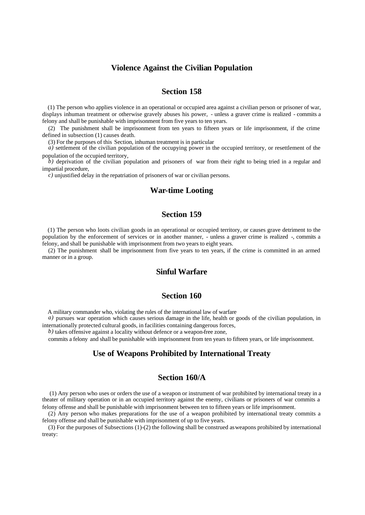#### **Violence Against the Civilian Population**

# **Section 158**

(1) The person who applies violence in an operational or occupied area against a civilian person or prisoner of war, displays inhuman treatment or otherwise gravely abuses his power, - unless a graver crime is realized - commits a felony and shall be punishable with imprisonment from five years to ten years.

(2) The punishment shall be imprisonment from ten years to fifteen years or life imprisonment, if the crime defined in subsection (1) causes death.

(3) For the purposes of this Section, inhuman treatment is in particular

*a*) settlement of the civilian population of the occupying power in the occupied territory, or resettlement of the population of the occupied territory,

*b)* deprivation of the civilian population and prisoners of war from their right to being tried in a regular and impartial procedure,

*c)* unjustified delay in the repatriation of prisoners of war or civilian persons.

#### **War-time Looting**

## **Section 159**

(1) The person who loots civilian goods in an operational or occupied territory, or causes grave detriment to the population by the enforcement of services or in another manner, - unless a graver crime is realized -, commits a felony, and shall be punishable with imprisonment from two years to eight years.

(2) The punishment shall be imprisonment from five years to ten years, if the crime is committed in an armed manner or in a group.

# **Sinful Warfare**

#### **Section 160**

A military commander who, violating the rules of the international law of warfare

*a*) pursues war operation which causes serious damage in the life, health or goods of the civilian population, in internationally protected cultural goods, in facilities containing dangerous forces,

*b)* takes offensive against a locality without defence or a weapon-free zone,

commits a felony and shall be punishable with imprisonment from ten years to fifteen years, or life imprisonment.

# **Use of Weapons Prohibited by International Treaty**

## **Section 160/A**

 (1) Any person who uses or orders the use of a weapon or instrument of war prohibited by international treaty in a theater of military operation or in an occupied territory against the enemy, civilians or prisoners of war commits a felony offense and shall be punishable with imprisonment between ten to fifteen years or life imprisonment.

(2) Any person who makes preparations for the use of a weapon prohibited by international treaty commits a felony offense and shall be punishable with imprisonment of up to five years.

(3) For the purposes of Subsections (1)-(2) the following shall be construed as weapons prohibited by international treaty: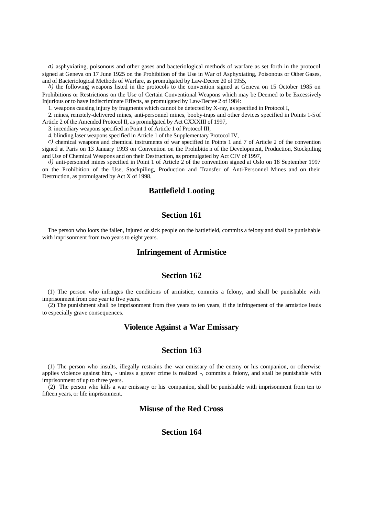*a)* asphyxiating, poisonous and other gases and bacteriological methods of warfare as set forth in the protocol signed at Geneva on 17 June 1925 on the Prohibition of the Use in War of Asphyxiating, Poisonous or Other Gases, and of Bacteriological Methods of Warfare, as promulgated by Law-Decree 20 of 1955,

*b*) the following weapons listed in the protocols to the convention signed at Geneva on 15 October 1985 on Prohibitions or Restrictions on the Use of Certain Conventional Weapons which may be Deemed to be Excessively Injurious or to have Indiscriminate Effects, as promulgated by Law-Decree 2 of 1984:

1. weapons causing injury by fragments which cannot be detected by X-ray, as specified in Protocol I,

2. mines, remotely-delivered mines, anti-personnel mines, booby-traps and other devices specified in Points 1-5 of Article 2 of the Amended Protocol II, as promulgated by Act CXXXIII of 1997,

3. incendiary weapons specified in Point 1 of Article 1 of Protocol III,

4. blinding laser weapons specified in Article 1 of the Supplementary Protocol IV,

*c)* chemical weapons and chemical instruments of war specified in Points 1 and 7 of Article 2 of the convention signed at Paris on 13 January 1993 on Convention on the Prohibitio n of the Development, Production, Stockpiling and Use of Chemical Weapons and on their Destruction, as promulgated by Act CIV of 1997,

*d*) anti-personnel mines specified in Point 1 of Article 2 of the convention signed at Oslo on 18 September 1997 on the Prohibition of the Use, Stockpiling, Production and Transfer of Anti-Personnel Mines and on their Destruction, as promulgated by Act X of 1998.

## **Battlefield Looting**

#### **Section 161**

The person who loots the fallen, injured or sick people on the battlefield, commits a felony and shall be punishable with imprisonment from two years to eight years.

#### **Infringement of Armistice**

## **Section 162**

(1) The person who infringes the conditions of armistice, commits a felony, and shall be punishable with imprisonment from one year to five years.

(2) The punishment shall be imprisonment from five years to ten years, if the infringement of the armistice leads to especially grave consequences.

# **Violence Against a War Emissary**

#### **Section 163**

(1) The person who insults, illegally restrains the war emissary of the enemy or his companion, or otherwise applies violence against him, - unless a graver crime is realized -, commits a felony, and shall be punishable with imprisonment of up to three years.

(2) The person who kills a war emissary or his companion, shall be punishable with imprisonment from ten to fifteen years, or life imprisonment.

## **Misuse of the Red Cross**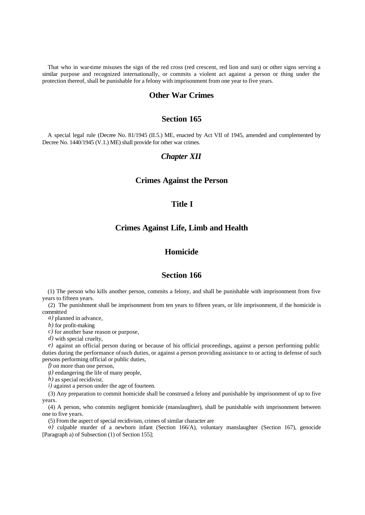That who in war-time misuses the sign of the red cross (red crescent, red lion and sun) or other signs serving a similar purpose and recognized internationally, or commits a violent act against a person or thing under the protection thereof, shall be punishable for a felony with imprisonment from one year to five years.

## **Other War Crimes**

## **Section 165**

A special legal rule (Decree No. 81/1945 (II.5.) ME, enacted by Act VII of 1945, amended and complemented by Decree No. 1440/1945 (V.1.) ME) shall provide for other war crimes.

#### *Chapter XII*

### **Crimes Against the Person**

### **Title I**

### **Crimes Against Life, Limb and Health**

# **Homicide**

# **Section 166**

(1) The person who kills another person, commits a felony, and shall be punishable with imprisonment from five years to fifteen years.

(2) The punishment shall be imprisonment from ten years to fifteen years, or life imprisonment, if the homicide is committed

*a)* planned in advance,

*b)* for profit-making

*c)* for another base reason or purpose,

*d)* with special cruelty,

*e)* against an official person during or because of his official proceedings, against a person performing public duties during the performance of such duties, or against a person providing assistance to or acting in defense of such persons performing official or public duties,

*f)* on more than one person,

*g)* endangering the life of many people,

*h)* as special recidivist.

*i*) against a person under the age of fourteen.

(3) Any preparation to commit homicide shall be construed a felony and punishable by imprisonment of up to five years.

(4) A person, who commits negligent homicide (manslaughter), shall be punishable with imprisonment between one to five years.

(5) From the aspect of special recidivism, crimes of similar character are

*a*) culpable murder of a newborn infant (Section 166/A), voluntary manslaughter (Section 167), genocide [Paragraph a) of Subsection (1) of Section 155];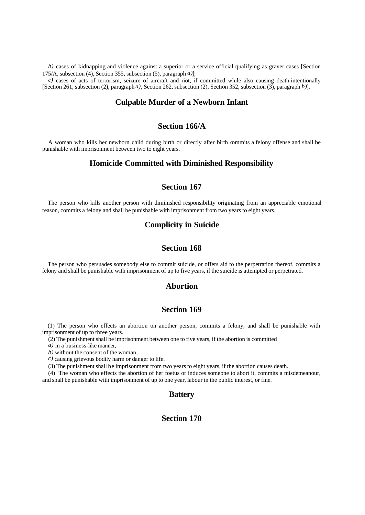*b*) cases of kidnapping and violence against a superior or a service official qualifying as graver cases [Section 175/A, subsection (4), Section 355, subsection (5), paragraph *a)*];

*c)* cases of acts of terrorism, seizure of aircraft and riot, if committed while also causing death intentionally [Section 261, subsection (2), paragraph *a)*, Section 262, subsection (2), Section 352, subsection (3), paragraph *b)*].

# **Culpable Murder of a Newborn Infant**

# **Section 166/A**

A woman who kills her newborn child during birth or directly after birth commits a felony offense and shall be punishable with imprisonment between two to eight years.

#### **Homicide Committed with Diminished Responsibility**

# **Section 167**

The person who kills another person with diminished responsibility originating from an appreciable emotional reason, commits a felony and shall be punishable with imprisonment from two years to eight years.

### **Complicity in Suicide**

## **Section 168**

The person who persuades somebody else to commit suicide, or offers aid to the perpetration thereof, commits a felony and shall be punishable with imprisonment of up to five years, if the suicide is attempted or perpetrated.

## **Abortion**

#### **Section 169**

(1) The person who effects an abortion on another person, commits a felony, and shall be punishable with imprisonment of up to three years.

(2) The punishment shall be imprisonment between one to five years, if the abortion is committed

*a)* in a business-like manner,

*b)* without the consent of the woman,

*c)* causing grievous bodily harm or danger to life.

(3) The punishment shall be imprisonment from two years to eight years, if the abortion causes death.

(4) The woman who effects the abortion of her foetus or induces someone to abort it, commits a misdemeanour, and shall be punishable with imprisonment of up to one year, labour in the public interest, or fine.

#### **Battery**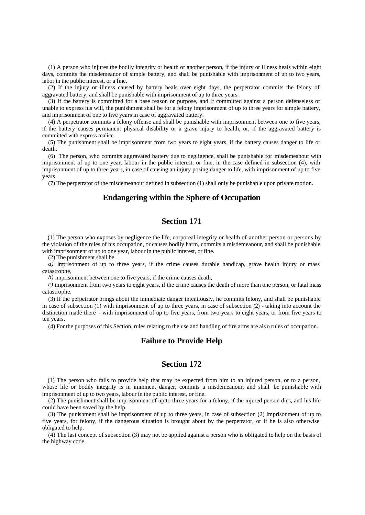(1) A person who injures the bodily integrity or health of another person, if the injury or illness heals within eight days, commits the misdemeanor of simple battery, and shall be punishable with imprisonment of up to two years, labor in the public interest, or a fine.

(2) If the injury or illness caused by battery heals over eight days, the perpetrator commits the felony of aggravated battery, and shall be punishable with imprisonment of up to three years.

(3) If the battery is committed for a base reason or purpose, and if committed against a person defenseless or unable to express his will, the punishment shall be for a felony imprisonment of up to three years for simple battery, and imprisonment of one to five years in case of aggravated battery.

(4) A perpetrator commits a felony offense and shall be punishable with imprisonment between one to five years, if the battery causes permanent physical disability or a grave injury to health, or, if the aggravated battery is committed with express malice.

(5) The punishment shall be imprisonment from two years to eight years, if the battery causes danger to life or death.

(6) The person, who commits aggravated battery due to negligence, shall be punishable for misdemeanour with imprisonment of up to one year, labour in the public interest, or fine, in the case defined in subsection (4), with imprisonment of up to three years, in case of causing an injury posing danger to life, with imprisonment of up to five years.

(7) The perpetrator of the misdemeanour defined in subsection (1) shall only be punishable upon private motion.

# **Endangering within the Sphere of Occupation**

### **Section 171**

(1) The person who exposes by negligence the life, corporeal integrity or health of another person or persons by the violation of the rules of his occupation, or causes bodily harm, commits a misdemeanour, and shall be punishable with imprisonment of up to one year, labour in the public interest, or fine.

(2) The punishment shall be

*a*) imprisonment of up to three years, if the crime causes durable handicap, grave health injury or mass catastrophe,

*b)* imprisonment between one to five years, if the crime causes death,

*c)* imprisonment from two years to eight years, if the crime causes the death of more than one person, or fatal mass catastrophe.

(3) If the perpetrator brings about the immediate danger intentiously, he commits felony, and shall be punishable in case of subsection (1) with imprisonment of up to three years, in case of subsection (2) - taking into account the distinction made there - with imprisonment of up to five years, from two years to eight years, or from five years to ten years.

(4) For the purposes of this Section, rules relating to the use and handling of fire arms are als o rules of occupation.

#### **Failure to Provide Help**

#### **Section 172**

(1) The person who fails to provide help that may be expected from him to an injured person, or to a person, whose life or bodily integrity is in imminent danger, commits a misdemeanour, and shall be punishable with imprisonment of up to two years, labour in the public interest, or fine.

(2) The punishment shall be imprisonment of up to three years for a felony, if the injured person dies, and his life could have been saved by the help.

(3) The punishment shall be imprisonment of up to three years, in case of subsection (2) imprisonment of up to five years, for felony, if the dangerous situation is brought about by the perpetrator, or if he is also otherwise obligated to help.

(4) The last concept of subsection (3) may not be applied against a person who is obligated to help on the basis of the highway code.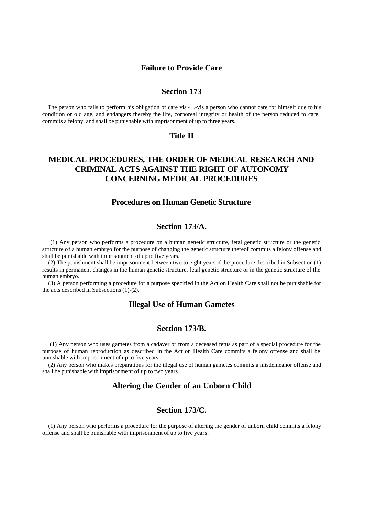#### **Failure to Provide Care**

### **Section 173**

The person who fails to perform his obligation of care vis -…-vis a person who cannot care for himself due to his condition or old age, and endangers thereby the life, corporeal integrity or health of the person reduced to care, commits a felony, and shall be punishable with imprisonment of up to three years.

### **Title II**

# **MEDICAL PROCEDURES, THE ORDER OF MEDICAL RESEARCH AND CRIMINAL ACTS AGAINST THE RIGHT OF AUTONOMY CONCERNING MEDICAL PROCEDURES**

# **Procedures on Human Genetic Structure**

# **Section 173/A.**

 (1) Any person who performs a procedure on a human genetic structure, fetal genetic structure or the genetic structure of a human embryo for the purpose of changing the genetic structure thereof commits a felony offense and shall be punishable with imprisonment of up to five years.

(2) The punishment shall be imprisonment between two to eight years if the procedure described in Subsection (1) results in permanent changes in the human genetic structure, fetal genetic structure or in the genetic structure of the human embryo.

(3) A person performing a procedure for a purpose specified in the Act on Health Care shall not be punishable for the acts described in Subsections (1)-(2).

# **Illegal Use of Human Gametes**

#### **Section 173/B.**

 (1) Any person who uses gametes from a cadaver or from a deceased fetus as part of a special procedure for the purpose of human reproduction as described in the Act on Health Care commits a felony offense and shall be punishable with imprisonment of up to five years.

(2) Any person who makes preparations for the illegal use of human gametes commits a misdemeanor offense and shall be punishable with imprisonment of up to two years.

## **Altering the Gender of an Unborn Child**

# **Section 173/C.**

(1) Any person who performs a procedure for the purpose of altering the gender of unborn child commits a felony offense and shall be punishable with imprisonment of up to five years.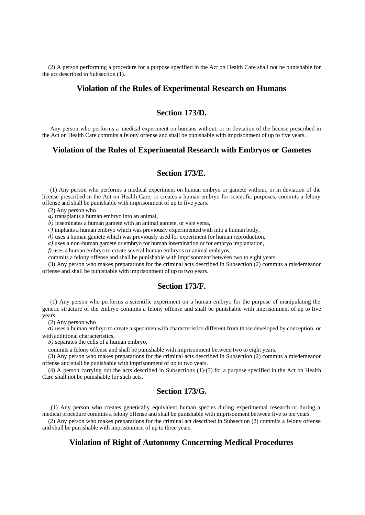(2) A person performing a procedure for a purpose specified in the Act on Health Care shall not be punishable for the act described in Subsection (1).

## **Violation of the Rules of Experimental Research on Humans**

# **Section 173/D.**

 Any person who performs a medical experiment on humans without, or in deviation of the license prescribed in the Act on Health Care commits a felony offense and shall be punishable with imprisonment of up to five years.

## **Violation of the Rules of Experimental Research with Embryos or Gametes**

# **Section 173/E.**

 (1) Any person who performs a medical experiment on human embryo or gamete without, or in deviation of the license prescribed in the Act on Health Care, or creates a human embryo for scientific purposes, commits a felony offense and shall be punishable with imprisonment of up to five years.

(2) Any person who

*a)* transplants a human embryo into an animal,

*b)* inseminates a human gamete with an animal gamete, or vice versa,

*c)* implants a human embryo which was previously experimented with into a human body,

*d)* uses a human gamete which was previously used for experiment for human reproduction,

*e)* uses a non-human gamete or embryo for human insemination or for embryo implantation,

*f)* uses a human embryo to create several human embryos or animal embryos,

commits a felony offense and shall be punishable with imprisonment between two to eight years.

(3) Any person who makes preparations for the criminal acts described in Subsection (2) commits a misdemeanor offense and shall be punishable with imprisonment of up to two years.

#### **Section 173/F.**

 (1) Any person who performs a scientific experiment on a human embryo for the purpose of manipulating the genetic structure of the embryo commits a felony offense and shall be punishable with imprisonment of up to five years.

(2) Any person who

*a)* uses a human embryo to create a specimen with characteristics different from those developed by conception, or with additional characteristics,

*b)* separates the cells of a human embryo,

commits a felony offense and shall be punishable with imprisonment between two to eight years.

(3) Any person who makes preparations for the criminal acts described in Subsection (2) commits a misdemeanor offense and shall be punishable with imprisonment of up to two years.

(4) A person carrying out the acts described in Subsections (1)-(3) for a purpose specified in the Act on Health Care shall not be punishable for such acts.

# **Section 173/G.**

 (1) Any person who creates genetically equivalent human species during experimental research or during a medical procedure commits a felony offense and shall be punishable with imprisonment between five to ten years.

(2) Any person who makes preparations for the criminal act described in Subsection (2) commits a felony offense and shall be punishable with imprisonment of up to three years.

# **Violation of Right of Autonomy Concerning Medical Procedures**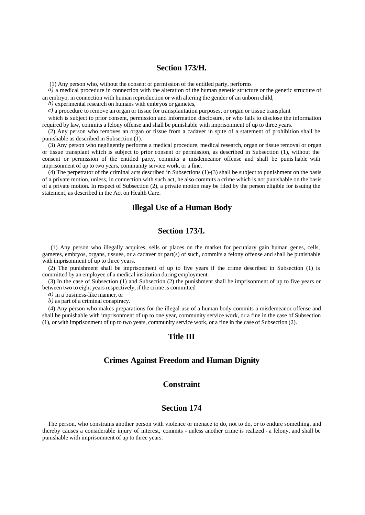## **Section 173/H.**

(1) Any person who, without the consent or permission of the entitled party, performs

*a)* a medical procedure in connection with the alteration of the human genetic structure or the genetic structure of an embryo, in connection with human reproduction or with altering the gender of an unborn child,

*b)* experimental research on humans with embryos or gametes,

*c)* a procedure to remove an organ or tissue for transplantation purposes, or organ or tissue transplant

which is subject to prior consent, permission and information disclosure, or who fails to disclose the information required by law, commits a felony offense and shall be punishable with imprisonment of up to three years.

(2) Any person who removes an organ or tissue from a cadaver in spite of a statement of prohibition shall be punishable as described in Subsection (1).

(3) Any person who negligently performs a medical procedure, medical research, organ or tissue removal or organ or tissue transplant which is subject to prior consent or permission, as described in Subsection (1), without the consent or permission of the entitled party, commits a misdemeanor offense and shall be punis hable with imprisonment of up to two years, community service work, or a fine.

 $(4)$  The perpetrator of the criminal acts described in Subsections (1)-(3) shall be subject to punishment on the basis of a private motion, unless, in connection with such act, he also commits a crime which is not punishable on the basis of a private motion. In respect of Subsection (2), a private motion may be filed by the person eligible for issuing the statement, as described in the Act on Health Care.

#### **Illegal Use of a Human Body**

# **Section 173/I.**

 (1) Any person who illegally acquires, sells or places on the market for pecuniary gain human genes, cells, gametes, embryos, organs, tissues, or a cadaver or part(s) of such, commits a felony offense and shall be punishable with imprisonment of up to three years.

(2) The punishment shall be imprisonment of up to five years if the crime described in Subsection (1) is committed by an employee of a medical institution during employment.

(3) In the case of Subsection (1) and Subsection (2) the punishment shall be imprisonment of up to five years or between two to eight years respectively, if the crime is committed

*a)* in a business-like manner, or

*b)* as part of a criminal conspiracy.

(4) Any person who makes preparations for the illegal use of a human body commits a misdemeanor offense and shall be punishable with imprisonment of up to one year, community service work, or a fine in the case of Subsection (1), or with imprisonment of up to two years, community service work, or a fine in the case of Subsection (2).

#### **Title III**

#### **Crimes Against Freedom and Human Dignity**

#### **Constraint**

#### **Section 174**

The person, who constrains another person with violence or menace to do, not to do, or to endure something, and thereby causes a considerable injury of interest, commits - unless another crime is realized - a felony, and shall be punishable with imprisonment of up to three years.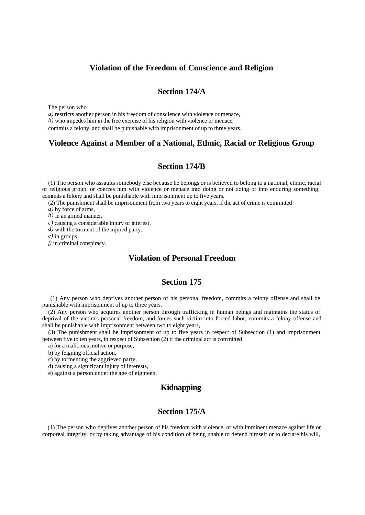### **Violation of the Freedom of Conscience and Religion**

# **Section 174/A**

The person who

*a*) restricts another person in his freedom of conscience with violence or menace, *b)* who impedes him in the free exercise of his religion with violence or menace,

commits a felony, and shall be punishable with imprisonment of up to three years.

## **Violence Against a Member of a National, Ethnic, Racial or Religious Group**

# **Section 174/B**

(1) The person who assaults somebody else because he belongs or is believed to belong to a national, ethnic, racial or religious group, or coerces him with violence or menace into doing or not doing or into enduring something, commits a felony and shall be punishable with imprisonment up to five years.

(2) The punishment shall be imprisonment from two years to eight years, if the act of crime is committed

*a)* by force of arms,

*b)* in an armed manner,

*c)* causing a considerable injury of interest,

*d)* with the torment of the injured party,

*e)* in groups,

*f)* in criminal conspiracy.

# **Violation of Personal Freedom**

# **Section 175**

 (1) Any person who deprives another person of his personal freedom, commits a felony offense and shall be punishable with imprisonment of up to three years.

(2) Any person who acquires another person through trafficking in human beings and maintains the status of deprival of the victim's personal freedom, and forces such victim into forced labor, commits a felony offense and shall be punishable with imprisonment between two to eight years,

(3) The punishment shall be imprisonment of up to five years in respect of Subsection (1) and imprisonment between five to ten years, in respect of Subsection (2) if the criminal act is committed

a) for a malicious motive or purpose,

b) by feigning official action,

c) by tormenting the aggrieved party,

d) causing a significant injury of interests,

e) against a person under the age of eighteen.

# **Kidnapping**

# **Section 175/A**

(1) The person who deprives another person of his freedom with violence, or with imminent menace against life or corporeal integrity, or by taking advantage of his condition of being unable to defend himself or to declare his will,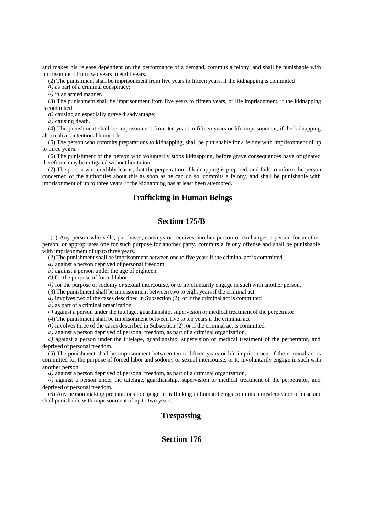and makes his release dependent on the performance of a demand, commits a felony, and shall be punishable with imprisonment from two years to eight years.

(2) The punishment shall be imprisonment from five years to fifteen years, if the kidnapping is committed

*a)* as part of a criminal conspiracy;

*b)* in an armed manner.

(3) The punishment shall be imprisonment from five years to fifteen years, or life imprisonment, if the kidnapping is committed

*a)* causing an especially grave disadvantage;

*b)* causing death.

(4) The punishment shall be imprisonment from ten years to fifteen years or life imprisonment, if the kidnapping also realizes intentional homicide.

(5) The person who commits preparations to kidnapping, shall be punishable for a felony with imprisonment of up to three years.

(6) The punishment of the person who voluntarily stops kidnapping, before grave consequences have originated therefrom, may be mitigated without limitation.

(7) The person who credibly learns, that the perpetration of kidnapping is prepared, and fails to inform the person concerned or the authorities about this as soon as he can do so, commits a felony, and shall be punishable with imprisonment of up to three years, if the kidnapping has at least been attempted.

# **Trafficking in Human Beings**

# **Section 175/B**

 (1) Any person who sells, purchases, conveys or receives another person or exchanges a person for another person, or appropriates one for such purpose for another party, commits a felony offense and shall be punishable with imprisonment of up to three years.

(2) The punishment shall be imprisonment between one to five years if the criminal act is committed

*a)* against a person deprived of personal freedom,

*b)* against a person under the age of eighteen,

*c)* for the purpose of forced labor,

*d*) for the purpose of sodomy or sexual intercourse, or to involuntarily engage in such with another person.

(3) The punishment shall be imprisonment between two to eight years if the criminal act

*a*) involves two of the cases described in Subsection (2), or if the criminal act is committed

*b)* as part of a criminal organization,

*c)* against a person under the tutelage, guardianship, supervision or medical treatment of the perpetrator.

(4) The punishment shall be imprisonment between five to ten years if the criminal act

*a)* involves three of the cases described in Subsection (2), or if the criminal act is committed

*b)* against a person deprived of personal freedom, as part of a criminal organization,

*c)* against a person under the tutelage, guardianship, supervision or medical treatment of the perpetrator, and deprived of personal freedom.

(5) The punishment shall be imprisonment between ten to fifteen years or life imprisonment if the criminal act is committed for the purpose of forced labor and sodomy or sexual intercourse, or to involuntarily engage in such with another person

*a)* against a person deprived of personal freedom, as part of a criminal organization,

*b*) against a person under the tutelage, guardianship, supervision or medical treatment of the perpetrator, and deprived of personal freedom.

(6) Any pe rson making preparations to engage in trafficking in human beings commits a misdemeanor offense and shall punishable with imprisonment of up to two years.

## **Trespassing**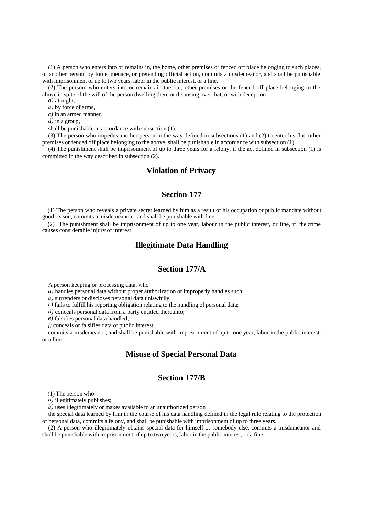(1) A person who enters into or remains in, the home, other premises or fenced off place belonging to such places, of another person, by force, menace, or pretending official action, commits a misdemeanor, and shall be punishable with imprisonment of up to two years, labor in the public interest, or a fine.

(2) The person, who enters into or remains in the flat, other premises or the fenced off place belonging to the above in spite of the will of the person dwelling there or disposing over that, or with deception

*a)* at night,

*b)* by force of arms,

*c)* in an armed manner,

*d)* in a group,

shall be punishable in accordance with subsection (1).

(3) The person who impedes another person in the way defined in subsections (1) and (2) to enter his flat, other premises or fenced off place belonging to the above, shall be punishable in accordance with subsection (1).

(4) The punishment shall be imprisonment of up to three years for a felony, if the act defined in subsection (1) is committed in the way described in subsection (2).

## **Violation of Privacy**

# **Section 177**

(1) The person who reveals a private secret learned by him as a result of his occupation or public mandate without good reason, commits a misdemeanour, and shall be punishable with fine.

(2) The punishment shall be imprisonment of up to one year, labour in the public interest, or fine, if the crime causes considerable injury of interest.

## **Illegitimate Data Handling**

# **Section 177/A**

A person keeping or processing data, who

*a)* handles personal data without proper authorization or improperly handles such;

*b)* surrenders or discloses personal data unlawfully;

*c)* fails to fulfill his reporting obligation relating to the handling of personal data;

*d)* conceals personal data from a party entitled thereunto;

*e)* falsifies personal data handled;

*f)* conceals or falsifies data of public interest,

commits a misdemeanor, and shall be punishable with imprisonment of up to one year, labor in the public interest, or a fine.

## **Misuse of Special Personal Data**

## **Section 177/B**

(1) The person who

*a)* illegitimately publishes;

*b)* uses illegitimately or makes available to an unauthorized person

the special data learned by him in the course of his data handling defined in the legal rule relating to the protection of personal data, commits a felony, and shall be punishable with imprisonment of up to three years.

(2) A person who illegitimately obtains special data for himself or somebody else, commits a misdemeanor and shall be punishable with imprisonment of up to two years, labor in the public interest, or a fine.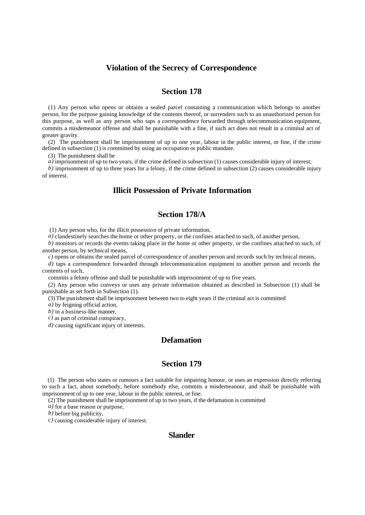### **Violation of the Secrecy of Correspondence**

# **Section 178**

(1) Any person who opens or obtains a sealed parcel containing a communication which belongs to another person, for the purpose gaining knowledge of the contents thereof, or surrenders such to an unauthorized person for this purpose, as well as any person who taps a correspondence forwarded through telecommunication equipment, commits a misdemeanor offense and shall be punishable with a fine, if such act does not result in a criminal act of greater gravity.

(2) The punishment shall be imprisonment of up to one year, labour in the public interest, or fine, if the crime defined in subsection (1) is committed by using an occupation or public mandate.

(3) The punishment shall be

*a*) imprisonment of up to two years, if the crime defined in subsection (1) causes considerable injury of interest;

*b)* imprisonment of up to three years for a felony, if the crime defined in subsection (2) causes considerable injury of interest.

### **Illicit Possession of Private Information**

#### **Section 178/A**

(1) Any person who, for the illicit possession of private information,

*a*) clandestinely searches the home or other property, or the confines attached to such, of another person,

*b)* monitors or records the events taking place in the home or other property, or the confines attached to such, of another person, by technical means,

*c)* opens or obtains the sealed parcel of correspondence of another person and records such by technical means,

*d*) taps a correspondence forwarded through telecommunication equipment to another person and records the contents of such,

commits a felony offense and shall be punishable with imprisonment of up to five years.

(2) Any person who conveys or uses any private information obtained as described in Subsection (1) shall be punishable as set forth in Subsection (1).

(3) The punishment shall be imprisonment between two to eight years if the criminal act is committed

*a)* by feigning official action,

*b)* in a business-like manner,

*c)* as part of criminal conspiracy,

*d)* causing significant injury of interests.

# **Defamation**

# **Section 179**

(1) The person who states or rumours a fact suitable for impairing honour, or uses an expression directly referring to such a fact, about somebody, before somebody else, commits a misdemeanour, and shall be punishable with imprisonment of up to one year, labour in the public interest, or fine.

(2) The punishment shall be imprisonment of up to two years, if the defamation is committed

*a)* for a base reason or purpose,

*b)* before big publicity,

*c)* causing considerable injury of interest.

#### **Slander**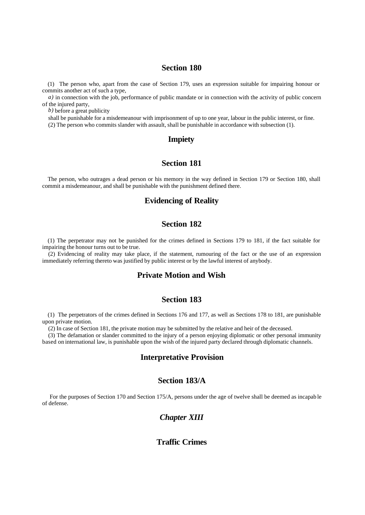#### **Section 180**

(1) The person who, apart from the case of Section 179, uses an expression suitable for impairing honour or commits another act of such a type,

*a*) in connection with the job, performance of public mandate or in connection with the activity of public concern of the injured party,

*b)* before a great publicity

shall be punishable for a misdemeanour with imprisonment of up to one year, labour in the public interest, or fine. (2) The person who commits slander with assault, shall be punishable in accordance with subsection (1).

# **Impiety**

## **Section 181**

The person, who outrages a dead person or his memory in the way defined in Section 179 or Section 180, shall commit a misdemeanour, and shall be punishable with the punishment defined there.

# **Evidencing of Reality**

## **Section 182**

(1) The perpetrator may not be punished for the crimes defined in Sections 179 to 181, if the fact suitable for impairing the honour turns out to be true.

(2) Evidencing of reality may take place, if the statement, rumouring of the fact or the use of an expression immediately referring thereto was justified by public interest or by the lawful interest of anybody.

# **Private Motion and Wish**

## **Section 183**

(1) The perpetrators of the crimes defined in Sections 176 and 177, as well as Sections 178 to 181, are punishable upon private motion.

(2) In case of Section 181, the private motion may be submitted by the relative and heir of the deceased.

(3) The defamation or slander committed to the injury of a person enjoying diplomatic or other personal immunity based on international law, is punishable upon the wish of the injured party declared through diplomatic channels.

## **Interpretative Provision**

## **Section 183/A**

 For the purposes of Section 170 and Section 175/A, persons under the age of twelve shall be deemed as incapab le of defense.

### *Chapter XIII*

#### **Traffic Crimes**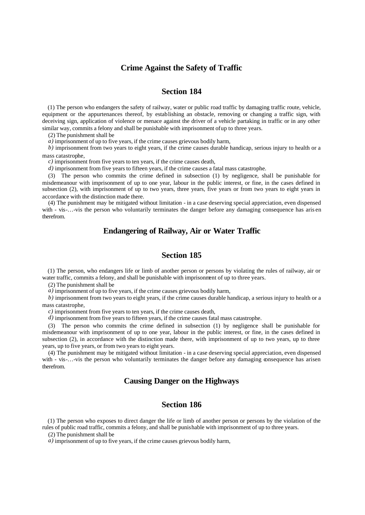### **Crime Against the Safety of Traffic**

# **Section 184**

(1) The person who endangers the safety of railway, water or public road traffic by damaging traffic route, vehicle, equipment or the appurtenances thereof, by establishing an obstacle, removing or changing a traffic sign, with deceiving sign, application of violence or menace against the driver of a vehicle partaking in traffic or in any other similar way, commits a felony and shall be punishable with imprisonment of up to three years.

(2) The punishment shall be

*a)* imprisonment of up to five years, if the crime causes grievous bodily harm,

*b)* imprisonment from two years to eight years, if the crime causes durable handicap, serious injury to health or a mass catastrophe,

*c)* imprisonment from five years to ten years, if the crime causes death,

*d)* imprisonment from five years to fifteen years, if the crime causes a fatal mass catastrophe.

(3) The person who commits the crime defined in subsection (1) by negligence, shall be punishable for misdemeanour with imprisonment of up to one year, labour in the public interest, or fine, in the cases defined in subsection (2), with imprisonment of up to two years, three years, five years or from two years to eight years in accordance with the distinction made there.

(4) The punishment may be mitigated without limitation - in a case deserving special appreciation, even dispensed with - vis-...-vis the person who voluntarily terminates the danger before any damaging consequence has aris en therefrom.

# **Endangering of Railway, Air or Water Traffic**

# **Section 185**

(1) The person, who endangers life or limb of another person or persons by violating the rules of railway, air or water traffic, commits a felony, and shall be punishable with imprisonment of up to three years.

(2) The punishment shall be

*a)* imprisonment of up to five years, if the crime causes grievous bodily harm,

*b)* imprisonment from two years to eight years, if the crime causes durable handicap, a serious injury to health or a mass catastrophe,

*c)* imprisonment from five years to ten years, if the crime causes death,

*d*) imprisonment from five years to fifteen years, if the crime causes fatal mass catastrophe.

(3) The person who commits the crime defined in subsection (1) by negligence shall be punishable for misdemeanour with imprisonment of up to one year, labour in the public interest, or fine, in the cases defined in subsection (2), in accordance with the distinction made there, with imprisonment of up to two years, up to three years, up to five years, or from two years to eight years.

(4) The punishment may be mitigated without limitation - in a case deserving special appreciation, even dispensed with - vis-...-vis the person who voluntarily terminates the danger before any damaging consequence has arisen therefrom.

# **Causing Danger on the Highways**

#### **Section 186**

(1) The person who exposes to direct danger the life or limb of another person or persons by the violation of the rules of public road traffic, commits a felony, and shall be punishable with imprisonment of up to three years.

(2) The punishment shall be

*a)* imprisonment of up to five years, if the crime causes grievous bodily harm,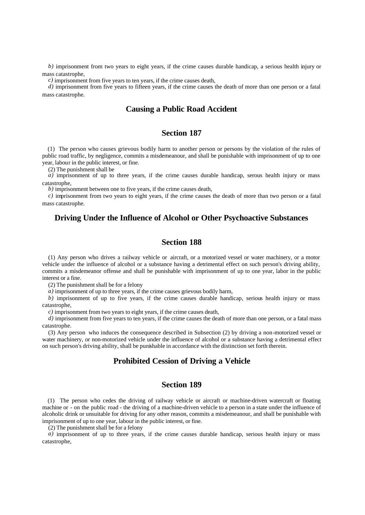*b)* imprisonment from two years to eight years, if the crime causes durable handicap, a serious health injury or mass catastrophe,

*c)* imprisonment from five years to ten years, if the crime causes death,

*d)* imprisonment from five years to fifteen years, if the crime causes the death of more than one person or a fatal mass catastrophe.

#### **Causing a Public Road Accident**

# **Section 187**

(1) The person who causes grievous bodily harm to another person or persons by the violation of the rules of public road traffic, by negligence, commits a misdemeanour, and shall be punishable with imprisonment of up to one year, labour in the public interest, or fine.

(2) The punishment shall be

 $\hat{a}$ ) imprisonment of up to three years, if the crime causes durable handicap, serous health injury or mass catastrophe,

*b)* imprisonment between one to five years, if the crime causes death,

*c)* imprisonment from two years to eight years, if the crime causes the death of more than two person or a fatal mass catastrophe.

## **Driving Under the Influence of Alcohol or Other Psychoactive Substances**

### **Section 188**

(1) Any person who drives a railway vehicle or aircraft, or a motorized vessel or water machinery, or a motor vehicle under the influence of alcohol or a substance having a detrimental effect on such person's driving ability, commits a misdemeanor offense and shall be punishable with imprisonment of up to one year, labor in the public interest or a fine.

(2) The punishment shall be for a felony

*a)* imprisonment of up to three years, if the crime causes grievous bodily harm,

*b)* imprisonment of up to five years, if the crime causes durable handicap, serious health injury or mass catastrophe,

*c)* imprisonment from two years to eight years, if the crime causes death,

*d)* imprisonment from five years to ten years, if the crime causes the death of more than one person, or a fatal mass catastrophe.

(3) Any person who induces the consequence described in Subsection (2) by driving a non-motorized vessel or water machinery, or non-motorized vehicle under the influence of alcohol or a substance having a detrimental effect on such person's driving ability, shall be punishable in accordance with the distinction set forth therein.

## **Prohibited Cession of Driving a Vehicle**

## **Section 189**

(1) The person who cedes the driving of railway vehicle or aircraft or machine-driven watercraft or floating machine or - on the public road - the driving of a machine-driven vehicle to a person in a state under the influence of alcoholic drink or unsuitable for driving for any other reason, commits a misdemeanour, and shall be punishable with imprisonment of up to one year, labour in the public interest, or fine.

(2) The punishment shall be for a felony

*a*) imprisonment of up to three years, if the crime causes durable handicap, serious health injury or mass catastrophe,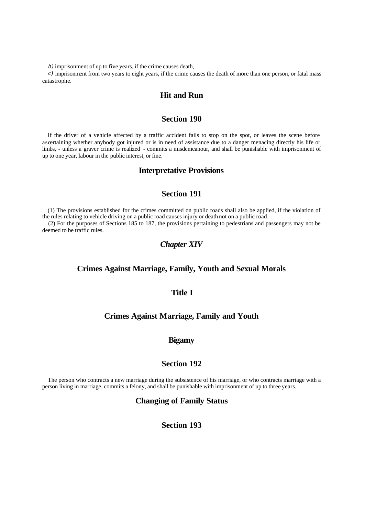*b)* imprisonment of up to five years, if the crime causes death,

*c)* imprisonment from two years to eight years, if the crime causes the death of more than one person, or fatal mass catastrophe.

#### **Hit and Run**

#### **Section 190**

If the driver of a vehicle affected by a traffic accident fails to stop on the spot, or leaves the scene before ascertaining whether anybody got injured or is in need of assistance due to a danger menacing directly his life or limbs, - unless a graver crime is realized - commits a misdemeanour, and shall be punishable with imprisonment of up to one year, labour in the public interest, or fine.

#### **Interpretative Provisions**

## **Section 191**

(1) The provisions established for the crimes committed on public roads shall also be applied, if the violation of the rules relating to vehicle driving on a public road causes injury or death not on a public road.

(2) For the purposes of Sections 185 to 187, the provisions pertaining to pedestrians and passengers may not be deemed to be traffic rules.

# *Chapter XIV*

#### **Crimes Against Marriage, Family, Youth and Sexual Morals**

## **Title I**

### **Crimes Against Marriage, Family and Youth**

## **Bigamy**

### **Section 192**

The person who contracts a new marriage during the subsistence of his marriage, or who contracts marriage with a person living in marriage, commits a felony, and shall be punishable with imprisonment of up to three years.

#### **Changing of Family Status**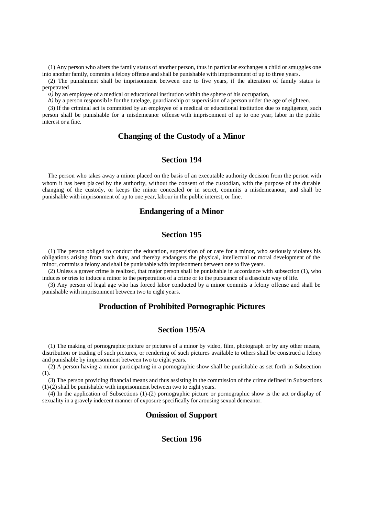(1) Any person who alters the family status of another person, thus in particular exchanges a child or smuggles one into another family, commits a felony offense and shall be punishable with imprisonment of up to three years.

(2) The punishment shall be imprisonment between one to five years, if the alteration of family status is perpetrated

*a)* by an employee of a medical or educational institution within the sphere of his occupation,

*b*) by a person responsible for the tutelage, guardianship or supervision of a person under the age of eighteen.

(3) If the criminal act is committed by an employee of a medical or educational institution due to negligence, such person shall be punishable for a misdemeanor offense with imprisonment of up to one year, labor in the public interest or a fine.

## **Changing of the Custody of a Minor**

# **Section 194**

The person who takes away a minor placed on the basis of an executable authority decision from the person with whom it has been pla ced by the authority, without the consent of the custodian, with the purpose of the durable changing of the custody, or keeps the minor concealed or in secret, commits a misdemeanour, and shall be punishable with imprisonment of up to one year, labour in the public interest, or fine.

# **Endangering of a Minor**

## **Section 195**

(1) The person obliged to conduct the education, supervision of or care for a minor, who seriously violates his obligations arising from such duty, and thereby endangers the physical, intellectual or moral development of the minor, commits a felony and shall be punishable with imprisonment between one to five years.

(2) Unless a graver crime is realized, that major person shall be punishable in accordance with subsection (1), who induces or tries to induce a minor to the perpetration of a crime or to the pursuance of a dissolute way of life.

(3) Any person of legal age who has forced labor conducted by a minor commits a felony offense and shall be punishable with imprisonment between two to eight years.

## **Production of Prohibited Pornographic Pictures**

## **Section 195/A**

(1) The making of pornographic picture or pictures of a minor by video, film, photograph or by any other means, distribution or trading of such pictures, or rendering of such pictures available to others shall be construed a felony and punishable by imprisonment between two to eight years.

(2) A person having a minor participating in a pornographic show shall be punishable as set forth in Subsection (1).

(3) The person providing financial means and thus assisting in the commission of the crime defined in Subsections  $(1)-(2)$  shall be punishable with imprisonment between two to eight years.

(4) In the application of Subsections (1)-(2) pornographic picture or pornographic show is the act or display of sexuality in a gravely indecent manner of exposure specifically for arousing sexual demeanor.

## **Omission of Support**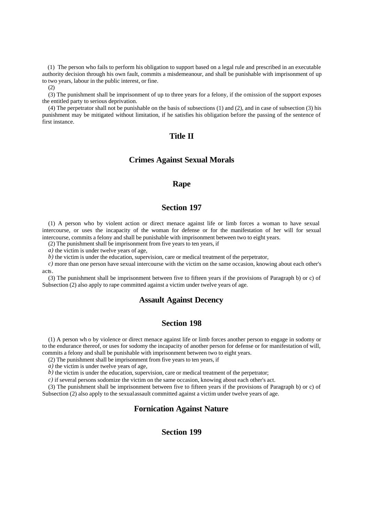(1) The person who fails to perform his obligation to support based on a legal rule and prescribed in an executable authority decision through his own fault, commits a misdemeanour, and shall be punishable with imprisonment of up to two years, labour in the public interest, or fine.

(2)

(3) The punishment shall be imprisonment of up to three years for a felony, if the omission of the support exposes the entitled party to serious deprivation.

(4) The perpetrator shall not be punishable on the basis of subsections (1) and (2), and in case of subsection (3) his punishment may be mitigated without limitation, if he satisfies his obligation before the passing of the sentence of first instance.

#### **Title II**

# **Crimes Against Sexual Morals**

#### **Rape**

## **Section 197**

(1) A person who by violent action or direct menace against life or limb forces a woman to have sexual intercourse, or uses the incapacity of the woman for defense or for the manifestation of her will for sexual intercourse, commits a felony and shall be punishable with imprisonment between two to eight years.

(2) The punishment shall be imprisonment from five years to ten years, if

*a)* the victim is under twelve years of age,

*b*) the victim is under the education, supervision, care or medical treatment of the perpetrator,

*c)* more than one person have sexual intercourse with the victim on the same occasion, knowing about each other's acts.

(3) The punishment shall be imprisonment between five to fifteen years if the provisions of Paragraph b) or c) of Subsection (2) also apply to rape committed against a victim under twelve years of age.

## **Assault Against Decency**

#### **Section 198**

(1) A person wh o by violence or direct menace against life or limb forces another person to engage in sodomy or to the endurance thereof, or uses for sodomy the incapacity of another person for defense or for manifestation of will, commits a felony and shall be punishable with imprisonment between two to eight years.

(2) The punishment shall be imprisonment from five years to ten years, if

*a)* the victim is under twelve years of age,

*b*) the victim is under the education, supervision, care or medical treatment of the perpetrator;

*c)* if several persons sodomize the victim on the same occasion, knowing about each other's act.

(3) The punishment shall be imprisonment between five to fifteen years if the provisions of Paragraph b) or c) of Subsection (2) also apply to the sexual assault committed against a victim under twelve years of age.

#### **Fornication Against Nature**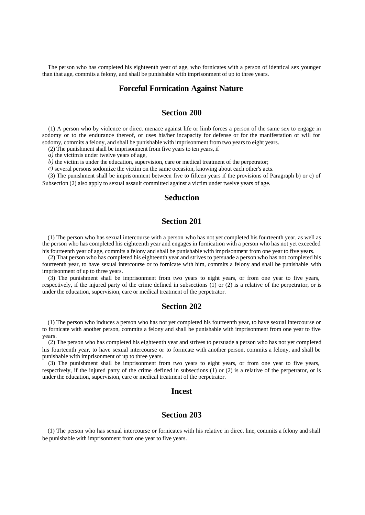The person who has completed his eighteenth year of age, who fornicates with a person of identical sex younger than that age, commits a felony, and shall be punishable with imprisonment of up to three years.

#### **Forceful Fornication Against Nature**

# **Section 200**

(1) A person who by violence or direct menace against life or limb forces a person of the same sex to engage in sodomy or to the endurance thereof, or uses his/her incapacity for defense or for the manifestation of will for sodomy, commits a felony, and shall be punishable with imprisonment from two years to eight years.

(2) The punishment shall be imprisonment from five years to ten years, if

*a*) the victimis under twelve years of age,

*b*) the victim is under the education, supervision, care or medical treatment of the perpetrator;

*c)* several persons sodomize the victim on the same occasion, knowing about each other's acts.

(3) The punishment shall be impris onment between five to fifteen years if the provisions of Paragraph b) or c) of Subsection (2) also apply to sexual assault committed against a victim under twelve years of age.

# **Seduction**

# **Section 201**

(1) The person who has sexual intercourse with a person who has not yet completed his fourteenth year, as well as the person who has completed his eighteenth year and engages in fornication with a person who has not yet exceeded his fourteenth year of age, commits a felony and shall be punishable with imprisonment from one year to five years.

(2) That person who has completed his eighteenth year and strives to persuade a person who has not completed his fourteenth year, to have sexual intercourse or to fornicate with him, commits a felony and shall be punishable with imprisonment of up to three years.

(3) The punishment shall be imprisonment from two years to eight years, or from one year to five years, respectively, if the injured party of the crime defined in subsections (1) or (2) is a relative of the perpetrator, or is under the education, supervision, care or medical treatment of the perpetrator.

### **Section 202**

(1) The person who induces a person who has not yet completed his fourteenth year, to have sexual intercourse or to fornicate with another person, commits a felony and shall be punishable with imprisonment from one year to five years.

(2) The person who has completed his eighteenth year and strives to persuade a person who has not yet completed his fourteenth year, to have sexual intercourse or to fornicate with another person, commits a felony, and shall be punishable with imprisonment of up to three years.

(3) The punishment shall be imprisonment from two years to eight years, or from one year to five years, respectively, if the injured party of the crime defined in subsections (1) or (2) is a relative of the perpetrator, or is under the education, supervision, care or medical treatment of the perpetrator.

#### **Incest**

# **Section 203**

(1) The person who has sexual intercourse or fornicates with his relative in direct line, commits a felony and shall be punishable with imprisonment from one year to five years.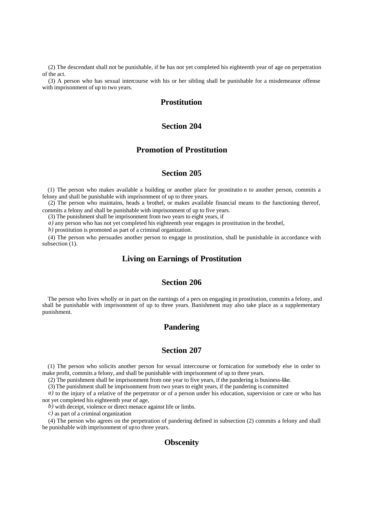(2) The descendant shall not be punishable, if he has not yet completed his eighteenth year of age on perpetration of the act.

(3) A person who has sexual intercourse with his or her sibling shall be punishable for a misdemeanor offense with imprisonment of up to two years.

# **Prostitution**

# **Section 204**

### **Promotion of Prostitution**

#### **Section 205**

(1) The person who makes available a building or another place for prostitutio n to another person, commits a felony and shall be punishable with imprisonment of up to three years.

(2) The person who maintains, heads a brothel, or makes available financial means to the functioning thereof, commits a felony and shall be punishable with imprisonment of up to five years.

(3) The punishment shall be imprisonment from two years to eight years, if

*a*) any person who has not yet completed his eighteenth year engages in prostitution in the brothel,

*b)* prostitution is promoted as part of a criminal organization.

(4) The person who persuades another person to engage in prostitution, shall be punishable in accordance with subsection (1).

# **Living on Earnings of Prostitution**

# **Section 206**

The person who lives wholly or in part on the earnings of a pers on engaging in prostitution, commits a felony, and shall be punishable with imprisonment of up to three years. Banishment may also take place as a supplementary punishment.

# **Pandering**

# **Section 207**

(1) The person who solicits another person for sexual intercourse or fornication for somebody else in order to make profit, commits a felony, and shall be punishable with imprisonment of up to three years.

(2) The punishment shall be imprisonment from one year to five years, if the pandering is business-like.

(3) The punishment shall be imprisonment from two years to eight years, if the pandering is committed

*a*) to the injury of a relative of the perpetrator or of a person under his education, supervision or care or who has not yet completed his eighteenth year of age,

*b)* with deceipt, violence or direct menace against life or limbs.

*c)* as part of a criminal organization

(4) The person who agrees on the perpetration of pandering defined in subsection (2) commits a felony and shall be punishable with imprisonment of up to three years.

# **Obscenity**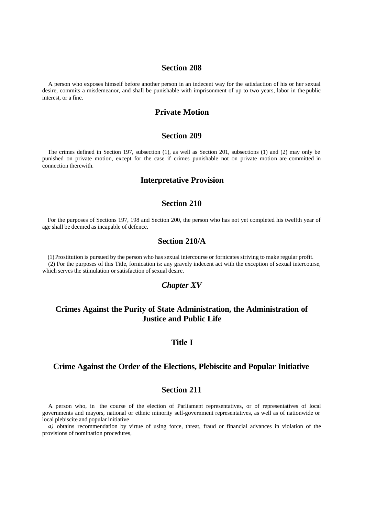#### **Section 208**

A person who exposes himself before another person in an indecent way for the satisfaction of his or her sexual desire, commits a misdemeanor, and shall be punishable with imprisonment of up to two years, labor in the public interest, or a fine.

### **Private Motion**

#### **Section 209**

The crimes defined in Section 197, subsection (1), as well as Section 201, subsections (1) and (2) may only be punished on private motion, except for the case if crimes punishable not on private motion are committed in connection therewith.

#### **Interpretative Provision**

#### **Section 210**

For the purposes of Sections 197, 198 and Section 200, the person who has not yet completed his twelfth year of age shall be deemed as incapable of defence.

#### **Section 210/A**

(1) Prostitution is pursued by the person who has sexual intercourse or fornicates striving to make regular profit. (2) For the purposes of this Title, fornication is: any gravely indecent act with the exception of sexual intercourse, which serves the stimulation or satisfaction of sexual desire.

# *Chapter XV*

# **Crimes Against the Purity of State Administration, the Administration of Justice and Public Life**

### **Title I**

### **Crime Against the Order of the Elections, Plebiscite and Popular Initiative**

# **Section 211**

A person who, in the course of the election of Parliament representatives, or of representatives of local governments and mayors, national or ethnic minority self-government representatives, as well as of nationwide or local plebiscite and popular initiative

*a)* obtains recommendation by virtue of using force, threat, fraud or financial advances in violation of the provisions of nomination procedures,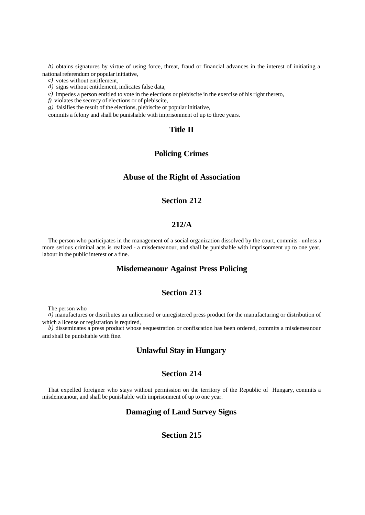*b)* obtains signatures by virtue of using force, threat, fraud or financial advances in the interest of initiating a national referendum or popular initiative,

*c)* votes without entitlement,

*d)* signs without entitlement, indicates false data,

*e*) impedes a person entitled to vote in the elections or plebiscite in the exercise of his right thereto,

*f)* violates the secrecy of elections or of plebiscite,

*g)* falsifies the result of the elections, plebiscite or popular initiative,

commits a felony and shall be punishable with imprisonment of up to three years.

# **Title II**

## **Policing Crimes**

# **Abuse of the Right of Association**

## **Section 212**

# **212/A**

The person who participates in the management of a social organization dissolved by the court, commits - unless a more serious criminal acts is realized - a misdemeanour, and shall be punishable with imprisonment up to one year, labour in the public interest or a fine.

## **Misdemeanour Against Press Policing**

#### **Section 213**

The person who

*a)* manufactures or distributes an unlicensed or unregistered press product for the manufacturing or distribution of which a license or registration is required,

*b*) disseminates a press product whose sequestration or confiscation has been ordered, commits a misdemeanour and shall be punishable with fine.

# **Unlawful Stay in Hungary**

# **Section 214**

That expelled foreigner who stays without permission on the territory of the Republic of Hungary, commits a misdemeanour, and shall be punishable with imprisonment of up to one year.

# **Damaging of Land Survey Signs**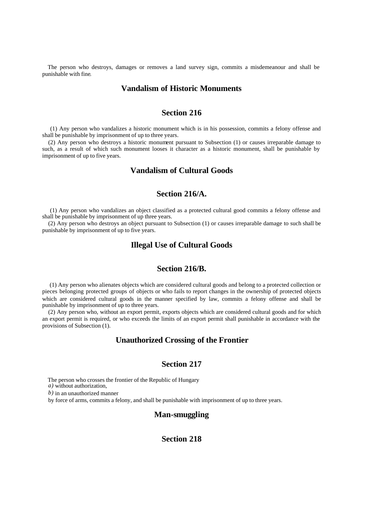The person who destroys, damages or removes a land survey sign, commits a misdemeanour and shall be punishable with fine.

# **Vandalism of Historic Monuments**

# **Section 216**

 (1) Any person who vandalizes a historic monument which is in his possession, commits a felony offense and shall be punishable by imprisonment of up to three years.

(2) Any person who destroys a historic monument pursuant to Subsection (1) or causes irreparable damage to such, as a result of which such monument looses it character as a historic monument, shall be punishable by imprisonment of up to five years.

# **Vandalism of Cultural Goods**

# **Section 216/A.**

 (1) Any person who vandalizes an object classified as a protected cultural good commits a felony offense and shall be punishable by imprisonment of up three years.

(2) Any person who destroys an object pursuant to Subsection (1) or causes irreparable damage to such shall be punishable by imprisonment of up to five years.

### **Illegal Use of Cultural Goods**

#### **Section 216/B.**

 (1) Any person who alienates objects which are considered cultural goods and belong to a protected collection or pieces belonging protected groups of objects or who fails to report changes in the ownership of protected objects which are considered cultural goods in the manner specified by law, commits a felony offense and shall be punishable by imprisonment of up to three years.

(2) Any person who, without an export permit, exports objects which are considered cultural goods and for which an export permit is required, or who exceeds the limits of an export permit shall punishable in accordance with the provisions of Subsection (1).

## **Unauthorized Crossing of the Frontier**

#### **Section 217**

The person who crosses the frontier of the Republic of Hungary

*a)* without authorization,

*b)* in an unauthorized manner

by force of arms, commits a felony, and shall be punishable with imprisonment of up to three years.

#### **Man-smuggling**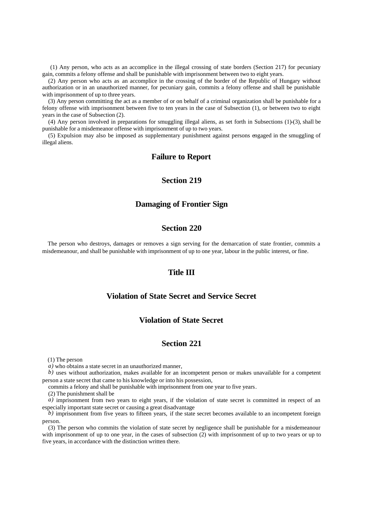(1) Any person, who acts as an accomplice in the illegal crossing of state borders (Section 217) for pecuniary gain, commits a felony offense and shall be punishable with imprisonment between two to eight years.

(2) Any person who acts as an accomplice in the crossing of the border of the Republic of Hungary without authorization or in an unauthorized manner, for pecuniary gain, commits a felony offense and shall be punishable with imprisonment of up to three years.

(3) Any person committing the act as a member of or on behalf of a criminal organization shall be punishable for a felony offense with imprisonment between five to ten years in the case of Subsection (1), or between two to eight years in the case of Subsection (2).

(4) Any person involved in preparations for smuggling illegal aliens, as set forth in Subsections (1)-(3), shall be punishable for a misdemeanor offense with imprisonment of up to two years.

(5) Expulsion may also be imposed as supplementary punishment against persons engaged in the smuggling of illegal aliens.

## **Failure to Report**

## **Section 219**

### **Damaging of Frontier Sign**

## **Section 220**

The person who destroys, damages or removes a sign serving for the demarcation of state frontier, commits a misdemeanour, and shall be punishable with imprisonment of up to one year, labour in the public interest, or fine.

#### **Title III**

#### **Violation of State Secret and Service Secret**

# **Violation of State Secret**

#### **Section 221**

(1) The person

*a)* who obtains a state secret in an unauthorized manner,

*b)* uses without authorization, makes available for an incompetent person or makes unavailable for a competent person a state secret that came to his knowledge or into his possession,

commits a felony and shall be punishable with imprisonment from one year to five years.

(2) The punishment shall be

*a)* imprisonment from two years to eight years, if the violation of state secret is committed in respect of an especially important state secret or causing a great disadvantage

*b)* imprisonment from five years to fifteen years, if the state secret becomes available to an incompetent foreign person.

(3) The person who commits the violation of state secret by negligence shall be punishable for a misdemeanour with imprisonment of up to one year, in the cases of subsection (2) with imprisonment of up to two years or up to five years, in accordance with the distinction written there.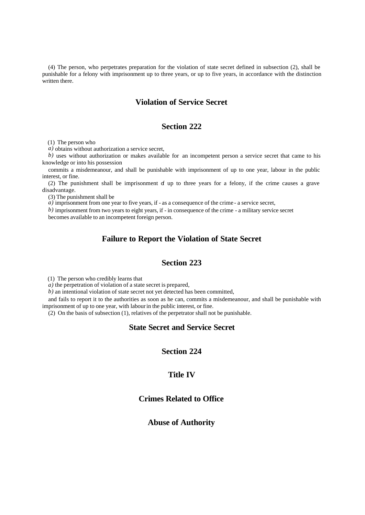(4) The person, who perpetrates preparation for the violation of state secret defined in subsection (2), shall be punishable for a felony with imprisonment up to three years, or up to five years, in accordance with the distinction written there.

# **Violation of Service Secret**

### **Section 222**

(1) The person who

*a)* obtains without authorization a service secret,

*b)* uses without authorization or makes available for an incompetent person a service secret that came to his knowledge or into his possession

commits a misdemeanour, and shall be punishable with imprisonment of up to one year, labour in the public interest, or fine.

(2) The punishment shall be imprisonment of up to three years for a felony, if the crime causes a grave disadvantage.

(3) The punishment shall be

*a*) imprisonment from one year to five years, if - as a consequence of the crime - a service secret,

*b)* imprisonment from two years to eight years, if - in consequence of the crime - a military service secret

becomes available to an incompetent foreign person.

# **Failure to Report the Violation of State Secret**

# **Section 223**

(1) The person who credibly learns that

*a)* the perpetration of violation of a state secret is prepared,

*b)* an intentional violation of state secret not yet detected has been committed,

and fails to report it to the authorities as soon as he can, commits a misdemeanour, and shall be punishable with imprisonment of up to one year, with labour in the public interest, or fine.

(2) On the basis of subsection (1), relatives of the perpetrator shall not be punishable.

# **State Secret and Service Secret**

## **Section 224**

#### **Title IV**

# **Crimes Related to Office**

# **Abuse of Authority**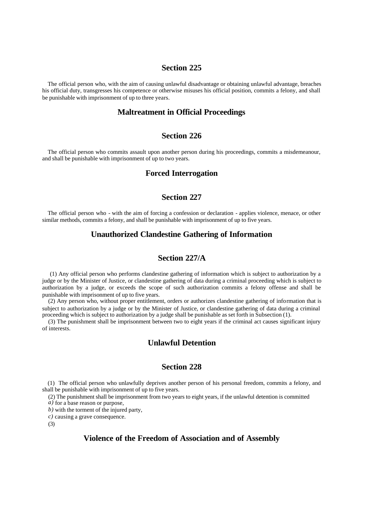#### **Section 225**

The official person who, with the aim of causing unlawful disadvantage or obtaining unlawful advantage, breaches his official duty, transgresses his competence or otherwise misuses his official position, commits a felony, and shall be punishable with imprisonment of up to three years.

# **Maltreatment in Official Proceedings**

#### **Section 226**

The official person who commits assault upon another person during his proceedings, commits a misdemeanour, and shall be punishable with imprisonment of up to two years.

## **Forced Interrogation**

# **Section 227**

The official person who - with the aim of forcing a confession or declaration - applies violence, menace, or other similar methods, commits a felony, and shall be punishable with imprisonment of up to five years.

### **Unauthorized Clandestine Gathering of Information**

## **Section 227/A**

 (1) Any official person who performs clandestine gathering of information which is subject to authorization by a judge or by the Minister of Justice, or clandestine gathering of data during a criminal proceeding which is subject to authorization by a judge, or exceeds the scope of such authorization commits a felony offense and shall be punishable with imprisonment of up to five years.

(2) Any person who, without proper entitlement, orders or authorizes clandestine gathering of information that is subject to authorization by a judge or by the Minister of Justice, or clandestine gathering of data during a criminal proceeding which is subject to authorization by a judge shall be punishable as set forth in Subsection (1).

(3) The punishment shall be imprisonment between two to eight years if the criminal act causes significant injury of interests.

# **Unlawful Detention**

#### **Section 228**

(1) The official person who unlawfully deprives another person of his personal freedom, commits a felony, and shall be punishable with imprisonment of up to five years.

(2) The punishment shall be imprisonment from two years to eight years, if the unlawful detention is committed

*a)* for a base reason or purpose,

*b)* with the torment of the injured party,

*c)* causing a grave consequence.

(3)

### **Violence of the Freedom of Association and of Assembly**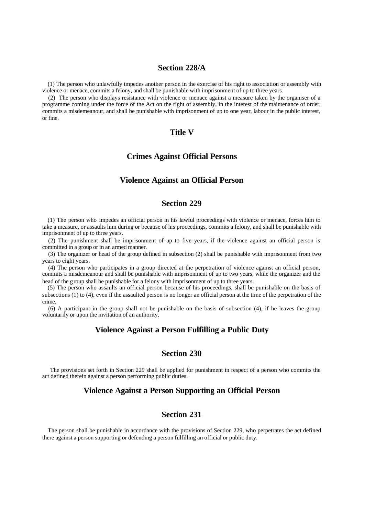#### **Section 228/A**

(1) The person who unlawfully impedes another person in the exercise of his right to association or assembly with violence or menace, commits a felony, and shall be punishable with imprisonment of up to three years.

(2) The person who displays resistance with violence or menace against a measure taken by the organiser of a programme coming under the force of the Act on the right of assembly, in the interest of the maintenance of order, commits a misdemeanour, and shall be punishable with imprisonment of up to one year, labour in the public interest, or fine.

# **Title V**

#### **Crimes Against Official Persons**

## **Violence Against an Official Person**

#### **Section 229**

(1) The person who impedes an official person in his lawful proceedings with violence or menace, forces him to take a measure, or assaults him during or because of his proceedings, commits a felony, and shall be punishable with imprisonment of up to three years.

(2) The punishment shall be imprisonment of up to five years, if the violence against an official person is committed in a group or in an armed manner.

(3) The organizer or head of the group defined in subsection (2) shall be punishable with imprisonment from two years to eight years.

(4) The person who participates in a group directed at the perpetration of violence against an official person, commits a misdemeanour and shall be punishable with imprisonment of up to two years, while the organizer and the head of the group shall be punishable for a felony with imprisonment of up to three years.

(5) The person who assaults an official person because of his proceedings, shall be punishable on the basis of subsections (1) to (4), even if the assaulted person is no longer an official person at the time of the perpetration of the crime.

(6) A participant in the group shall not be punishable on the basis of subsection (4), if he leaves the group voluntarily or upon the invitation of an authority.

#### **Violence Against a Person Fulfilling a Public Duty**

#### **Section 230**

 The provisions set forth in Section 229 shall be applied for punishment in respect of a person who commits the act defined therein against a person performing public duties.

## **Violence Against a Person Supporting an Official Person**

# **Section 231**

The person shall be punishable in accordance with the provisions of Section 229, who perpetrates the act defined there against a person supporting or defending a person fulfilling an official or public duty.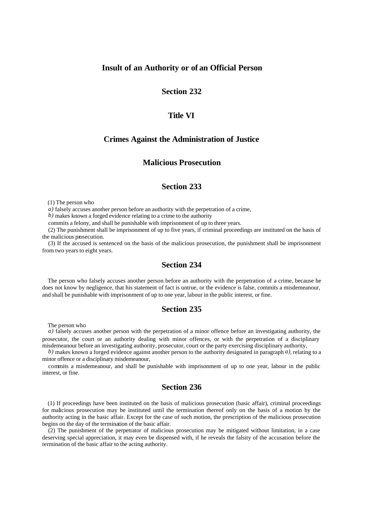#### **Insult of an Authority or of an Official Person**

## **Section 232**

#### **Title VI**

## **Crimes Against the Administration of Justice**

### **Malicious Prosecution**

#### **Section 233**

(1) The person who

*a)* falsely accuses another person before an authority with the perpetration of a crime,

*b)* makes known a forged evidence relating to a crime to the authority

commits a felony, and shall be punishable with imprisonment of up to three years.

(2) The punishment shall be imprisonment of up to five years, if criminal proceedings are instituted on the basis of the malicious prosecution.

(3) If the accused is sentenced on the basis of the malicious prosecution, the punishment shall be imprisonment from two years to eight years.

## **Section 234**

The person who falsely accuses another person before an authority with the perpetration of a crime, because he does not know by negligence, that his statement of fact is untrue, or the evidence is false, commits a misdemeanour, and shall be punishable with imprisonment of up to one year, labour in the public interest, or fine.

#### **Section 235**

The person who

*a)* falsely accuses another person with the perpetration of a minor offence before an investigating authority, the prosecutor, the court or an authority dealing with minor offences, or with the perpetration of a disciplinary misdemeanour before an investigating authority, prosecutor, court or the party exercising disciplinary authority,

*b)* makes known a forged evidence against another person to the authority designated in paragraph *a)*, relating to a minor offence or a disciplinary misdemeanour,

commits a misdemeanour, and shall be punishable with imprisonment of up to one year, labour in the public interest, or fine.

# **Section 236**

(1) If proceedings have been instituted on the basis of malicious prosecution (basic affair), criminal proceedings for malicious prosecution may be instituted until the termination thereof only on the basis of a motion by the authority acting in the basic affair. Except for the case of such motion, the prescription of the malicious prosecution begins on the day of the termination of the basic affair.

(2) The punishment of the perpetrator of malicious prosecution may be mitigated without limitation, in a case deserving special appreciation, it may even be dispensed with, if he reveals the falsity of the accusation before the termination of the basic affair to the acting authority.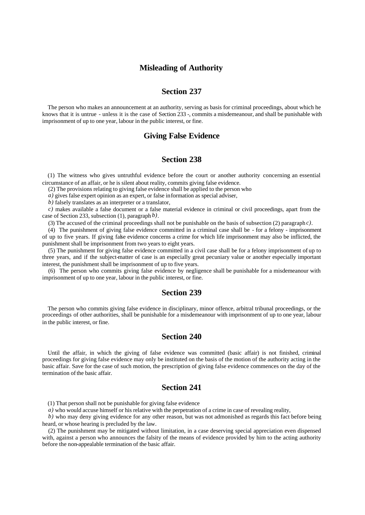# **Misleading of Authority**

# **Section 237**

The person who makes an announcement at an authority, serving as basis for criminal proceedings, about which he knows that it is untrue - unless it is the case of Section 233 -, commits a misdemeanour, and shall be punishable with imprisonment of up to one year, labour in the public interest, or fine.

### **Giving False Evidence**

# **Section 238**

(1) The witness who gives untruthful evidence before the court or another authority concerning an essential circumstance of an affair, or he is silent about reality, commits giving false evidence.

(2) The provisions relating to giving false evidence shall be applied to the person who

*a)* gives false expert opinion as an expert, or false information as special adviser,

*b)* falsely translates as an interpreter or a translator,

*c)* makes available a false document or a false material evidence in criminal or civil proceedings, apart from the case of Section 233, subsection (1), paragraph *b)*.

(3) The accused of the criminal proceedings shall not be punishable on the basis of subsection (2) paragraph *c)*.

(4) The punishment of giving false evidence committed in a criminal case shall be - for a felony - imprisonment of up to five years. If giving false evidence concerns a crime for which life imprisonment may also be inflicted, the punishment shall be imprisonment from two years to eight years.

(5) The punishment for giving false evidence committed in a civil case shall be for a felony imprisonment of up to three years, and if the subject-matter of case is an especially great pecuniary value or another especially important interest, the punishment shall be imprisonment of up to five years.

(6) The person who commits giving false evidence by negligence shall be punishable for a misdemeanour with imprisonment of up to one year, labour in the public interest, or fine.

#### **Section 239**

The person who commits giving false evidence in disciplinary, minor offence, arbitral tribunal proceedings, or the proceedings of other authorities, shall be punishable for a misdemeanour with imprisonment of up to one year, labour in the public interest, or fine.

### **Section 240**

Until the affair, in which the giving of false evidence was committed (basic affair) is not finished, criminal proceedings for giving false evidence may only be instituted on the basis of the motion of the authority acting in the basic affair. Save for the case of such motion, the prescription of giving false evidence commences on the day of the termination of the basic affair.

# **Section 241**

(1) That person shall not be punishable for giving false evidence

*a*) who would accuse himself or his relative with the perpetration of a crime in case of revealing reality,

*b)* who may deny giving evidence for any other reason, but was not admonished as regards this fact before being heard, or whose hearing is precluded by the law.

(2) The punishment may be mitigated without limitation, in a case deserving special appreciation even dispensed with, against a person who announces the falsity of the means of evidence provided by him to the acting authority before the non-appealable termination of the basic affair.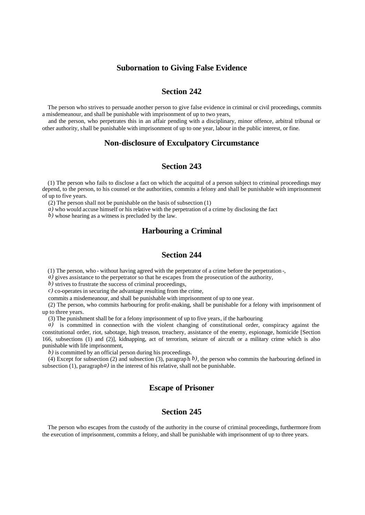### **Subornation to Giving False Evidence**

# **Section 242**

The person who strives to persuade another person to give false evidence in criminal or civil proceedings, commits a misdemeanour, and shall be punishable with imprisonment of up to two years,

and the person, who perpetrates this in an affair pending with a disciplinary, minor offence, arbitral tribunal or other authority, shall be punishable with imprisonment of up to one year, labour in the public interest, or fine.

#### **Non-disclosure of Exculpatory Circumstance**

# **Section 243**

(1) The person who fails to disclose a fact on which the acquittal of a person subject to criminal proceedings may depend, to the person, to his counsel or the authorities, commits a felony and shall be punishable with imprisonment of up to five years.

(2) The person shall not be punishable on the basis of subsection (1)

*a*) who would accuse himself or his relative with the perpetration of a crime by disclosing the fact

*b)* whose hearing as a witness is precluded by the law.

# **Harbouring a Criminal**

# **Section 244**

(1) The person, who - without having agreed with the perpetrator of a crime before the perpetration -,

*a*) gives assistance to the perpetrator so that he escapes from the prosecution of the authority,

*b*) strives to frustrate the success of criminal proceedings,

*c)* co-operates in securing the advantage resulting from the crime,

commits a misdemeanour, and shall be punishable with imprisonment of up to one year.

(2) The person, who commits harbouring for profit-making, shall be punishable for a felony with imprisonment of up to three years.

(3) The punishment shall be for a felony imprisonment of up to five years, if the harbouring

*a*) is committed in connection with the violent changing of constitutional order, conspiracy against the constitutional order, riot, sabotage, high treason, treachery, assistance of the enemy, espionage, homicide [Section 166, subsections (1) and (2)], kidnapping, act of terrorism, seizure of aircraft or a military crime which is also punishable with life imprisonment,

*b*) is committed by an official person during his proceedings.

(4) Except for subsection (2) and subsection (3), paragrap h *b)*, the person who commits the harbouring defined in subsection  $(1)$ , paragraph *a*) in the interest of his relative, shall not be punishable.

# **Escape of Prisoner**

# **Section 245**

The person who escapes from the custody of the authority in the course of criminal proceedings, furthermore from the execution of imprisonment, commits a felony, and shall be punishable with imprisonment of up to three years.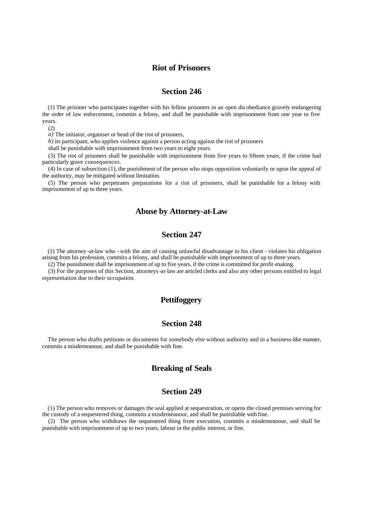#### **Riot of Prisoners**

#### **Section 246**

(1) The prisoner who participates together with his fellow prisoners in an open dis obediance gravely endangering the order of law enforcement, commits a felony, and shall be punishable with imprisonment from one year to five years.

(2)

*a)* The initiator, organiser or head of the riot of prisoners,

*b)* its participant, who applies violence against a person acting against the riot of prisoners

shall be punishable with imprisonment from two years to eight years.

(3) The riot of prisoners shall be punishable with imprisonment from five years to fifteen years, if the crime had particularly grave consequences.

(4) In case of subsection (1), the punishment of the person who stops opposition voluntarily or upon the appeal of the authority, may be mitigated without limitation.

(5) The person who perpetrates preparations for a riot of prisoners, shall be punishable for a felony with imprisonment of up to three years.

## **Abuse by Attorney-at-Law**

# **Section 247**

(1) The attorney -at-law who - with the aim of causing unlawful disadvantage to his client - violates his obligation arising from his profession, commits a felony, and shall be punishable with imprisonment of up to three years.

(2) The punishment shall be imprisonment of up to five years, if the crime is committed for profit-making.

(3) For the purposes of this Section, attorneys-at-law are articled clerks and also any other persons entitled to legal representation due to their occupation.

## **Pettifoggery**

#### **Section 248**

The person who drafts petitions or documents for somebody else without authority and in a business-like manner, commits a misdemeanour, and shall be punishable with fine.

### **Breaking of Seals**

### **Section 249**

(1) The person who removes or damages the seal applied at sequestration, or opens the closed premises serving for the custody of a sequestered thing, commits a misdemeanour, and shall be punishable with fine.

(2) The person who withdraws the sequestered thing from execution, commits a misdemeanour, and shall be punishable with imprisonment of up to two years, labour in the public interest, or fine.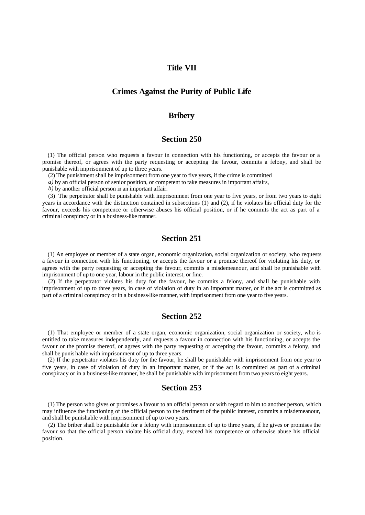## **Title VII**

## **Crimes Against the Purity of Public Life**

#### **Bribery**

### **Section 250**

(1) The official person who requests a favour in connection with his functioning, or accepts the favour or a promise thereof, or agrees with the party requesting or accepting the favour, commits a felony, and shall be punishable with imprisonment of up to three years.

(2) The punishment shall be imprisonment from one year to five years, if the crime is committed

*a)* by an official person of senior position, or competent to take measures in important affairs,

*b)* by another official person in an important affair.

(3) The perpetrator shall be punishable with imprisonment from one year to five years, or from two years to eight years in accordance with the distinction contained in subsections (1) and (2), if he violates his official duty for the favour, exceeds his competence or otherwise abuses his official position, or if he commits the act as part of a criminal conspiracy or in a business-like manner.

# **Section 251**

(1) An employee or member of a state organ, economic organization, social organization or society, who requests a favour in connection with his functioning, or accepts the favour or a promise thereof for violating his duty, or agrees with the party requesting or accepting the favour, commits a misdemeanour, and shall be punishable with imprisonment of up to one year, labour in the public interest, or fine.

(2) If the perpetrator violates his duty for the favour, he commits a felony, and shall be punishable with imprisonment of up to three years, in case of violation of duty in an important matter, or if the act is committed as part of a criminal conspiracy or in a business-like manner, with imprisonment from one year to five years.

#### **Section 252**

(1) That employee or member of a state organ, economic organization, social organization or society, who is entitled to take measures independently, and requests a favour in connection with his functioning, or accepts the favour or the promise thereof, or agrees with the party requesting or accepting the favour, commits a felony, and shall be punis hable with imprisonment of up to three years.

(2) If the perpetrator violates his duty for the favour, he shall be punishable with imprisonment from one year to five years, in case of violation of duty in an important matter, or if the act is committed as part of a criminal conspiracy or in a business-like manner, he shall be punishable with imprisonment from two years to eight years.

# **Section 253**

(1) The person who gives or promises a favour to an official person or with regard to him to another person, which may influence the functioning of the official person to the detriment of the public interest, commits a misdemeanour, and shall be punishable with imprisonment of up to two years.

(2) The briber shall be punishable for a felony with imprisonment of up to three years, if he gives or promises the favour so that the official person violate his official duty, exceed his competence or otherwise abuse his official position.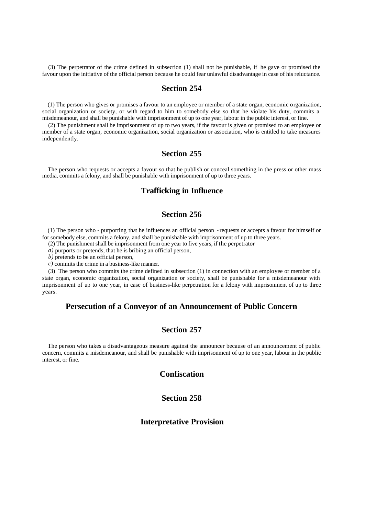(3) The perpetrator of the crime defined in subsection (1) shall not be punishable, if he gave or promised the favour upon the initiative of the official person because he could fear unlawful disadvantage in case of his reluctance.

#### **Section 254**

(1) The person who gives or promises a favour to an employee or member of a state organ, economic organization, social organization or society, or with regard to him to somebody else so that he violate his duty, commits a misdemeanour, and shall be punishable with imprisonment of up to one year, labour in the public interest, or fine.

(2) The punishment shall be imprisonment of up to two years, if the favour is given or promised to an employee or member of a state organ, economic organization, social organization or association, who is entitled to take measures independently.

# **Section 255**

The person who requests or accepts a favour so that he publish or conceal something in the press or other mass media, commits a felony, and shall be punishable with imprisonment of up to three years.

# **Trafficking in Influence**

# **Section 256**

(1) The person who - purporting that he influences an official person - requests or accepts a favour for himself or for somebody else, commits a felony, and shall be punishable with imprisonment of up to three years.

(2) The punishment shall be imprisonment from one year to five years, if the perpetrator

*a)* purports or pretends, that he is bribing an official person,

*b)* pretends to be an official person,

*c)* commits the crime in a business-like manner.

(3) The person who commits the crime defined in subsection (1) in connection with an employee or member of a state organ, economic organization, social organization or society, shall be punishable for a misdemeanour with imprisonment of up to one year, in case of business-like perpetration for a felony with imprisonment of up to three years.

# **Persecution of a Conveyor of an Announcement of Public Concern**

#### **Section 257**

The person who takes a disadvantageous measure against the announcer because of an announcement of public concern, commits a misdemeanour, and shall be punishable with imprisonment of up to one year, labour in the public interest, or fine.

# **Confiscation**

# **Section 258**

#### **Interpretative Provision**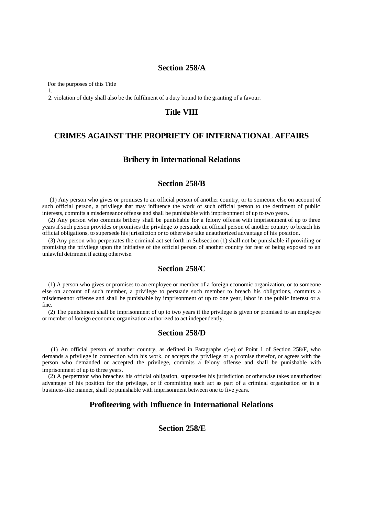#### **Section 258/A**

For the purposes of this Title

1.

2. violation of duty shall also be the fulfilment of a duty bound to the granting of a favour.

# **Title VIII**

# **CRIMES AGAINST THE PROPRIETY OF INTERNATIONAL AFFAIRS**

#### **Bribery in International Relations**

# **Section 258/B**

 (1) Any person who gives or promises to an official person of another country, or to someone else on account of such official person, a privilege that may influence the work of such official person to the detriment of public interests, commits a misdemeanor offense and shall be punishable with imprisonment of up to two years.

(2) Any person who commits bribery shall be punishable for a felony offense with imprisonment of up to three years if such person provides or promises the privilege to persuade an official person of another country to breach his official obligations, to supersede his jurisdiction or to otherwise take unauthorized advantage of his position.

(3) Any person who perpetrates the criminal act set forth in Subsection (1) shall not be punishable if providing or promising the privilege upon the initiative of the official person of another country for fear of being exposed to an unlawful detriment if acting otherwise.

# **Section 258/C**

(1) A person who gives or promises to an employee or member of a foreign economic organization, or to someone else on account of such member, a privilege to persuade such member to breach his obligations, commits a misdemeanor offense and shall be punishable by imprisonment of up to one year, labor in the public interest or a fine.

(2) The punishment shall be imprisonment of up to two years if the privilege is given or promised to an employee or member of foreign economic organization authorized to act independently.

# **Section 258/D**

 (1) An official person of another country, as defined in Paragraphs c)-e) of Point 1 of Section 258/F, who demands a privilege in connection with his work, or accepts the privilege or a promise therefor, or agrees with the person who demanded or accepted the privilege, commits a felony offense and shall be punishable with imprisonment of up to three years.

(2) A perpetrator who breaches his official obligation, supersedes his jurisdiction or otherwise takes unauthorized advantage of his position for the privilege, or if committing such act as part of a criminal organization or in a business-like manner, shall be punishable with imprisonment between one to five years.

# **Profiteering with Influence in International Relations**

# **Section 258/E**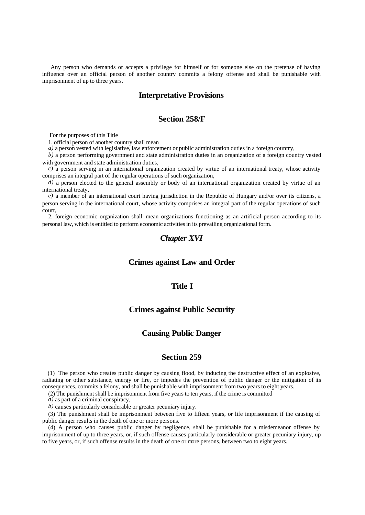Any person who demands or accepts a privilege for himself or for someone else on the pretense of having influence over an official person of another country commits a felony offense and shall be punishable with imprisonment of up to three years.

#### **Interpretative Provisions**

#### **Section 258/F**

For the purposes of this Title

1. official person of another country shall mean

*a*) a person vested with legislative, law enforcement or public administration duties in a foreign country,

*b)* a person performing government and state administration duties in an organization of a foreign country vested with government and state administration duties,

*c*) a person serving in an international organization created by virtue of an international treaty, whose activity comprises an integral part of the regular operations of such organization,

*d)* a person elected to the general assembly or body of an international organization created by virtue of an international treaty,

*e)* a member of an international court having jurisdiction in the Republic of Hungary and/or over its citizens, a person serving in the international court, whose activity comprises an integral part of the regular operations of such court,

2. foreign economic organization shall mean organizations functioning as an artificial person according to its personal law, which is entitled to perform economic activities in its prevailing organizational form.

### *Chapter XVI*

#### **Crimes against Law and Order**

#### **Title I**

#### **Crimes against Public Security**

#### **Causing Public Danger**

#### **Section 259**

(1) The person who creates public danger by causing flood, by inducing the destructive effect of an explosive, radiating or other substance, energy or fire, or impedes the prevention of public danger or the mitigation of its consequences, commits a felony, and shall be punishable with imprisonment from two years to eight years.

(2) The punishment shall be imprisonment from five years to ten years, if the crime is committed

*a)* as part of a criminal conspiracy,

*b)* causes particularly considerable or greater pecuniary injury.

(3) The punishment shall be imprisonment between five to fifteen years, or life imprisonment if the causing of public danger results in the death of one or more persons.

(4) A person who causes public danger by negligence, shall be punishable for a misdemeanor offense by imprisonment of up to three years, or, if such offense causes particularly considerable or greater pecuniary injury, up to five years, or, if such offense results in the death of one or more persons, between two to eight years.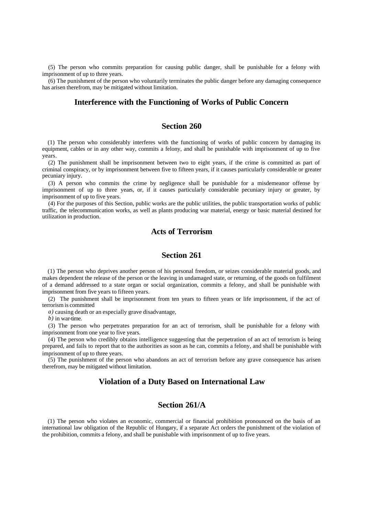(5) The person who commits preparation for causing public danger, shall be punishable for a felony with imprisonment of up to three years.

(6) The punishment of the person who voluntarily terminates the public danger before any damaging consequence has arisen therefrom, may be mitigated without limitation.

#### **Interference with the Functioning of Works of Public Concern**

### **Section 260**

(1) The person who considerably interferes with the functioning of works of public concern by damaging its equipment, cables or in any other way, commits a felony, and shall be punishable with imprisonment of up to five years.

(2) The punishment shall be imprisonment between two to eight years, if the crime is committed as part of criminal conspiracy, or by imprisonment between five to fifteen years, if it causes particularly considerable or greater pecuniary injury.

(3) A person who commits the crime by negligence shall be punishable for a misdemeanor offense by imprisonment of up to three years, or, if it causes particularly considerable pecuniary injury or greater, by imprisonment of up to five years.

(4) For the purposes of this Section, public works are the public utilities, the public transportation works of public traffic, the telecommunication works, as well as plants producing war material, energy or basic material destined for utilization in production.

# **Acts of Terrorism**

#### **Section 261**

(1) The person who deprives another person of his personal freedom, or seizes considerable material goods, and makes dependent the release of the person or the leaving in undamaged state, or returning, of the goods on fulfilment of a demand addressed to a state organ or social organization, commits a felony, and shall be punishable with imprisonment from five years to fifteen years.

(2) The punishment shall be imprisonment from ten years to fifteen years or life imprisonment, if the act of terrorism is committed

*a)* causing death or an especially grave disadvantage,

*b)* in war-time.

(3) The person who perpetrates preparation for an act of terrorism, shall be punishable for a felony with imprisonment from one year to five years.

(4) The person who credibly obtains intelligence suggesting that the perpetration of an act of terrorism is being prepared, and fails to report that to the authorities as soon as he can, commits a felony, and shall be punishable with imprisonment of up to three years.

(5) The punishment of the person who abandons an act of terrorism before any grave consequence has arisen therefrom, may be mitigated without limitation.

### **Violation of a Duty Based on International Law**

# **Section 261/A**

(1) The person who violates an economic, commercial or financial prohibition pronounced on the basis of an international law obligation of the Republic of Hungary, if a separate Act orders the punishment of the violation of the prohibition, commits a felony, and shall be punishable with imprisonment of up to five years.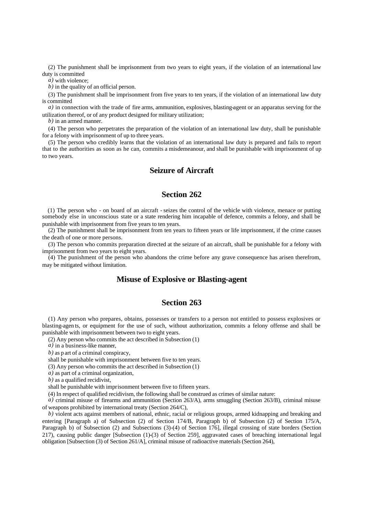(2) The punishment shall be imprisonment from two years to eight years, if the violation of an international law duty is committed

*a)* with violence;

*b)* in the quality of an official person.

(3) The punishment shall be imprisonment from five years to ten years, if the violation of an international law duty is committed

*a)* in connection with the trade of fire arms, ammunition, explosives, blasting-agent or an apparatus serving for the utilization thereof, or of any product designed for military utilization;

*b)* in an armed manner.

(4) The person who perpetrates the preparation of the violation of an international law duty, shall be punishable for a felony with imprisonment of up to three years.

(5) The person who credibly learns that the violation of an international law duty is prepared and fails to report that to the authorities as soon as he can, commits a misdemeanour, and shall be punishable with imprisonment of up to two years.

# **Seizure of Aircraft**

## **Section 262**

(1) The person who - on board of an aircraft - seizes the control of the vehicle with violence, menace or putting somebody else in unconscious state or a state rendering him incapable of defence, commits a felony, and shall be punishable with imprisonment from five years to ten years.

(2) The punishment shall be imprisonment from ten years to fifteen years or life imprisonment, if the crime causes the death of one or more persons.

(3) The person who commits preparation directed at the seizure of an aircraft, shall be punishable for a felony with imprisonment from two years to eight years.

(4) The punishment of the person who abandons the crime before any grave consequence has arisen therefrom, may be mitigated without limitation.

#### **Misuse of Explosive or Blasting-agent**

# **Section 263**

(1) Any person who prepares, obtains, possesses or transfers to a person not entitled to possess explosives or blasting-agen ts, or equipment for the use of such, without authorization, commits a felony offense and shall be punishable with imprisonment between two to eight years.

(2) Any person who commits the act described in Subsection (1)

*a)* in a business-like manner,

*b)* as p art of a criminal conspiracy,

shall be punishable with imprisonment between five to ten years.

(3) Any person who commits the act described in Subsection (1)

*a)* as part of a criminal organization,

*b)* as a qualified recidivist,

shall be punishable with imprisonment between five to fifteen years.

(4) In respect of qualified recidivism, the following shall be construed as crimes of similar nature:

*a)* criminal misuse of firearms and ammunition (Section 263/A), arms smuggling (Section 263/B), criminal misuse of weapons prohibited by international treaty (Section 264/C),

*b)* violent acts against members of national, ethnic, racial or religious groups, armed kidnapping and breaking and entering [Paragraph a) of Subsection (2) of Section 174/B, Paragraph b) of Subsection (2) of Section 175/A, Paragraph b) of Subsection (2) and Subsections (3)-(4) of Section 176], illegal crossing of state borders (Section 217), causing public danger [Subsection (1)-(3) of Section 259], aggravated cases of breaching international legal obligation [Subsection (3) of Section 261/A], criminal misuse of radioactive materials (Section 264),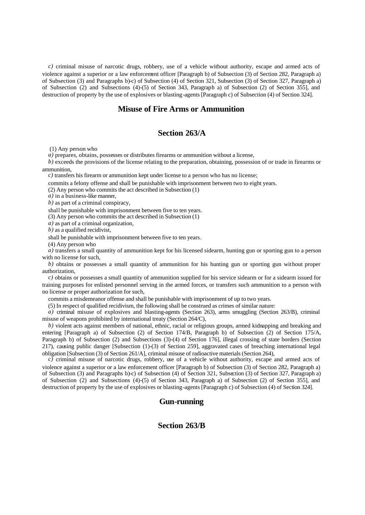*c)* criminal misuse of narcotic drugs, robbery, use of a vehicle without authority, escape and armed acts of violence against a superior or a law enforcement officer [Paragraph b) of Subsection (3) of Section 282, Paragraph a) of Subsection (3) and Paragraphs b)-c) of Subsection (4) of Section 321, Subsection (3) of Section 327, Paragraph a) of Subsection (2) and Subsections (4)-(5) of Section 343, Paragraph a) of Subsection (2) of Section 355], and destruction of property by the use of explosives or blasting-agents [Paragraph c) of Subsection (4) of Section 324].

#### **Misuse of Fire Arms or Ammunition**

#### **Section 263/A**

(1) Any person who

*a)* prepares, obtains, possesses or distributes firearms or ammunition without a license,

*b)* exceeds the provisions of the license relating to the preparation, obtaining, possession of or trade in firearms or ammunition,

*c*) transfers his firearm or ammunition kept under license to a person who has no license;

commits a felony offense and shall be punishable with imprisonment between two to eight years.

(2) Any person who commits the act described in Subsection (1)

*a)* in a business-like manner,

*b)* as part of a criminal conspiracy,

shall be punishable with imprisonment between five to ten years.

(3) Any person who commits the act described in Subsection (1)

*a)* as part of a criminal organization,

*b)* as a qualified recidivist,

shall be punishable with imprisonment between five to ten years.

(4) Any person who

*a)* transfers a small quantity of ammunition kept for his licensed sidearm, hunting gun or sporting gun to a person with no license for such,

*b)* obtains or possesses a small quantity of ammunition for his hunting gun or sporting gun without proper authorization,

*c)* obtains or possesses a small quantity of ammunition supplied for his service sidearm or for a sidearm issued for training purposes for enlisted personnel serving in the armed forces, or transfers such ammunition to a person with no license or proper authorization for such,

commits a misdemeanor offense and shall be punishable with imprisonment of up to two years.

(5) In respect of qualified recidivism, the following shall be construed as crimes of similar nature:

*a)* criminal misuse of explosives and blasting-agents (Section 263), arms smuggling (Section 263/B), criminal misuse of weapons prohibited by international treaty (Section 264/C),

*b)* violent acts against members of national, ethnic, racial or religious groups, armed kidnapping and breaking and entering [Paragraph a) of Subsection (2) of Section 174/B, Paragraph b) of Subsection (2) of Section 175/A, Paragraph b) of Subsection (2) and Subsections (3)-(4) of Section 176], illegal crossing of state borders (Section 217), causing public danger [Subsection (1)-(3) of Section 259], aggravated cases of breaching international legal obligation [Subsection (3) of Section 261/A], criminal misuse of radioactive materials (Section 264),

*c)* criminal misuse of narcotic drugs, robbery, use of a vehicle without authority, escape and armed acts of violence against a superior or a law enforcement officer [Paragraph b) of Subsection (3) of Section 282, Paragraph a) of Subsection (3) and Paragraphs b)-c) of Subsection (4) of Section 321, Subsection (3) of Section 327, Paragraph a) of Subsection (2) and Subsections (4)-(5) of Section 343, Paragraph a) of Subsection (2) of Section 355], and destruction of property by the use of explosives or blasting-agents [Paragraph c) of Subsection (4) of Section 324].

### **Gun-running**

# **Section 263/B**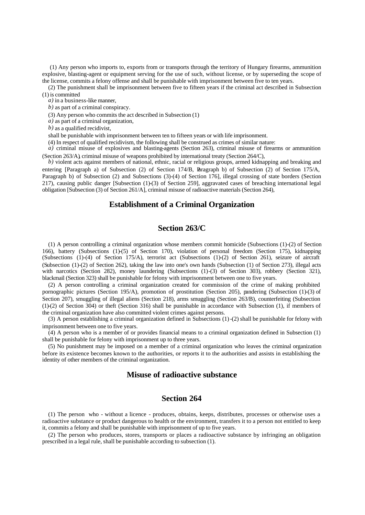(1) Any person who imports to, exports from or transports through the territory of Hungary firearms, ammunition explosive, blasting-agent or equipment serving for the use of such, without license, or by superseding the scope of the license, commits a felony offense and shall be punishable with imprisonment between five to ten years.

(2) The punishment shall be imprisonment between five to fifteen years if the criminal act described in Subsection (1) is committed

*a)* in a business-like manner,

*b)* as part of a criminal conspiracy.

(3) Any person who commits the act described in Subsection (1)

*a)* as part of a criminal organization,

*b)* as a qualified recidivist,

shall be punishable with imprisonment between ten to fifteen years or with life imprisonment.

(4) In respect of qualified recidivism, the following shall be construed as crimes of similar nature:

*a)* criminal misuse of explosives and blasting-agents (Section 263), criminal misuse of firearms or ammunition (Section 263/A), criminal misuse of weapons prohibited by international treaty (Section 264/C),

*b)* violent acts against members of national, ethnic, racial or religious groups, armed kidnapping and breaking and entering [Paragraph a) of Subsection (2) of Section 174/B, Paragraph b) of Subsection (2) of Section 175/A, Paragraph b) of Subsection (2) and Subsections (3)-(4) of Section 176], illegal crossing of state borders (Section 217), causing public danger [Subsection (1)-(3) of Section 259], aggravated cases of breaching international legal obligation [Subsection (3) of Section 261/A], criminal misuse of radioactive materials (Section 264),

#### **Establishment of a Criminal Organization**

#### **Section 263/C**

(1) A person controlling a criminal organization whose members commit homicide (Subsections (1)-(2) of Section 166), battery (Subsections (1)-(5) of Section 170), violation of personal freedom (Section 175), kidnapping (Subsections (1)-(4) of Section 175/A), terrorist act (Subsections (1)-(2) of Section 261), seizure of aircraft (Subsection (1)-(2) of Section 262), taking the law into one's own hands (Subsection (1) of Section 273), illegal acts with narcotics (Section 282), money laundering (Subsections (1)-(3) of Section 303), robbery (Section 321), blackmail (Section 323) shall be punishable for felony with imprisonment between one to five years.

(2) A person controlling a criminal organization created for commission of the crime of making prohibited pornographic pictures (Section 195/A), promotion of prostitution (Section 205), pandering (Subsection (1)-(3) of Section 207), smuggling of illegal aliens (Section 218), arms smuggling (Section 263/B), counterfeiting (Subsection (1)-(2) of Section 304) or theft (Section 316) shall be punishable in accordance with Subsection (1), if members of the criminal organization have also committed violent crimes against persons.

(3) A person establishing a criminal organization defined in Subsections (1)-(2) shall be punishable for felony with imprisonment between one to five years.

 $(4)$  A person who is a member of or provides financial means to a criminal organization defined in Subsection (1) shall be punishable for felony with imprisonment up to three years.

(5) No punishment may be imposed on a member of a criminal organization who leaves the criminal organization before its existence becomes known to the authorities, or reports it to the authorities and assists in establishing the identity of other members of the criminal organization.

## **Misuse of radioactive substance**

## **Section 264**

(1) The person who - without a licence - produces, obtains, keeps, distributes, processes or otherwise uses a radioactive substance or product dangerous to health or the environment, transfers it to a person not entitled to keep it, commits a felony and shall be punishable with imprisonment of up to five years.

(2) The person who produces, stores, transports or places a radioactive substance by infringing an obligation prescribed in a legal rule, shall be punishable according to subsection (1).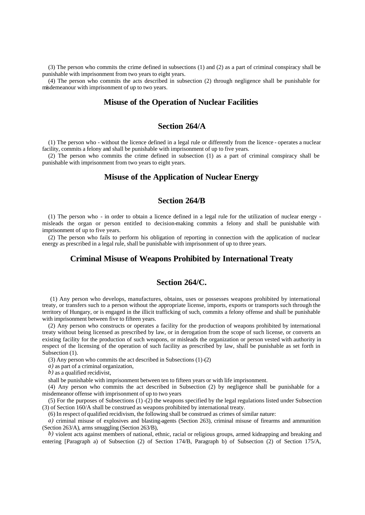(3) The person who commits the crime defined in subsections (1) and (2) as a part of criminal conspiracy shall be punishable with imprisonment from two years to eight years.

(4) The person who commits the acts described in subsection (2) through negligence shall be punishable for misdemeanour with imprisonment of up to two years.

#### **Misuse of the Operation of Nuclear Facilities**

# **Section 264/A**

(1) The person who - without the licence defined in a legal rule or differently from the licence - operates a nuclear facility, commits a felony and shall be punishable with imprisonment of up to five years.

(2) The person who commits the crime defined in subsection (1) as a part of criminal conspiracy shall be punishable with imprisonment from two years to eight years.

# **Misuse of the Application of Nuclear Energy**

# **Section 264/B**

(1) The person who - in order to obtain a licence defined in a legal rule for the utilization of nuclear energy misleads the organ or person entitled to decision-making commits a felony and shall be punishable with imprisonment of up to five years.

(2) The person who fails to perform his obligation of reporting in connection with the application of nuclear energy as prescribed in a legal rule, shall be punishable with imprisonment of up to three years.

# **Criminal Misuse of Weapons Prohibited by International Treaty**

# **Section 264/C.**

 (1) Any person who develops, manufactures, obtains, uses or possesses weapons prohibited by international treaty, or transfers such to a person without the appropriate license, imports, exports or transports such through the territory of Hungary, or is engaged in the illicit trafficking of such, commits a felony offense and shall be punishable with imprisonment between five to fifteen years.

(2) Any person who constructs or operates a facility for the production of weapons prohibited by international treaty without being licensed as prescribed by law, or in derogation from the scope of such license, or converts an existing facility for the production of such weapons, or misleads the organization or person vested with authority in respect of the licensing of the operation of such facility as prescribed by law, shall be punishable as set forth in Subsection  $(1)$ .

(3) Any person who commits the act described in Subsections  $(1)$ - $(2)$ 

*a)* as part of a criminal organization,

*b)* as a qualified recidivist,

shall be punishable with imprisonment between ten to fifteen years or with life imprisonment.

(4) Any person who commits the act described in Subsection (2) by negligence shall be punishable for a misdemeanor offense with imprisonment of up to two years

(5) For the purposes of Subsections  $(1)-(2)$  the weapons specified by the legal regulations listed under Subsection (3) of Section 160/A shall be construed as weapons prohibited by international treaty.

(6) In respect of qualified recidivism, the following shall be construed as crimes of similar nature:

*a)* criminal misuse of explosives and blasting-agents (Section 263), criminal misuse of firearms and ammunition (Section 263/A), arms smuggling (Section 263/B),

*b)* violent acts against members of national, ethnic, racial or religious groups, armed kidnapping and breaking and entering [Paragraph a) of Subsection (2) of Section 174/B, Paragraph b) of Subsection (2) of Section 175/A,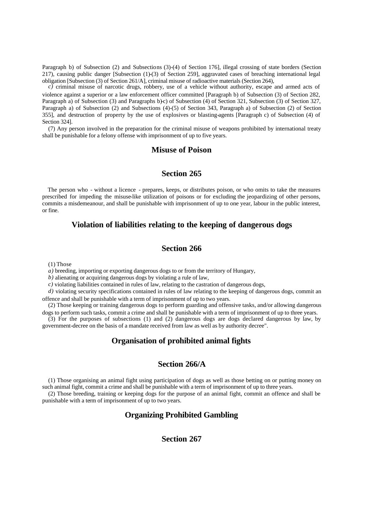Paragraph b) of Subsection (2) and Subsections (3)-(4) of Section 176], illegal crossing of state borders (Section 217), causing public danger [Subsection (1)-(3) of Section 259], aggravated cases of breaching international legal obligation [Subsection (3) of Section 261/A], criminal misuse of radioactive materials (Section 264),

*c)* criminal misuse of narcotic drugs, robbery, use of a vehicle without authority, escape and armed acts of violence against a superior or a law enforcement officer committed [Paragraph b) of Subsection (3) of Section 282, Paragraph a) of Subsection (3) and Paragraphs b)-c) of Subsection (4) of Section 321, Subsection (3) of Section 327, Paragraph a) of Subsection (2) and Subsections (4)-(5) of Section 343, Paragraph a) of Subsection (2) of Section 355], and destruction of property by the use of explosives or blasting-agents [Paragraph c) of Subsection (4) of Section 324].

(7) Any person involved in the preparation for the criminal misuse of weapons prohibited by international treaty shall be punishable for a felony offense with imprisonment of up to five years.

# **Misuse of Poison**

#### **Section 265**

The person who - without a licence - prepares, keeps, or distributes poison, or who omits to take the measures prescribed for impeding the misuse-like utilization of poisons or for excluding the jeopardizing of other persons, commits a misdemeanour, and shall be punishable with imprisonment of up to one year, labour in the public interest, or fine.

### **Violation of liabilities relating to the keeping of dangerous dogs**

# **Section 266**

(1) Those

*a)* breeding, importing or exporting dangerous dogs to or from the territory of Hungary,

*b)* alienating or acquiring dangerous dogs by violating a rule of law,

*c)* violating liabilities contained in rules of law, relating to the castration of dangerous dogs,

*d)* violating security specifications contained in rules of law relating to the keeping of dangerous dogs, commit an offence and shall be punishable with a term of imprisonment of up to two years.

(2) Those keeping or training dangerous dogs to perform guarding and offensive tasks, and/or allowing dangerous dogs to perform such tasks, commit a crime and shall be punishable with a term of imprisonment of up to three years.

(3) For the purposes of subsections (1) and (2) dangerous dogs are dogs declared dangerous by law, by government-decree on the basis of a mandate received from law as well as by authority decree".

# **Organisation of prohibited animal fights**

#### **Section 266/A**

(1) Those organising an animal fight using participation of dogs as well as those betting on or putting money on such animal fight, commit a crime and shall be punishable with a term of imprisonment of up to three years.

(2) Those breeding, training or keeping dogs for the purpose of an animal fight, commit an offence and shall be punishable with a term of imprisonment of up to two years.

# **Organizing Prohibited Gambling**

# **Section 267**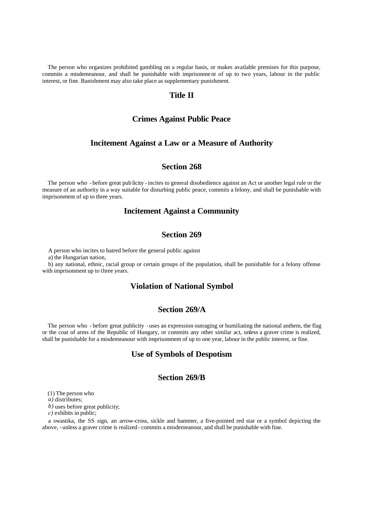The person who organizes prohibited gambling on a regular basis, or makes available premises for this purpose, commits a misdemeanour, and shall be punishable with imprisonme nt of up to two years, labour in the public interest, or fine. Banishment may also take place as supplementary punishment.

# **Title II**

### **Crimes Against Public Peace**

## **Incitement Against a Law or a Measure of Authority**

# **Section 268**

The person who - before great pub licity - incites to general disobedience against an Act or another legal rule or the measure of an authority in a way suitable for disturbing public peace, commits a felony, and shall be punishable with imprisonment of up to three years.

## **Incitement Against a Community**

# **Section 269**

A person who incites to hatred before the general public against

a) the Hungarian nation,

b) any national, ethnic, racial group or certain groups of the population, shall be punishable for a felony offense with imprisonment up to three years.

## **Violation of National Symbol**

### **Section 269/A**

The person who - before great publicity - uses an expression outraging or humiliating the national anthem, the flag or the coat of arms of the Republic of Hungary, or commits any other similar act, unless a graver crime is realized, shall be punishable for a misdemeanour with imprisonment of up to one year, labour in the public interest, or fine.

#### **Use of Symbols of Despotism**

#### **Section 269/B**

(1) The person who

*a)* distributes;

*b)* uses before great publicity;

*c)* exhibits in public;

a swastika, the SS sign, an arrow-cross, sickle and hammer, a five-pointed red star or a symbol depicting the above, - unless a graver crime is realized - commits a misdemeanour, and shall be punishable with fine.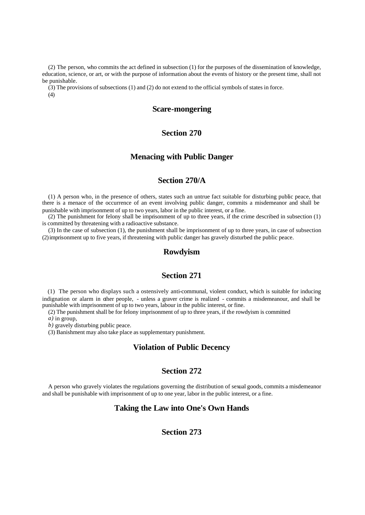(2) The person, who commits the act defined in subsection (1) for the purposes of the dissemination of knowledge, education, science, or art, or with the purpose of information about the events of history or the present time, shall not be punishable.

(3) The provisions of subsections (1) and (2) do not extend to the official symbols of states in force. (4)

# **Scare-mongering**

# **Section 270**

#### **Menacing with Public Danger**

# **Section 270/A**

(1) A person who, in the presence of others, states such an untrue fact suitable for disturbing public peace, that there is a menace of the occurrence of an event involving public danger, commits a misdemeanor and shall be punishable with imprisonment of up to two years, labor in the public interest, or a fine.

(2) The punishment for felony shall be imprisonment of up to three years, if the crime described in subsection (1) is committed by threatening with a radioactive substance.

(3) In the case of subsection (1), the punishment shall be imprisonment of up to three years, in case of subsection (2) imprisonment up to five years, if threatening with public danger has gravely disturbed the public peace.

# **Rowdyism**

# **Section 271**

(1) The person who displays such a ostensively anti-communal, violent conduct, which is suitable for inducing indignation or alarm in other people, - unless a graver crime is realized - commits a misdemeanour, and shall be punishable with imprisonment of up to two years, labour in the public interest, or fine.

(2) The punishment shall be for felony imprisonment of up to three years, if the rowdyism is committed

*a)* in group,

*b)* gravely disturbing public peace.

(3) Banishment may also take place as supplementary punishment.

# **Violation of Public Decency**

#### **Section 272**

A person who gravely violates the regulations governing the distribution of sexual goods, commits a misdemeanor and shall be punishable with imprisonment of up to one year, labor in the public interest, or a fine.

#### **Taking the Law into One's Own Hands**

### **Section 273**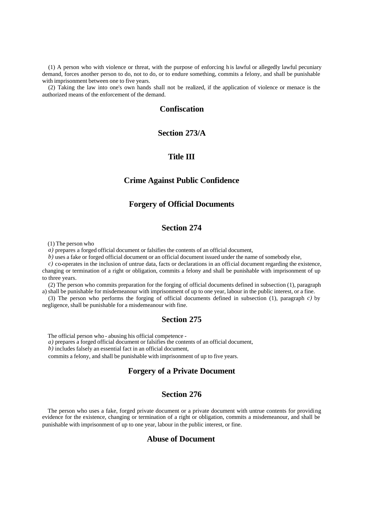(1) A person who with violence or threat, with the purpose of enforcing h is lawful or allegedly lawful pecuniary demand, forces another person to do, not to do, or to endure something, commits a felony, and shall be punishable with imprisonment between one to five years.

(2) Taking the law into one's own hands shall not be realized, if the application of violence or menace is the authorized means of the enforcement of the demand.

### **Confiscation**

# **Section 273/A**

### **Title III**

# **Crime Against Public Confidence**

#### **Forgery of Official Documents**

# **Section 274**

(1) The person who

*a)* prepares a forged official document or falsifies the contents of an official document,

*b)* uses a fake or forged official document or an official document issued under the name of somebody else,

*c)* co-operates in the inclusion of untrue data, facts or declarations in an official document regarding the existence, changing or termination of a right or obligation, commits a felony and shall be punishable with imprisonment of up to three years.

(2) The person who commits preparation for the forging of official documents defined in subsection (1), paragraph a) shall be punishable for misdemeanour with imprisonment of up to one year, labour in the public interest, or a fine.

(3) The person who performs the forging of official documents defined in subsection (1), paragraph *c)* by negligence, shall be punishable for a misdemeanour with fine.

### **Section 275**

The official person who - abusing his official competence -

*a)* prepares a forged official document or falsifies the contents of an official document,

*b)* includes falsely an essential fact in an official document,

commits a felony, and shall be punishable with imprisonment of up to five years.

### **Forgery of a Private Document**

#### **Section 276**

The person who uses a fake, forged private document or a private document with untrue contents for providing evidence for the existence, changing or termination of a right or obligation, commits a misdemeanour, and shall be punishable with imprisonment of up to one year, labour in the public interest, or fine.

# **Abuse of Document**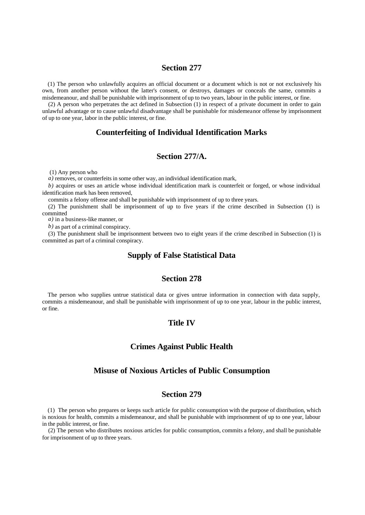#### **Section 277**

(1) The person who unlawfully acquires an official document or a document which is not or not exclusively his own, from another person without the latter's consent, or destroys, damages or conceals the same, commits a misdemeanour, and shall be punishable with imprisonment of up to two years, labour in the public interest, or fine.

(2) A person who perpetrates the act defined in Subsection (1) in respect of a private document in order to gain unlawful advantage or to cause unlawful disadvantage shall be punishable for misdemeanor offense by imprisonment of up to one year, labor in the public interest, or fine.

# **Counterfeiting of Individual Identification Marks**

#### **Section 277/A.**

(1) Any person who

*a)* removes, or counterfeits in some other way, an individual identification mark,

*b)* acquires or uses an article whose individual identification mark is counterfeit or forged, or whose individual identification mark has been removed,

commits a felony offense and shall be punishable with imprisonment of up to three years.

(2) The punishment shall be imprisonment of up to five years if the crime described in Subsection (1) is committed

*a)* in a business-like manner, or

*b*) as part of a criminal conspiracy.

(3) The punishment shall be imprisonment between two to eight years if the crime described in Subsection (1) is committed as part of a criminal conspiracy.

#### **Supply of False Statistical Data**

#### **Section 278**

The person who supplies untrue statistical data or gives untrue information in connection with data supply, commits a misdemeanour, and shall be punishable with imprisonment of up to one year, labour in the public interest, or fine.

# **Title IV**

# **Crimes Against Public Health**

#### **Misuse of Noxious Articles of Public Consumption**

#### **Section 279**

(1) The person who prepares or keeps such article for public consumption with the purpose of distribution, which is noxious for health, commits a misdemeanour, and shall be punishable with imprisonment of up to one year, labour in the public interest, or fine.

(2) The person who distributes noxious articles for public consumption, commits a felony, and shall be punishable for imprisonment of up to three years.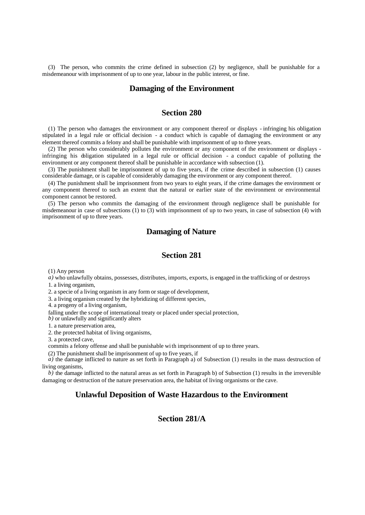(3) The person, who commits the crime defined in subsection (2) by negligence, shall be punishable for a misdemeanour with imprisonment of up to one year, labour in the public interest, or fine.

#### **Damaging of the Environment**

# **Section 280**

(1) The person who damages the environment or any component thereof or displays - infringing his obligation stipulated in a legal rule or official decision - a conduct which is capable of damaging the environment or any element thereof commits a felony and shall be punishable with imprisonment of up to three years.

(2) The person who considerably pollutes the environment or any component of the environment or displays infringing his obligation stipulated in a legal rule or official decision - a conduct capable of polluting the environment or any component thereof shall be punishable in accordance with subsection (1).

(3) The punishment shall be imprisonment of up to five years, if the crime described in subsection (1) causes considerable damage, or is capable of considerably damaging the environment or any component thereof.

(4) The punishment shall be imprisonment from two years to eight years, if the crime damages the environment or any component thereof to such an extent that the natural or earlier state of the environment or environmental component cannot be restored.

(5) The person who commits the damaging of the environment through negligence shall be punishable for misdemeanour in case of subsections (1) to (3) with imprisonment of up to two years, in case of subsection (4) with imprisonment of up to three years.

# **Damaging of Nature**

# **Section 281**

(1) Any person

*a)* who unlawfully obtains, possesses, distributes, imports, exports, is engaged in the trafficking of or destroys 1. a living organism,

2. a specie of a living organism in any form or stage of development,

3. a living organism created by the hybridizing of different species,

4. a progeny of a living organism,

falling under the scope of international treaty or placed under special protection,

*b*) or unlawfully and significantly alters

1. a nature preservation area,

2. the protected habitat of living organisms,

3. a protected cave,

commits a felony offense and shall be punishable wi th imprisonment of up to three years.

(2) The punishment shall be imprisonment of up to five years, if

 $\hat{a}$ ) the damage inflicted to nature as set forth in Paragraph a) of Subsection (1) results in the mass destruction of living organisms,

*b)* the damage inflicted to the natural areas as set forth in Paragraph b) of Subsection (1) results in the irreversible damaging or destruction of the nature preservation area, the habitat of living organisms or the cave.

#### **Unlawful Deposition of Waste Hazardous to the Environment**

# **Section 281/A**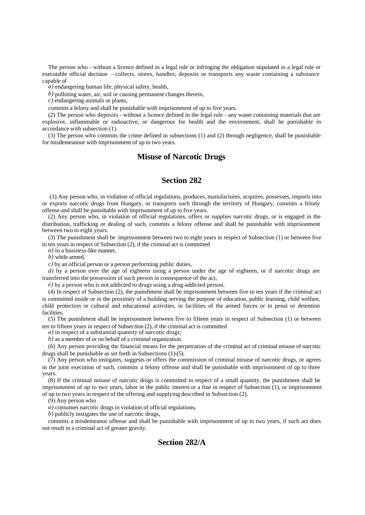The person who - without a licence defined in a legal rule or infringing the obligation stipulated in a legal rule or executable official decision - collects, stores, handles, deposits or transports any waste containing a substance capable of

*a)* endangering human life, physical safety, health,

*b)* polluting water, air, soil or causing permanent changes therein,

*c)* endangering animals or plants,

commits a felony and shall be punishable with imprisonment of up to five years.

(2) The person who deposits - without a licence defined in the legal rule - any waste containing materials that are explosive, inflammable or radioactive, or dangerous for health and the environment, shall be punishable in accordance with subsection (1).

(3) The person who commits the crime defined in subsections (1) and (2) through negligence, shall be punishable for misdemeanour with imprisonment of up to two years.

# **Misuse of Narcotic Drugs**

# **Section 282**

 (1) Any person who, in violation of official regulations, produces, manufactures, acquires, possesses, imports into or exports narcotic drugs from Hungary, or transports such through the territory of Hungary, commits a felony offense and shall be punishable with imprisonment of up to five years.

(2) Any person who, in violation of official regulations, offers or supplies narcotic drugs, or is engaged in the distribution, trafficking or dealing of such, commits a felony offense and shall be punishable with imprisonment between two to eight years.

(3) The punishment shall be imprisonment between two to eight years in respect of Subsection (1) or between five to ten years in respect of Subsection (2), if the criminal act is committed

*a*) in a business-like manner,

*b)* while armed,

*c)* by an official person or a person performing public duties,

*d*) by a person over the age of eighteen using a person under the age of eighteen, or if narcotic drugs are transferred into the possession of such person in consequence of the act,

*e)* by a person who is not addicted to drugs using a drug-addicted person.

(4) In respect of Subsection (2), the punishment shall be imprisonment between five to ten years if the criminal act is committed inside or in the proximity of a building serving the purpose of education, public learning, child welfare, child protection or cultural and educational activities, in facilities of the armed forces or in penal or detention **facilities** 

(5) The punishment shall be imprisonment between five to fifteen years in respect of Subsection (1) or between ten to fifteen years in respect of Subsection (2), if the criminal act is committed

*a)* in respect of a substantial quantity of narcotic drugs;

*b)* as a member of or on behalf of a criminal organization.

(6) Any person providing the financial means for the perpetration of the criminal act of criminal misuse of narcotic drugs shall be punishable as set forth in Subsections (1)-(5).

(7) Any person who instigates, suggests or offers the commission of criminal misuse of narcotic drugs, or agrees in the joint execution of such, commits a felony offense and shall be punishable with imprisonment of up to three years.

(8) If the criminal misuse of narcotic drugs is committed in respect of a small quantity, the punishment shall be imprisonment of up to two years, labor in the public interest or a fine in respect of Subsection (1), or imprisonment of up to two years in respect of the offering and supplying described in Subsection (2).

(9) Any person who

*a)* consumes narcotic drugs in violation of official regulations,

*b)* publicly instigates the use of narcotic drugs,

commits a misdemeanor offense and shall be punishable with imprisonment of up to two years, if such act does not result in a criminal act of greater gravity.

# **Section 282/A**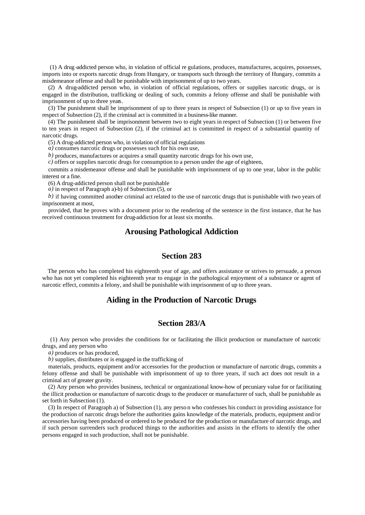(1) A drug -addicted person who, in violation of official re gulations, produces, manufactures, acquires, possesses, imports into or exports narcotic drugs from Hungary, or transports such through the territory of Hungary, commits a misdemeanor offense and shall be punishable with imprisonment of up to two years.

(2) A drug-addicted person who, in violation of official regulations, offers or supplies narcotic drugs, or is engaged in the distribution, trafficking or dealing of such, commits a felony offense and shall be punishable with imprisonment of up to three years.

(3) The punishment shall be imprisonment of up to three years in respect of Subsection (1) or up to five years in respect of Subsection (2), if the criminal act is committed in a business-like manner.

(4) The punishment shall be imprisonment between two to eight years in respect of Subsection (1) or between five to ten years in respect of Subsection (2), if the criminal act is committed in respect of a substantial quantity of narcotic drugs.

(5) A drug-addicted person who, in violation of official regulations

*a)* consumes narcotic drugs or possesses such for his own use,

*b)* produces, manufactures or acquires a small quantity narcotic drugs for his own use,

*c)* offers or supplies narcotic drugs for consumption to a person under the age of eighteen,

commits a misdemeanor offense and shall be punishable with imprisonment of up to one year, labor in the public interest or a fine.

(6) A drug-addicted person shall not be punishable

*a)* in respect of Paragraph a)-b) of Subsection (5), or

*b)* if having committed another criminal act related to the use of narcotic drugs that is punishable with two years of imprisonment at most,

provided, that he proves with a document prior to the rendering of the sentence in the first instance, that he has received continuous treatment for drug-addiction for at least six months.

# **Arousing Pathological Addiction**

# **Section 283**

The person who has completed his eighteenth year of age, and offers assistance or strives to persuade, a person who has not yet completed his eighteenth year to engage in the pathological enjoyment of a substance or agent of narcotic effect, commits a felony, and shall be punishable with imprisonment of up to three years.

# **Aiding in the Production of Narcotic Drugs**

#### **Section 283/A**

 (1) Any person who provides the conditions for or facilitating the illicit production or manufacture of narcotic drugs, and any person who

*a)* produces or has produced,

*b)* supplies, distributes or is engaged in the trafficking of

materials, products, equipment and/or accessories for the production or manufacture of narcotic drugs, commits a felony offense and shall be punishable with imprisonment of up to three years, if such act does not result in a criminal act of greater gravity.

(2) Any person who provides business, technical or organizational know-how of pecuniary value for or facilitating the illicit production or manufacture of narcotic drugs to the producer or manufacturer of such, shall be punishable as set forth in Subsection (1).

(3) In respect of Paragraph a) of Subsection (1), any perso n who confesses his conduct in providing assistance for the production of narcotic drugs before the authorities gains knowledge of the materials, products, equipment and/or accessories having been produced or ordered to be produced for the production or manufacture of narcotic drugs, and if such person surrenders such produced things to the authorities and assists in the efforts to identify the other persons engaged in such production, shall not be punishable.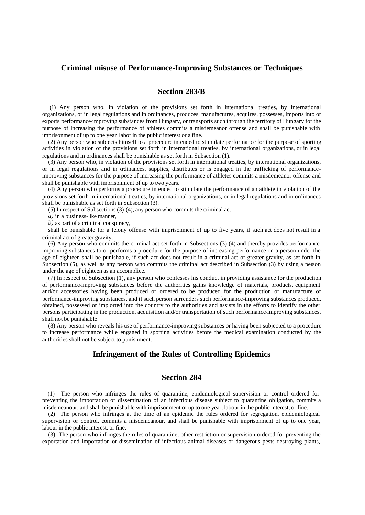#### **Criminal misuse of Performance-Improving Substances or Techniques**

### **Section 283/B**

 (1) Any person who, in violation of the provisions set forth in international treaties, by international organizations, or in legal regulations and in ordinances, produces, manufactures, acquires, possesses, imports into or exports performance-improving substances from Hungary, or transports such through the territory of Hungary for the purpose of increasing the performance of athletes commits a misdemeanor offense and shall be punishable with imprisonment of up to one year, labor in the public interest or a fine.

(2) Any person who subjects himself to a procedure intended to stimulate performance for the purpose of sporting activities in violation of the provisions set forth in international treaties, by international organizations, or in legal regulations and in ordinances shall be punishable as set forth in Subsection (1).

(3) Any person who, in violation of the provisions set forth in international treaties, by international organizations, or in legal regulations and in ordinances, supplies, distributes or is engaged in the trafficking of performanceimproving substances for the purpose of increasing the performance of athletes commits a misdemeanor offense and shall be punishable with imprisonment of up to two years.

(4) Any person who performs a procedure intended to stimulate the performance of an athlete in violation of the provisions set forth in international treaties, by international organizations, or in legal regulations and in ordinances shall be punishable as set forth in Subsection (3).

(5) In respect of Subsections (3)-(4), any person who commits the criminal act

*a)* in a business-like manner,

*b)* as part of a criminal conspiracy,

shall be punishable for a felony offense with imprisonment of up to five years, if such act does not result in a criminal act of greater gravity.

(6) Any person who commits the criminal act set forth in Subsections (3)-(4) and thereby provides performanceimproving substances to or performs a procedure for the purpose of increasing performance on a person under the age of eighteen shall be punishable, if such act does not result in a criminal act of greater gravity, as set forth in Subsection (5), as well as any person who commits the criminal act described in Subsection (3) by using a person under the age of eighteen as an accomplice.

(7) In respect of Subsection (1), any person who confesses his conduct in providing assistance for the production of performance-improving substances before the authorities gains knowledge of materials, products, equipment and/or accessories having been produced or ordered to be produced for the production or manufacture of performance-improving substances, and if such person surrenders such performance-improving substances produced, obtained, possessed or imp orted into the country to the authorities and assists in the efforts to identify the other persons participating in the production, acquisition and/or transportation of such performance-improving substances, shall not be punishable.

(8) Any person who reveals his use of performance-improving substances or having been subjected to a procedure to increase performance while engaged in sporting activities before the medical examination conducted by the authorities shall not be subject to punishment.

# **Infringement of the Rules of Controlling Epidemics**

### **Section 284**

(1) The person who infringes the rules of quarantine, epidemiological supervision or control ordered for preventing the importation or dissemination of an infectious disease subject to quarantine obligation, commits a misdemeanour, and shall be punishable with imprisonment of up to one year, labour in the public interest, or fine.

(2) The person who infringes at the time of an epidemic the rules ordered for segregation, epidemiological supervision or control, commits a misdemeanour, and shall be punishable with imprisonment of up to one year, labour in the public interest, or fine.

(3) The person who infringes the rules of quarantine, other restriction or supervision ordered for preventing the exportation and importation or dissemination of infectious animal diseases or dangerous pests destroying plants,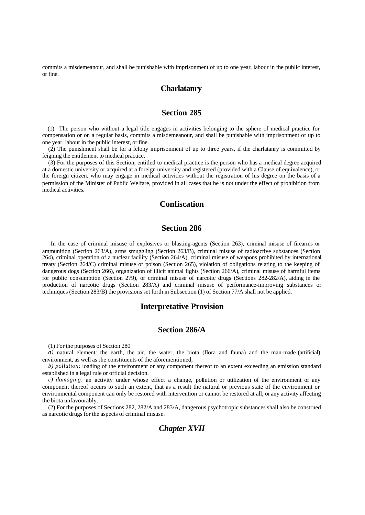commits a misdemeanour, and shall be punishable with imprisonment of up to one year, labour in the public interest, or fine.

### **Charlatanry**

# **Section 285**

(1) The person who without a legal title engages in activities belonging to the sphere of medical practice for compensation or on a regular basis, commits a misdemeanour, and shall be punishable with imprisonment of up to one year, labour in the public interest, or fine.

(2) The punishment shall be for a felony imprisonment of up to three years, if the charlatanry is committed by feigning the entitlement to medical practice.

(3) For the purposes of this Section, entitled to medical practice is the person who has a medical degree acquired at a domestic university or acquired at a foreign university and registered (provided with a Clause of equivalence), or the foreign citizen, who may engage in medical activities without the registration of his degree on the basis of a permission of the Minister of Public Welfare, provided in all cases that he is not under the effect of prohibition from medical activities.

# **Confiscation**

### **Section 286**

 In the case of criminal misuse of explosives or blasting-agents (Section 263), criminal misuse of firearms or ammunition (Section 263/A), arms smuggling (Section 263/B), criminal misuse of radioactive substances (Section 264), criminal operation of a nuclear facility (Section 264/A), criminal misuse of weapons prohibited by international treaty (Section 264/C) criminal misuse of poison (Section 265), violation of obligations relating to the keeping of dangerous dogs (Section 266), organization of illicit animal fights (Section 266/A), criminal misuse of harmful items for public consumption (Section 279), or criminal misuse of narcotic drugs (Sections 282-282/A), aiding in the production of narcotic drugs (Section 283/A) and criminal misuse of performance-improving substances or techniques (Section 283/B) the provisions set forth in Subsection (1) of Section 77/A shall not be applied.

#### **Interpretative Provision**

#### **Section 286/A**

(1) For the purposes of Section 280

*a*) natural element: the earth, the air, the water, the biota (flora and fauna) and the man-made (artificial) environment, as well as the constituents of the aforementioned,

*b) pollution:* loading of the environment or any component thereof to an extent exceeding an emission standard established in a legal rule or official decision.

*c) damaging:* an activity under whose effect a change, pollution or utilization of the environment or any component thereof occurs to such an extent, that as a result the natural or previous state of the environment or environmental component can only be restored with intervention or cannot be restored at all, or any activity affecting the biota unfavourably.

(2) For the purposes of Sections 282, 282/A and 283/A, dangerous psychotropic substances shall also be construed as narcotic drugs for the aspects of criminal misuse.

# *Chapter XVII*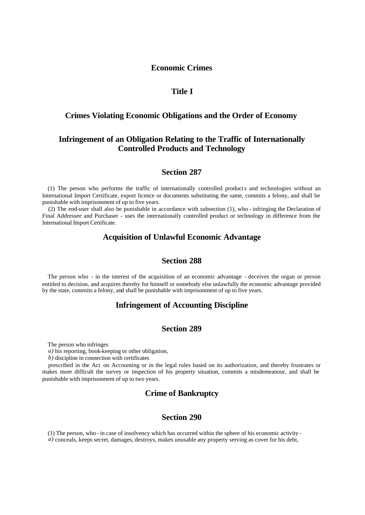#### **Economic Crimes**

# **Title I**

#### **Crimes Violating Economic Obligations and the Order of Economy**

# **Infringement of an Obligation Relating to the Traffic of Internationally Controlled Products and Technology**

### **Section 287**

(1) The person who performs the traffic of internationally controlled products and technologies without an International Import Certificate, export licence or documents substituting the same, commits a felony, and shall be punishable with imprisonment of up to five years.

(2) The end-user shall also be punishable in accordance with subsection (1), who - infringing the Declaration of Final Addressee and Purchaser - uses the internationally controlled product or technology in difference from the International Import Certificate.

# **Acquisition of Unlawful Economic Advantage**

# **Section 288**

The person who - in the interest of the acquisition of an economic advantage - deceives the organ or person entitled to decision, and acquires thereby for himself or somebody else unlawfully the economic advantage provided by the state, commits a felony, and shall be punishable with imprisonment of up to five years.

# **Infringement of Accounting Discipline**

# **Section 289**

The person who infringes

*a)* his reporting, book-keeping or other obligation,

*b)* discipline in connection with certificates

prescribed in the Act on Accounting or in the legal rules based on its authorization, and thereby frustrates or makes more difficult the survey or inspection of his property situation, commits a misdemeanour, and shall be punishable with imprisonment of up to two years.

# **Crime of Bankruptcy**

# **Section 290**

(1) The person, who - in case of insolvency which has occurred within the sphere of his economic activity -

*a*) conceals, keeps secret, damages, destroys, makes unusable any property serving as cover for his debt,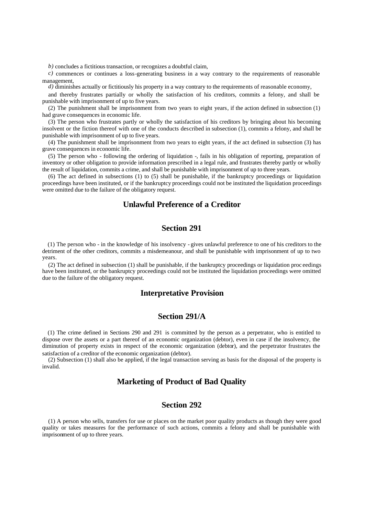*b)* concludes a fictitious transaction, or recognizes a doubtful claim,

*c)* commences or continues a loss-generating business in a way contrary to the requirements of reasonable management,

*d*) diminishes actually or fictitiously his property in a way contrary to the requirements of reasonable economy,

and thereby frustrates partially or wholly the satisfaction of his creditors, commits a felony, and shall be punishable with imprisonment of up to five years.

(2) The punishment shall be imprisonment from two years to eight years, if the action defined in subsection (1) had grave consequences in economic life.

(3) The person who frustrates partly or wholly the satisfaction of his creditors by bringing about his becoming insolvent or the fiction thereof with one of the conducts described in subsection (1), commits a felony, and shall be punishable with imprisonment of up to five years.

(4) The punishment shall be imprisonment from two years to eight years, if the act defined in subsection (3) has grave consequences in economic life.

(5) The person who - following the ordering of liquidation -, fails in his obligation of reporting, preparation of inventory or other obligation to provide information prescribed in a legal rule, and frustrates thereby partly or wholly the result of liquidation, commits a crime, and shall be punishable with imprisonment of up to three years.

(6) The act defined in subsections (1) to (5) shall be punishable, if the bankruptcy proceedings or liquidation proceedings have been instituted, or if the bankruptcy proceedings could not be instituted the liquidation proceedings were omitted due to the failure of the obligatory request.

# **Unlawful Preference of a Creditor**

# **Section 291**

(1) The person who - in the knowledge of his insolvency - gives unlawful preference to one of his creditors to the detriment of the other creditors, commits a misdemeanour, and shall be punishable with imprisonment of up to two years.

(2) The act defined in subsection (1) shall be punishable, if the bankruptcy proceedings or liquidation proc eedings have been instituted, or the bankruptcy proceedings could not be instituted the liquidation proceedings were omitted due to the failure of the obligatory request.

#### **Interpretative Provision**

#### **Section 291/A**

(1) The crime defined in Sections 290 and 291 is committed by the person as a perpetrator, who is entitled to dispose over the assets or a part thereof of an economic organization (debtor), even in case if the insolvency, the diminution of property exists in respect of the economic organization (debtor), and the perpetrator frustrates the satisfaction of a creditor of the economic organization (debtor).

(2) Subsection (1) shall also be applied, if the legal transaction serving as basis for the disposal of the property is invalid.

# **Marketing of Product of Bad Quality**

### **Section 292**

(1) A person who sells, transfers for use or places on the market poor quality products as though they were good quality or takes measures for the performance of such actions, commits a felony and shall be punishable with imprisonment of up to three years.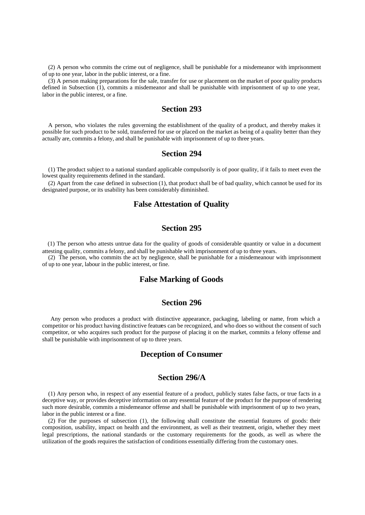(2) A person who commits the crime out of negligence, shall be punishable for a misdemeanor with imprisonment of up to one year, labor in the public interest, or a fine.

(3) A person making preparations for the sale, transfer for use or placement on the market of poor quality products defined in Subsection (1), commits a misdemeanor and shall be punishable with imprisonment of up to one year, labor in the public interest, or a fine.

#### **Section 293**

A person, who violates the rules governing the establishment of the quality of a product, and thereby makes it possible for such product to be sold, transferred for use or placed on the market as being of a quality better than they actually are, commits a felony, and shall be punishable with imprisonment of up to three years.

#### **Section 294**

(1) The product subject to a national standard applicable compulsorily is of poor quality, if it fails to meet even the lowest quality requirements defined in the standard.

(2) Apart from the case defined in subsection (1), that product shall be of bad quality, which cannot be used for its designated purpose, or its usability has been considerably diminished.

# **False Attestation of Quality**

# **Section 295**

(1) The person who attests untrue data for the quality of goods of considerable quantity or value in a document attesting quality, commits a felony, and shall be punishable with imprisonment of up to three years.

(2) The person, who commits the act by negligence, shall be punishable for a misdemeanour with imprisonment of up to one year, labour in the public interest, or fine.

#### **False Marking of Goods**

# **Section 296**

 Any person who produces a product with distinctive appearance, packaging, labeling or name, from which a competitor or his product having distinctive features can be recognized, and who does so without the consent of such competitor, or who acquires such product for the purpose of placing it on the market, commits a felony offense and shall be punishable with imprisonment of up to three years.

## **Deception of Consumer**

### **Section 296/A**

(1) Any person who, in respect of any essential feature of a product, publicly states false facts, or true facts in a deceptive way, or provides deceptive information on any essential feature of the product for the purpose of rendering such more desirable, commits a misdemeanor offense and shall be punishable with imprisonment of up to two years, labor in the public interest or a fine.

(2) For the purposes of subsection (1), the following shall constitute the essential features of goods: their composition, usability, impact on health and the environment, as well as their treatment, origin, whether they meet legal prescriptions, the national standards or the customary requirements for the goods, as well as where the utilization of the goods requires the satisfaction of conditions essentially differing from the customary ones.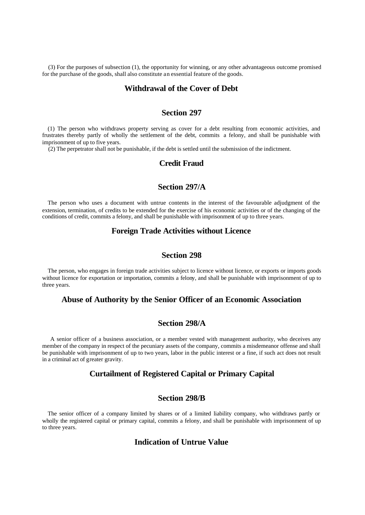(3) For the purposes of subsection (1), the opportunity for winning, or any other advantageous outcome promised for the purchase of the goods, shall also constitute an essential feature of the goods.

### **Withdrawal of the Cover of Debt**

# **Section 297**

(1) The person who withdraws property serving as cover for a debt resulting from economic activities, and frustrates thereby partly of wholly the settlement of the debt, commits a felony, and shall be punishable with imprisonment of up to five years.

(2) The perpetrator shall not be punishable, if the debt is settled until the submission of the indictment.

#### **Credit Fraud**

# **Section 297/A**

The person who uses a document with untrue contents in the interest of the favourable adjudgment of the extension, termination, of credits to be extended for the exercise of his economic activities or of the changing of the conditions of credit, commits a felony, and shall be punishable with imprisonment of up to three years.

### **Foreign Trade Activities without Licence**

## **Section 298**

The person, who engages in foreign trade activities subject to licence without licence, or exports or imports goods without licence for exportation or importation, commits a felony, and shall be punishable with imprisonment of up to three years.

# **Abuse of Authority by the Senior Officer of an Economic Association**

#### **Section 298/A**

 A senior officer of a business association, or a member vested with management authority, who deceives any member of the company in respect of the pecuniary assets of the company, commits a misdemeanor offense and shall be punishable with imprisonment of up to two years, labor in the public interest or a fine, if such act does not result in a criminal act of greater gravity.

# **Curtailment of Registered Capital or Primary Capital**

### **Section 298/B**

The senior officer of a company limited by shares or of a limited liability company, who withdraws partly or wholly the registered capital or primary capital, commits a felony, and shall be punishable with imprisonment of up to three years.

### **Indication of Untrue Value**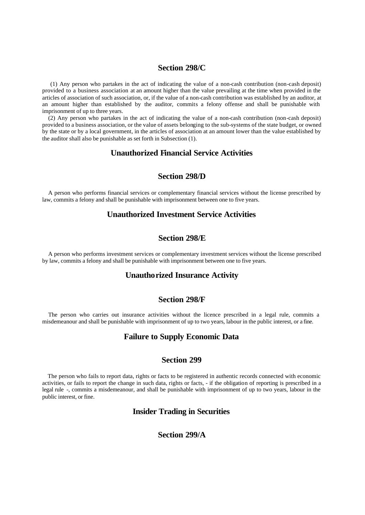# **Section 298/C**

 (1) Any person who partakes in the act of indicating the value of a non-cash contribution (non-cash deposit) provided to a business association at an amount higher than the value prevailing at the time when provided in the articles of association of such association, or, if the value of a non-cash contribution was established by an auditor, at an amount higher than established by the auditor, commits a felony offense and shall be punishable with imprisonment of up to three years.

(2) Any person who partakes in the act of indicating the value of a non-cash contribution (non-cash deposit) provided to a business association, or the value of assets belonging to the sub-systems of the state budget, or owned by the state or by a local government, in the articles of association at an amount lower than the value established by the auditor shall also be punishable as set forth in Subsection (1).

# **Unauthorized Financial Service Activities**

#### **Section 298/D**

A person who performs financial services or complementary financial services without the license prescribed by law, commits a felony and shall be punishable with imprisonment between one to five years.

## **Unauthorized Investment Service Activities**

### **Section 298/E**

A person who performs investment services or complementary investment services without the license prescribed by law, commits a felony and shall be punishable with imprisonment between one to five years.

#### **Unauthorized Insurance Activity**

### **Section 298/F**

The person who carries out insurance activities without the licence prescribed in a legal rule, commits a misdemeanour and shall be punishable with imprisonment of up to two years, labour in the public interest, or a fine.

#### **Failure to Supply Economic Data**

# **Section 299**

The person who fails to report data, rights or facts to be registered in authentic records connected with economic activities, or fails to report the change in such data, rights or facts, - if the obligation of reporting is prescribed in a legal rule -, commits a misdemeanour, and shall be punishable with imprisonment of up to two years, labour in the public interest, or fine.

# **Insider Trading in Securities**

# **Section 299/A**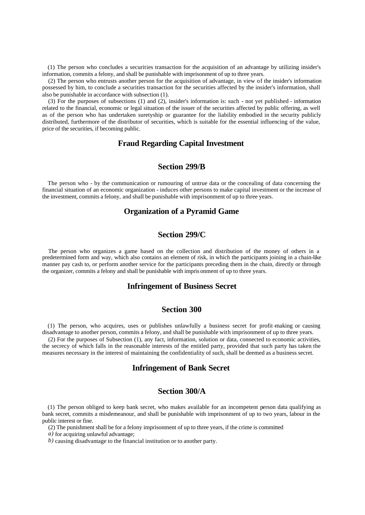(1) The person who concludes a securities transaction for the acquisition of an advantage by utilizing insider's information, commits a felony, and shall be punishable with imprisonment of up to three years.

(2) The person who entrusts another person for the acquisition of advantage, in view of the insider's information possessed by him, to conclude a securities transaction for the securities affected by the insider's information, shall also be punishable in accordance with subsection (1).

(3) For the purposes of subsections (1) and (2), insider's information is: such - not yet published - information related to the financial, economic or legal situation of the issuer of the securities affected by public offering, as well as of the person who has undertaken suretyship or guarantee for the liability embodied in the security publicly distributed, furthermore of the distributor of securities, which is suitable for the essential influencing of the value, price of the securities, if becoming public.

# **Fraud Regarding Capital Investment**

## **Section 299/B**

The person who - by the communication or rumouring of untrue data or the concealing of data concerning the financial situation of an economic organization - induces other persons to make capital investment or the increase of the investment, commits a felony, and shall be punishable with imprisonment of up to three years.

# **Organization of a Pyramid Game**

# **Section 299/C**

The person who organizes a game based on the collection and distribution of the money of others in a predetermined form and way, which also contains an element of risk, in which the participants joining in a chain-like manner pay cash to, or perform another service for the participants preceding them in the chain, directly or through the organizer, commits a felony and shall be punishable with impris onment of up to three years.

#### **Infringement of Business Secret**

#### **Section 300**

(1) The person, who acquires, uses or publishes unlawfully a business secret for profit-making or causing disadvantage to another person, commits a felony, and shall be punishable with imprisonment of up to three years.

(2) For the purposes of Subsection (1), any fact, information, solution or data, connected to economic activities, the secrecy of which falls in the reasonable interests of the entitled party, provided that such party has taken the measures necessary in the interest of maintaining the confidentiality of such, shall be deemed as a business secret.

# **Infringement of Bank Secret**

#### **Section 300/A**

(1) The person obliged to keep bank secret, who makes available for an incompetent person data qualifying as bank secret, commits a misdemeanour, and shall be punishable with imprisonment of up to two years, labour in the public interest or fine.

(2) The punishment shall be for a felony imprisonment of up to three years, if the crime is committed

*a)* for acquiring unlawful advantage;

*b)* causing disadvantage to the financial institution or to another party.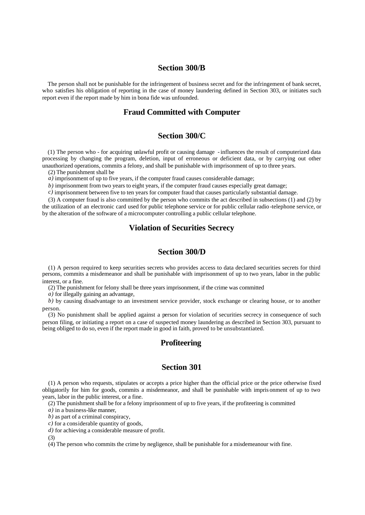#### **Section 300/B**

The person shall not be punishable for the infringement of business secret and for the infringement of bank secret, who satisfies his obligation of reporting in the case of money laundering defined in Section 303, or initiates such report even if the report made by him in bona fide was unfounded.

# **Fraud Committed with Computer**

#### **Section 300/C**

(1) The person who - for acquiring unlawful profit or causing damage - influences the result of computerized data processing by changing the program, deletion, input of erroneous or deficient data, or by carrying out other unauthorized operations, commits a felony, and shall be punishable with imprisonment of up to three years.

(2) The punishment shall be

*a)* imprisonment of up to five years, if the computer fraud causes considerable damage;

*b*) imprisonment from two years to eight years, if the computer fraud causes especially great damage;

*c)* imprisonment between five to ten years for computer fraud that causes particularly substantial damage.

(3) A computer fraud is also committed by the person who commits the act described in subsections (1) and (2) by the utilization of an electronic card used for public telephone service or for public cellular radio -telephone service, or by the alteration of the software of a microcomputer controlling a public cellular telephone.

# **Violation of Securities Secrecy**

# **Section 300/D**

(1) A person required to keep securities secrets who provides access to data declared securities secrets for third persons, commits a misdemeanor and shall be punishable with imprisonment of up to two years, labor in the public interest, or a fine.

(2) The punishment for felony shall be three years imprisonment, if the crime was committed

*a)* for illegally gaining an advantage,

*b*) by causing disadvantage to an investment service provider, stock exchange or clearing house, or to another person.

(3) No punishment shall be applied against a person for violation of securities secrecy in consequence of such person filing, or initiating a report on a case of suspected money laundering as described in Section 303, pursuant to being obliged to do so, even if the report made in good in faith, proved to be unsubstantiated.

#### **Profiteering**

## **Section 301**

(1) A person who requests, stipulates or accepts a price higher than the official price or the price otherwise fixed obligatorily for him for goods, commits a misdemeanor, and shall be punishable with impris onment of up to two years, labor in the public interest, or a fine.

(2) The punishment shall be for a felony imprisonment of up to five years, if the profiteering is committed

*a)* in a business-like manner,

*b)* as part of a criminal conspiracy,

*c)* for a considerable quantity of goods,

*d)* for achieving a considerable measure of profit.

(3)

(4) The person who commits the crime by negligence, shall be punishable for a misdemeanour with fine.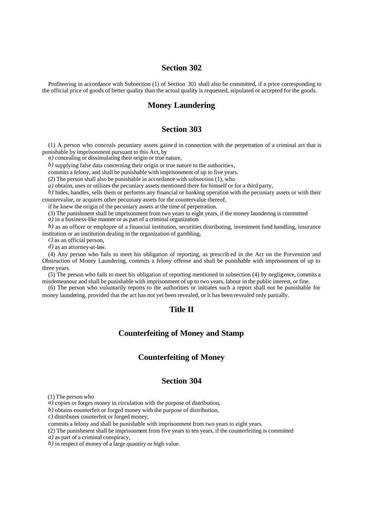# **Section 302**

Profiteering in accordance with Subsection (1) of Section 301 shall also be committed, if a price corresponding to the official price of goods of better quality than the actual quality is requested, stipulated or accepted for the goods.

#### **Money Laundering**

#### **Section 303**

(1) A person who conceals pecuniary assets gaine d in connection with the perpetration of a criminal act that is punishable by imprisonment pursuant to this Act, by

*a*) concealing or dissimulating their origin or true nature,

*b)* supplying false data concerning their origin or true nature to the authorities,

commits a felony, and shall be punishable with imprisonment of up to five years.

(2) The person shall also be punishable in accordance with subsection (1), who

*a)* obtains, uses or utilizes the pecuniary assets mentioned there for himself or for a third party,

*b)* hides, handles, sells them or performs any financial or banking operation with the pecuniary assets or with their countervalue, or acquires other pecuniary assets for the countervalue thereof,

if he knew the origin of the pecuniary assets at the time of perpetration.

(3) The punishment shall be imprisonment from two years to eight years, if the money laundering is committed

*a)* in a business-like manner or as part of a criminal organization

*b)* as an officer or employee of a financial institution, securities distributing, investment fund handling, insurance institution or an institution dealing in the organization of gambling,

*c)* as an official person,

*d)* as an attorney-at-law.

(4) Any person who fails to meet his obligation of reporting, as prescrib ed in the Act on the Prevention and Obstruction of Money Laundering, commits a felony offense and shall be punishable with imprisonment of up to three years.

(5) The person who fails to meet his obligation of reporting mentioned in subsection (4) by negligence, commits a misdemeanour and shall be punishable with imprisonment of up to two years, labour in the public interest, or fine.

(6) The person who voluntarily reports to the authorities or initiates such a report shall not be punishable for money laundering, provided that the act has not yet been revealed, or it has been revealed only partially.

# **Title II**

# **Counterfeiting of Money and Stamp**

# **Counterfeiting of Money**

# **Section 304**

(1) The person who

*a)* copies or forges money in circulation with the purpose of distribution,

*b)* obtains counterfeit or forged money with the purpose of distribution,

*c)* distributes counterfeit or forged money,

commits a felony and shall be punishable with imprisonment from two years to eight years.

(2) The punishment shall be imprisonment from five years to ten years, if the counterfeiting is committed

*a)* as part of a criminal conspiracy,

*b)* in respect of money of a large quantity or high value.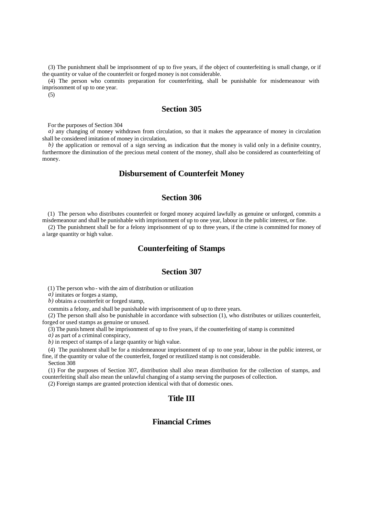(3) The punishment shall be imprisonment of up to five years, if the object of counterfeiting is small change, or if the quantity or value of the counterfeit or forged money is not considerable.

(4) The person who commits preparation for counterfeiting, shall be punishable for misdemeanour with imprisonment of up to one year.

(5)

#### **Section 305**

For the purposes of Section 304

*a*) any changing of money withdrawn from circulation, so that it makes the appearance of money in circulation shall be considered imitation of money in circulation,

*b*) the application or removal of a sign serving as indication that the money is valid only in a definite country, furthermore the diminution of the precious metal content of the money, shall also be considered as counterfeiting of money.

### **Disbursement of Counterfeit Money**

# **Section 306**

(1) The person who distributes counterfeit or forged money acquired lawfully as genuine or unforged, commits a misdemeanour and shall be punishable with imprisonment of up to one year, labour in the public interest, or fine.

(2) The punishment shall be for a felony imprisonment of up to three years, if the crime is committed for money of a large quantity or high value.

#### **Counterfeiting of Stamps**

# **Section 307**

(1) The person who - with the aim of distribution or utilization

*a)* imitates or forges a stamp,

*b)* obtains a counterfeit or forged stamp,

commits a felony, and shall be punishable with imprisonment of up to three years.

(2) The person shall also be punishable in accordance with subsection (1), who distributes or utilizes counterfeit, forged or used stamps as genuine or unused.

(3) The punis hment shall be imprisonment of up to five years, if the counterfeiting of stamp is committed

*a)* as part of a criminal conspiracy,

*b)* in respect of stamps of a large quantity or high value.

(4) The punishment shall be for a misdemeanour imprisonment of up to one year, labour in the public interest, or fine, if the quantity or value of the counterfeit, forged or reutilized stamp is not considerable.

Section 308

(1) For the purposes of Section 307, distribution shall also mean distribution for the collection of stamps, and counterfeiting shall also mean the unlawful changing of a stamp serving the purposes of collection.

(2) Foreign stamps are granted protection identical with that of domestic ones.

# **Title III**

# **Financial Crimes**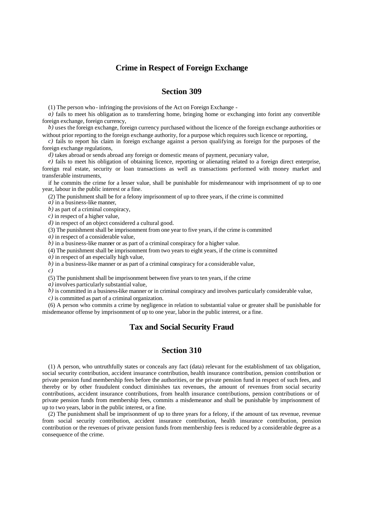### **Crime in Respect of Foreign Exchange**

## **Section 309**

(1) The person who - infringing the provisions of the Act on Foreign Exchange -

*a)* fails to meet his obligation as to transferring home, bringing home or exchanging into forint any convertible foreign exchange, foreign currency,

*b)* uses the foreign exchange, foreign currency purchased without the licence of the foreign exchange authorities or without prior reporting to the foreign exchange authority, for a purpose which requires such licence or reporting,

*c)* fails to report his claim in foreign exchange against a person qualifying as foreign for the purposes of the foreign exchange regulations,

*d)* takes abroad or sends abroad any foreign or domestic means of payment, pecuniary value,

*e)* fails to meet his obligation of obtaining licence, reporting or alienating related to a foreign direct enterprise, foreign real estate, security or loan transactions as well as transactions performed with money market and transferable instruments,

if he commits the crime for a lesser value, shall be punishable for misdemeanour with imprisonment of up to one year, labour in the public interest or a fine.

(2) The punishment shall be for a felony imprisonment of up to three years, if the crime is committed

*a)* in a business-like manner,

*b)* as part of a criminal conspiracy,

*c)* in respect of a higher value,

*d)* in respect of an object considered a cultural good.

(3) The punishment shall be imprisonment from one year to five years, if the crime is committed

*a)* in respect of a considerable value,

*b)* in a business-like manner or as part of a criminal conspiracy for a higher value.

(4) The punishment shall be imprisonment from two years to eight years, if the crime is committed

*a)* in respect of an especially high value,

*b)* in a business-like manner or as part of a criminal conspiracy for a considerable value,

*c)*

(5) The punishment shall be imprisonment between five years to ten years, if the crime

*a)* involves particularly substantial value,

*b)* is committed in a business-like manner or in criminal conspiracy and involves particularly considerable value,

*c)* is committed as part of a criminal organization.

(6) A person who commits a crime by negligence in relation to substantial value or greater shall be punishable for misdemeanor offense by imprisonment of up to one year, labor in the public interest, or a fine.

# **Tax and Social Security Fraud**

### **Section 310**

(1) A person, who untruthfully states or conceals any fact (data) relevant for the establishment of tax obligation, social security contribution, accident insurance contribution, health insurance contribution, pension contribution or private pension fund membership fees before the authorities, or the private pension fund in respect of such fees, and thereby or by other fraudulent conduct diminishes tax revenues, the amount of revenues from social security contributions, accident insurance contributions, from health insurance contributions, pension contributions or of private pension funds from membership fees, commits a misdemeanor and shall be punishable by imprisonment of up to two years, labor in the public interest, or a fine.

(2) The punishment shall be imprisonment of up to three years for a felony, if the amount of tax revenue, revenue from social security contribution, accident insurance contribution, health insurance contribution, pension contribution or the revenues of private pension funds from membership fees is reduced by a considerable degree as a consequence of the crime.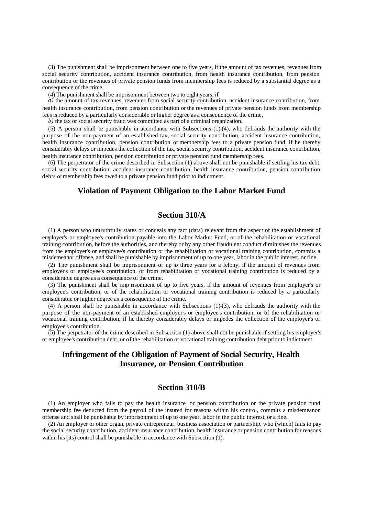(3) The punishment shall be imprisonment between one to five years, if the amount of tax revenues, revenues from social security contribution, accident insurance contribution, from health insurance contribution, from pension contribution or the revenues of private pension funds from membership fees is reduced by a substantial degree as a consequence of the crime.

(4) The punishment shall be imprisonment between two to eight years, if

*a*) the amount of tax revenues, revenues from social security contribution, accident insurance contribution, from health insurance contribution, from pension contribution or the revenues of private pension funds from membership fees is reduced by a particularly considerable or higher degree as a consequence of the crime,

*b)* the tax or social security fraud was committed as part of a criminal organization.

(5) A person shall be punishable in accordance with Subsections (1)-(4), who defrauds the authority with the purpose of the non-payment of an established tax, social security contribution, accident insurance contribution, health insurance contribution, pension contribution or membership fees to a private pension fund, if he thereby considerably delays or impedes the collection of the tax, social security contribution, accident insurance contribution, health insurance contribution, pension contribution or private pension fund membership fees.

(6) The perpetrator of the crime described in Subsection (1) above shall not be punishable if settling his tax debt, social security contribution, accident insurance contribution, health insurance contribution, pension contribution debts or membership fees owed to a private pension fund prior to indictment.

# **Violation of Payment Obligation to the Labor Market Fund**

#### **Section 310/A**

(1) A person who untruthfully states or conceals any fact (data) relevant from the aspect of the establishment of employer's or employee's contribution payable into the Labor Market Fund, or of the rehabilitation or vocational training contribution, before the authorities, and thereby or by any other fraudulent conduct diminishes the revenues from the employer's or employee's contribution or the rehabilitation or vocational training contribution, commits a misdemeanor offense, and shall be punishable by imprisonment of up to one year, labor in the public interest, or fine.

(2) The punishment shall be imprisonment of up to three years for a felony, if the amount of revenues from employer's or employee's contribution, or from rehabilitation or vocational training contribution is reduced by a considerable degree as a consequence of the crime.

(3) The punishment shall be imp risonment of up to five years, if the amount of revenues from employer's or employee's contribution, or of the rehabilitation or vocational training contribution is reduced by a particularly considerable or higher degree as a consequence of the crime.

(4) A person shall be punishable in accordance with Subsections (1)-(3), who defrauds the authority with the purpose of the non-payment of an established employer's or employee's contribution, or of the rehabilitation or vocational training contribution, if he thereby considerably delays or impedes the collection of the employer's or employee's contribution.

(5) The perpetrator of the crime described in Subsection (1) above shall not be punishable if settling his employer's or employee's contribution debt, or of the rehabilitation or vocational training contribution debt prior to indictment.

# **Infringement of the Obligation of Payment of Social Security, Health Insurance, or Pension Contribution**

### **Section 310/B**

(1) An employer who fails to pay the health insurance or pension contribution or the private pension fund membership fee deducted from the payroll of the insured for reasons within his control, commits a misdemeanor offense and shall be punishable by imprisonment of up to one year, labor in the public interest, or a fine.

(2) An employer or other organ, private entrepreneur, business association or partnership, who (which) fails to pay the social security contribution, accident insurance contribution, health insurance or pension contribution for reasons within his (its) control shall be punishable in accordance with Subsection (1).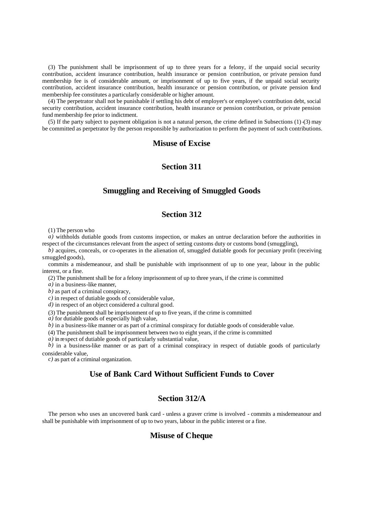(3) The punishment shall be imprisonment of up to three years for a felony, if the unpaid social security contribution, accident insurance contribution, health insurance or pension contribution, or private pension fund membership fee is of considerable amount, or imprisonment of up to five years, if the unpaid social security contribution, accident insurance contribution, health insurance or pension contribution, or private pension fund membership fee constitutes a particularly considerable or higher amount.

(4) The perpetrator shall not be punishable if settling his debt of employer's or employee's contribution debt, social security contribution, accident insurance contribution, health insurance or pension contribution, or private pension fund membership fee prior to indictment.

(5) If the party subject to payment obligation is not a natural person, the crime defined in Subsections  $(1)$ -(3) may be committed as perpetrator by the person responsible by authorization to perform the payment of such contributions.

#### **Misuse of Excise**

# **Section 311**

# **Smuggling and Receiving of Smuggled Goods**

# **Section 312**

(1) The person who

*a)* withholds dutiable goods from customs inspection, or makes an untrue declaration before the authorities in respect of the circumstances relevant from the aspect of setting customs duty or customs bond (smuggling),

 $\overline{b}$ ) acquires, conceals, or co-operates in the alienation of, smuggled dutiable goods for pecuniary profit (receiving smuggled goods),

commits a misdemeanour, and shall be punishable with imprisonment of up to one year, labour in the public interest, or a fine.

(2) The punishment shall be for a felony imprisonment of up to three years, if the crime is committed

*a)* in a business-like manner,

*b)* as part of a criminal conspiracy,

*c)* in respect of dutiable goods of considerable value,

*d)* in respect of an object considered a cultural good.

(3) The punishment shall be imprisonment of up to five years, if the crime is committed

*a)* for dutiable goods of especially high value,

*b)* in a business-like manner or as part of a criminal conspiracy for dutiable goods of considerable value.

(4) The punishment shall be imprisonment between two to eight years, if the crime is committed

*a)* in respect of dutiable goods of particularly substantial value,

*b*) in a business-like manner or as part of a criminal conspiracy in respect of dutiable goods of particularly considerable value,

*c)* as part of a criminal organization.

# **Use of Bank Card Without Sufficient Funds to Cover**

# **Section 312/A**

The person who uses an uncovered bank card - unless a graver crime is involved - commits a misdemeanour and shall be punishable with imprisonment of up to two years, labour in the public interest or a fine.

#### **Misuse of Cheque**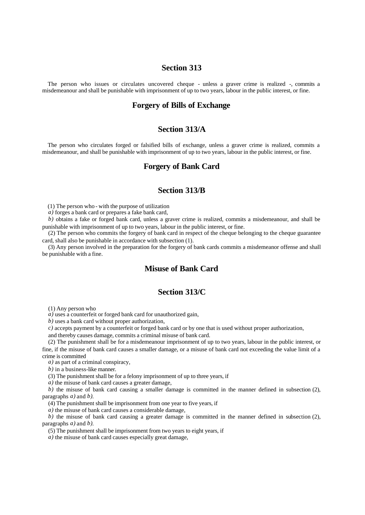### **Section 313**

The person who issues or circulates uncovered cheque - unless a graver crime is realized -, commits a misdemeanour and shall be punishable with imprisonment of up to two years, labour in the public interest, or fine.

#### **Forgery of Bills of Exchange**

#### **Section 313/A**

The person who circulates forged or falsified bills of exchange, unless a graver crime is realized, commits a misdemeanour, and shall be punishable with imprisonment of up to two years, labour in the public interest, or fine.

#### **Forgery of Bank Card**

#### **Section 313/B**

(1) The person who - with the purpose of utilization

*a)* forges a bank card or prepares a fake bank card,

*b)* obtains a fake or forged bank card, unless a graver crime is realized, commits a misdemeanour, and shall be punishable with imprisonment of up to two years, labour in the public interest, or fine.

(2) The person who commits the forgery of bank card in respect of the cheque belonging to the cheque guarantee card, shall also be punishable in accordance with subsection (1).

(3) Any person involved in the preparation for the forgery of bank cards commits a misdemeanor offense and shall be punishable with a fine.

# **Misuse of Bank Card**

#### **Section 313/C**

(1) Any person who

*a)* uses a counterfeit or forged bank card for unauthorized gain,

*b)* uses a bank card without proper authorization,

*c)* accepts payment by a counterfeit or forged bank card or by one that is used without proper authorization,

and thereby causes damage, commits a criminal misuse of bank card.

(2) The punishment shall be for a misdemeanour imprisonment of up to two years, labour in the public interest, or fine, if the misuse of bank card causes a smaller damage, or a misuse of bank card not exceeding the value limit of a crime is committed

*a)* as part of a criminal conspiracy,

*b)* in a business-like manner.

(3) The punishment shall be for a felony imprisonment of up to three years, if

*a)* the misuse of bank card causes a greater damage,

*b)* the misuse of bank card causing a smaller damage is committed in the manner defined in subsection (2), paragraphs *a)* and *b)*.

(4) The punishment shall be imprisonment from one year to five years, if

*a)* the misuse of bank card causes a considerable damage,

*b)* the misuse of bank card causing a greater damage is committed in the manner defined in subsection (2), paragraphs *a)* and *b)*.

(5) The punishment shall be imprisonment from two years to eight years, if

*a)* the misuse of bank card causes especially great damage,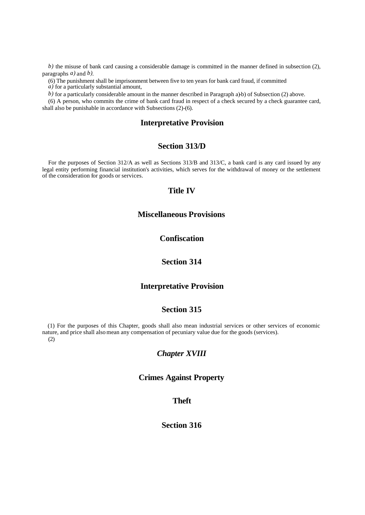*b*) the misuse of bank card causing a considerable damage is committed in the manner defined in subsection (2), paragraphs *a)* and *b)*.

(6) The punishment shall be imprisonment between five to ten years for bank card fraud, if committed

*a)* for a particularly substantial amount,

*b*) for a particularly considerable amount in the manner described in Paragraph a)-b) of Subsection (2) above.

(6) A person, who commits the crime of bank card fraud in respect of a check secured by a check guarantee card, shall also be punishable in accordance with Subsections (2)-(6).

### **Interpretative Provision**

# **Section 313/D**

For the purposes of Section 312/A as well as Sections 313/B and 313/C, a bank card is any card issued by any legal entity performing financial institution's activities, which serves for the withdrawal of money or the settlement of the consideration for goods or services.

#### **Title IV**

# **Miscellaneous Provisions**

# **Confiscation**

# **Section 314**

## **Interpretative Provision**

### **Section 315**

(1) For the purposes of this Chapter, goods shall also mean industrial services or other services of economic nature, and price shall also mean any compensation of pecuniary value due for the goods (services). (2)

#### *Chapter XVIII*

## **Crimes Against Property**

## **Theft**

# **Section 316**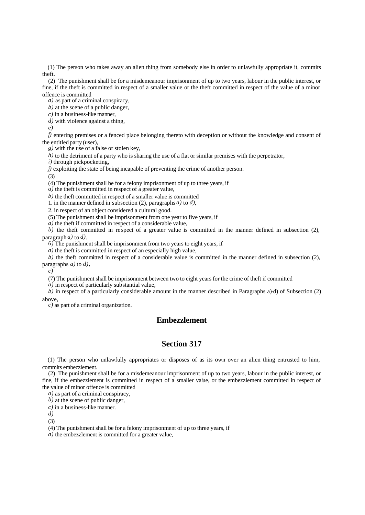(1) The person who takes away an alien thing from somebody else in order to unlawfully appropriate it, commits theft.

(2) The punishment shall be for a misdemeanour imprisonment of up to two years, labour in the public interest, or fine, if the theft is committed in respect of a smaller value or the theft committed in respect of the value of a minor offence is committed

*a)* as part of a criminal conspiracy,

*b)* at the scene of a public danger,

*c)* in a business-like manner,

*d)* with violence against a thing,

*e)*

*f)* entering premises or a fenced place belonging thereto with deception or without the knowledge and consent of the entitled party (user),

*g)* with the use of a false or stolen key,

*h*) to the detriment of a party who is sharing the use of a flat or similar premises with the perpetrator,

*i)* through pickpocketing,

*j)* exploiting the state of being incapable of preventing the crime of another person.

(3)

(4) The punishment shall be for a felony imprisonment of up to three years, if

*a)* the theft is committed in respect of a greater value,

*b)* the theft committed in respect of a smaller value is committed

1. in the manner defined in subsection (2), paragraphs *a)* to *d)*,

2. in respect of an object considered a cultural good.

(5) The punishment shall be imprisonment from one year to five years, if

*a)* the theft if committed in respect of a considerable value,

*b*) the theft committed in respect of a greater value is committed in the manner defined in subsection  $(2)$ , paragraph *a)* to *d)*.

*6)* The punishment shall be imprisonment from two years to eight years, if

*a)* the theft is committed in respect of an especially high value,

*b*) the theft committed in respect of a considerable value is committed in the manner defined in subsection (2), paragraphs *a)* to *d),*

*c)*

(7) The punishment shall be imprisonment between two to eight years for the crime of theft if committed

*a)* in respect of particularly substantial value,

*b)* in respect of a particularly considerable amount in the manner described in Paragraphs a)-d) of Subsection (2) above,

*c)* as part of a criminal organization.

# **Embezzlement**

# **Section 317**

(1) The person who unlawfully appropriates or disposes of as its own over an alien thing entrusted to him, commits embezzlement.

(2) The punishment shall be for a misdemeanour imprisonment of up to two years, labour in the public interest, or fine, if the embezzlement is committed in respect of a smaller value, or the embezzlement committed in respect of the value of minor offence is committed

*a)* as part of a criminal conspiracy,

*b)* at the scene of public danger,

*c)* in a business-like manner.

*d)*

(3)

(4) The punishment shall be for a felony imprisonment of up to three years, if

*a)* the embezzlement is committed for a greater value,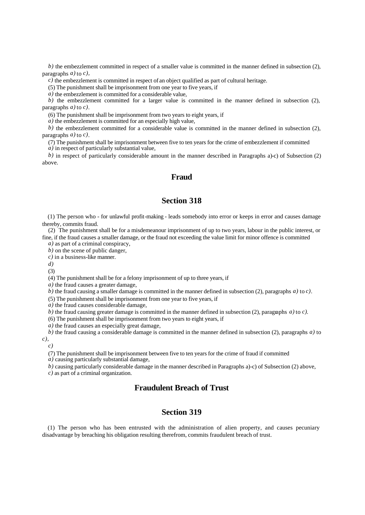*b)* the embezzlement committed in respect of a smaller value is committed in the manner defined in subsection (2), paragraphs *a)* to *c),*

*c)* the embezzlement is committed in respect of an object qualified as part of cultural heritage.

(5) The punishment shall be imprisonment from one year to five years, if

*a)* the embezzlement is committed for a considerable value,

*b*) the embezzlement committed for a larger value is committed in the manner defined in subsection (2), paragraphs *a)* to *c)*.

(6) The punishment shall be imprisonment from two years to eight years, if

*a)* the embezzlement is committed for an especially high value,

*b)* the embezzlement committed for a considerable value is committed in the manner defined in subsection (2), paragraphs *a)* to *c)*.

(7) The punishment shall be imprisonment between five to ten years for the crime of embezzlement if committed

*a)* in respect of particularly substantial value,

*b)* in respect of particularly considerable amount in the manner described in Paragraphs a)-c) of Subsection (2) above.

### **Fraud**

# **Section 318**

(1) The person who - for unlawful profit-making - leads somebody into error or keeps in error and causes damage thereby, commits fraud.

(2) The punishment shall be for a misdemeanour imprisonment of up to two years, labour in the public interest, or fine, if the fraud causes a smaller damage, or the fraud not exceeding the value limit for minor offence is committed

*a)* as part of a criminal conspiracy,

*b*) on the scene of public danger,

*c)* in a business-like manner.

*d)*

(3)

(4) The punishment shall be for a felony imprisonment of up to three years, if

*a)* the fraud causes a greater damage,

*b)* the fraud causing a smaller damage is committed in the manner defined in subsection (2), paragraphs *a)* to *c)*.

(5) The punishment shall be imprisonment from one year to five years, if

*a)* the fraud causes considerable damage,

*b)* the fraud causing greater damage is committed in the manner defined in subsection (2), paragraphs *a)* to *c)*.

(6) The punishment shall be imprisonment from two years to eight years, if

*a)* the fraud causes an especially great damage,

*b)* the fraud causing a considerable damage is committed in the manner defined in subsection (2), paragraphs *a)* to *c),*

*c)*

(7) The punishment shall be imprisonment between five to ten years for the crime of fraud if committed

*a)* causing particularly substantial damage,

*b)* causing particularly considerable damage in the manner described in Paragraphs a)-c) of Subsection (2) above, *c)* as part of a criminal organization.

# **Fraudulent Breach of Trust**

# **Section 319**

(1) The person who has been entrusted with the administration of alien property, and causes pecuniary disadvantage by breaching his obligation resulting therefrom, commits fraudulent breach of trust.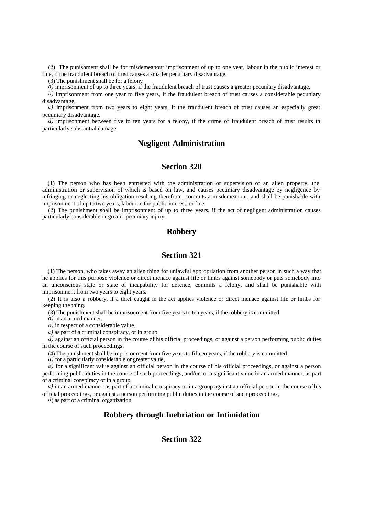(2) The punishment shall be for misdemeanour imprisonment of up to one year, labour in the public interest or fine, if the fraudulent breach of trust causes a smaller pecuniary disadvantage.

(3) The punishment shall be for a felony

*a)* imprisonment of up to three years, if the fraudulent breach of trust causes a greater pecuniary disadvantage,

*b)* imprisonment from one year to five years, if the fraudulent breach of trust causes a considerable pecuniary disadvantage,

*c)* imprisonment from two years to eight years, if the fraudulent breach of trust causes an especially great pecuniary disadvantage.

*d*) imprisonment between five to ten years for a felony, if the crime of fraudulent breach of trust results in particularly substantial damage.

# **Negligent Administration**

# **Section 320**

(1) The person who has been entrusted with the administration or supervision of an alien property, the administration or supervision of which is based on law, and causes pecuniary disadvantage by negligence by infringing or neglecting his obligation resulting therefrom, commits a misdemeanour, and shall be punishable with imprisonment of up to two years, labour in the public interest, or fine.

(2) The punishment shall be imprisonment of up to three years, if the act of negligent administration causes particularly considerable or greater pecuniary injury.

#### **Robbery**

## **Section 321**

(1) The person, who takes away an alien thing for unlawful appropriation from another person in such a way that he applies for this purpose violence or direct menace against life or limbs against somebody or puts somebody into an unconscious state or state of incapability for defence, commits a felony, and shall be punishable with imprisonment from two years to eight years.

(2) It is also a robbery, if a thief caught in the act applies violence or direct menace against life or limbs for keeping the thing.

(3) The punishment shall be imprisonment from five years to ten years, if the robbery is committed

*a)* in an armed manner,

*b)* in respect of a considerable value,

*c)* as part of a criminal conspiracy, or in group.

*d)* against an official person in the course of his official proceedings, or against a person performing public duties in the course of such proceedings.

(4) The punishment shall be impris onment from five years to fifteen years, if the robbery is committed

*a)* for a particularly considerable or greater value,

*b)* for a significant value against an official person in the course of his official proceedings, or against a person performing public duties in the course of such proceedings, and/or for a significant value in an armed manner, as part of a criminal conspiracy or in a group,

*c)* in an armed manner, as part of a criminal conspiracy or in a group against an official person in the course of his official proceedings, or against a person performing public duties in the course of such proceedings,

*d*) as part of a criminal organization

# **Robbery through Inebriation or Intimidation**

### **Section 322**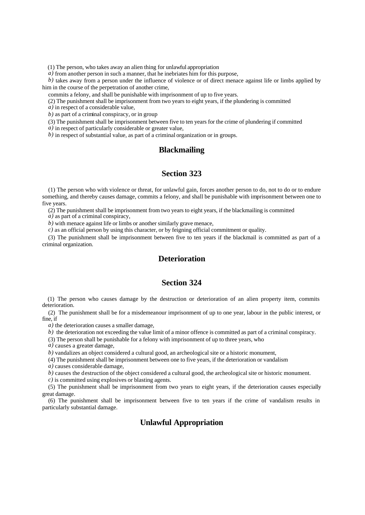(1) The person, who takes away an alien thing for unlawful appropriation

*a)* from another person in such a manner, that he inebriates him for this purpose,

*b*) takes away from a person under the influence of violence or of direct menace against life or limbs applied by him in the course of the perpetration of another crime,

commits a felony, and shall be punishable with imprisonment of up to five years.

(2) The punishment shall be imprisonment from two years to eight years, if the plundering is committed

*a)* in respect of a considerable value,

*b)* as part of a criminal conspiracy, or in group

(3) The punishment shall be imprisonment between five to ten years for the crime of plundering if committed

*a)* in respect of particularly considerable or greater value,

*b)* in respect of substantial value, as part of a criminal organization or in groups.

# **Blackmailing**

#### **Section 323**

(1) The person who with violence or threat, for unlawful gain, forces another person to do, not to do or to endure something, and thereby causes damage, commits a felony, and shall be punishable with imprisonment between one to five years.

(2) The punishment shall be imprisonment from two years to eight years, if the blackmailing is committed

*a)* as part of a criminal conspiracy,

*b)* with menace against life or limbs or another similarly grave menace,

*c)* as an official person by using this character, or by feigning official commitment or quality.

(3) The punishment shall be imprisonment between five to ten years if the blackmail is committed as part of a criminal organization.

# **Deterioration**

#### **Section 324**

(1) The person who causes damage by the destruction or deterioration of an alien property item, commits deterioration.

(2) The punishment shall be for a misdemeanour imprisonment of up to one year, labour in the public interest, or fine, if

*a)* the deterioration causes a smaller damage,

*b*) the deterioration not exceeding the value limit of a minor offence is committed as part of a criminal conspiracy.

(3) The person shall be punishable for a felony with imprisonment of up to three years, who

*a)* causes a greater damage,

*b*) vandalizes an object considered a cultural good, an archeological site or a historic monument,

(4) The punishment shall be imprisonment between one to five years, if the deterioration or vandalism

*a)* causes considerable damage,

*b*) causes the destruction of the object considered a cultural good, the archeological site or historic monument.

*c)* is committed using explosives or blasting agents.

(5) The punishment shall be imprisonment from two years to eight years, if the deterioration causes especially great damage.

(6) The punishment shall be imprisonment between five to ten years if the crime of vandalism results in particularly substantial damage.

# **Unlawful Appropriation**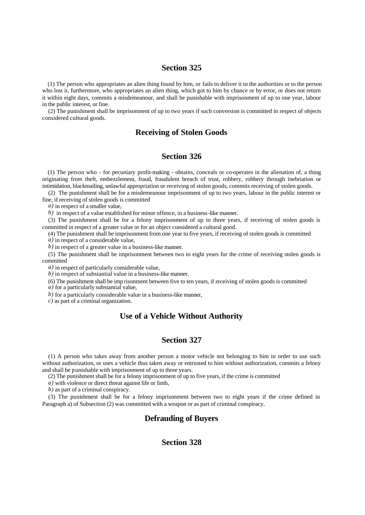(1) The person who appropriates an alien thing found by him, or fails to deliver it to the authorities or to the person who lost it, furthermore, who appropriates an alien thing, which got to him by chance or by error, or does not return it within eight days, commits a misdemeanour, and shall be punishable with imprisonment of up to one year, labour in the public interest, or fine.

(2) The punishment shall be imprisonment of up to two years if such conversion is committed in respect of objects considered cultural goods.

# **Receiving of Stolen Goods**

### **Section 326**

(1) The person who - for pecuniary profit-making - obtains, conceals or co-operates in the alienation of, a thing originating from theft, embezzlement, fraud, fraudulent breach of trust, robbery, robbery through inebriation or intimidation, blackmailing, unlawful appropriation or receiving of stolen goods, commits receiving of stolen goods.

(2) The punishment shall be for a misdemeanour imprisonment of up to two years, labour in the public interest or fine, if receiving of stolen goods is committed

*a)* in respect of a smaller value,

*b)* in respect of a value established for minor offence, in a business-like manner.

(3) The punishment shall be for a felony imprisonment of up to three years, if receiving of stolen goods is committed in respect of a greater value or for an object considered a cultural good.

(4) The punishment shall be imprisonment from one year to five years, if receiving of stolen goods is committed *a)* in respect of a considerable value,

*b)* in respect of a greater value in a business-like manner.

(5) The punishment shall be imprisonment between two to eight years for the crime of receiving stolen goods is committed

*a)* in respect of particularly considerable value,

*b)* in respect of substantial value in a business-like manner.

(6) The punishment shall be imp risonment between five to ten years, if receiving of stolen goods is committed

*a)* for a particularly substantial value,

*b)* for a particularly considerable value in a business-like manner,

*c)* as part of a criminal organization.

# **Use of a Vehicle Without Authority**

#### **Section 327**

(1) A person who takes away from another person a motor vehicle not belonging to him in order to use such without authorization, or uses a vehicle thus taken away or entrusted to him without authorization, commits a felony and shall be punishable with imprisonment of up to three years.

(2) The punishment shall be for a felony imprisonment of up to five years, if the crime is committed

*a)* with violence or direct threat against life or limb,

*b)* as part of a criminal conspiracy.

(3) The punishment shall be for a felony imprisonment between two to eight years if the crime defined in Paragraph a) of Subsection (2) was committed with a weapon or as part of criminal conspiracy.

# **Defrauding of Buyers**

### **Section 328**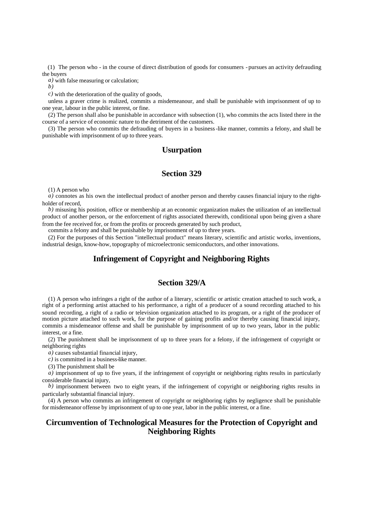(1) The person who - in the course of direct distribution of goods for consumers - pursues an activity defrauding the buyers

*a)* with false measuring or calculation;

*b)*

*c)* with the deterioration of the quality of goods,

unless a graver crime is realized, commits a misdemeanour, and shall be punishable with imprisonment of up to one year, labour in the public interest, or fine.

(2) The person shall also be punishable in accordance with subsection (1), who commits the acts listed there in the course of a service of economic nature to the detriment of the customers.

(3) The person who commits the defrauding of buyers in a business-like manner, commits a felony, and shall be punishable with imprisonment of up to three years.

# **Usurpation**

#### **Section 329**

(1) A person who

*a*) connotes as his own the intellectual product of another person and thereby causes financial injury to the rightholder of record,

*b)* misusing his position, office or membership at an economic organization makes the utilization of an intellectual product of another person, or the enforcement of rights associated therewith, conditional upon being given a share from the fee received for, or from the profits or proceeds generated by such product,

commits a felony and shall be punishable by imprisonment of up to three years.

(2) For the purposes of this Section "intellectual product" means literary, scientific and artistic works, inventions, industrial design, know-how, topography of microelectronic semiconductors, and other innovations.

# **Infringement of Copyright and Neighboring Rights**

# **Section 329/A**

(1) A person who infringes a right of the author of a literary, scientific or artistic creation attached to such work, a right of a performing artist attached to his performance, a right of a producer of a sound recording attached to his sound recording, a right of a radio or television organization attached to its program, or a right of the producer of motion picture attached to such work, for the purpose of gaining profits and/or thereby causing financial injury, commits a misdemeanor offense and shall be punishable by imprisonment of up to two years, labor in the public interest, or a fine.

(2) The punishment shall be imprisonment of up to three years for a felony, if the infringement of copyright or neighboring rights

*a)* causes substantial financial injury,

*c)* is committed in a business-like manner.

(3) The punishment shall be

*a)* imprisonment of up to five years, if the infringement of copyright or neighboring rights results in particularly considerable financial injury,

*b)* imprisonment between two to eight years, if the infringement of copyright or neighboring rights results in particularly substantial financial injury.

(4) A person who commits an infringement of copyright or neighboring rights by negligence shall be punishable for misdemeanor offense by imprisonment of up to one year, labor in the public interest, or a fine.

# **Circumvention of Technological Measures for the Protection of Copyright and Neighboring Rights**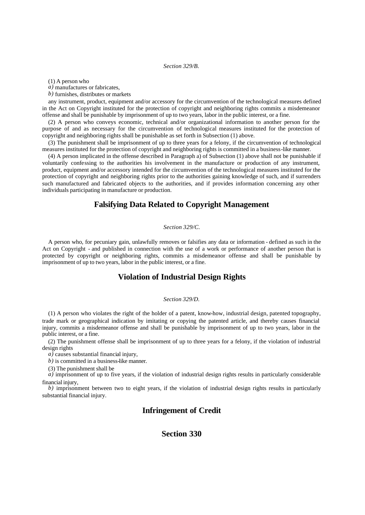#### *Section 329/B.*

(1) A person who

*a)* manufactures or fabricates,

*b)* furnishes, distributes or markets

any instrument, product, equipment and/or accessory for the circumvention of the technological measures defined in the Act on Copyright instituted for the protection of copyright and neighboring rights commits a misdemeanor offense and shall be punishable by imprisonment of up to two years, labor in the public interest, or a fine.

(2) A person who conveys economic, technical and/or organizational information to another person for the purpose of and as necessary for the circumvention of technological measures instituted for the protection of copyright and neighboring rights shall be punishable as set forth in Subsection (1) above.

(3) The punishment shall be imprisonment of up to three years for a felony, if the circumvention of technological measures instituted for the protection of copyright and neighboring rights is committed in a business-like manner.

(4) A person implicated in the offense described in Paragraph a) of Subsection (1) above shall not be punishable if voluntarily confessing to the authorities his involvement in the manufacture or production of any instrument, product, equipment and/or accessory intended for the circumvention of the technological measures instituted for the protection of copyright and neighboring rights prior to the authorities gaining knowledge of such, and if surrenders such manufactured and fabricated objects to the authorities, and if provides information concerning any other individuals participating in manufacture or production.

# **Falsifying Data Related to Copyright Management**

#### *Section 329/C.*

A person who, for pecuniary gain, unlawfully removes or falsifies any data or information - defined as such in the Act on Copyright - and published in connection with the use of a work or performance of another person that is protected by copyright or neighboring rights, commits a misdemeanor offense and shall be punishable by imprisonment of up to two years, labor in the public interest, or a fine.

#### **Violation of Industrial Design Rights**

#### *Section 329/D.*

(1) A person who violates the right of the holder of a patent, know-how, industrial design, patented topography, trade mark or geographical indication by imitating or copying the patented article, and thereby causes financial injury, commits a misdemeanor offense and shall be punishable by imprisonment of up to two years, labor in the public interest, or a fine.

(2) The punishment offense shall be imprisonment of up to three years for a felony, if the violation of industrial design rights

*a)* causes substantial financial injury,

*b)* is committed in a business-like manner.

(3) The punishment shall be

*a)* imprisonment of up to five years, if the violation of industrial design rights results in particularly considerable financial injury,

*b)* imprisonment between two to eight years, if the violation of industrial design rights results in particularly substantial financial injury.

#### **Infringement of Credit**

### **Section 330**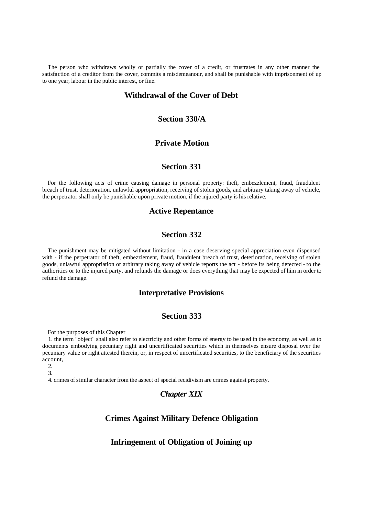The person who withdraws wholly or partially the cover of a credit, or frustrates in any other manner the satisfaction of a creditor from the cover, commits a misdemeanour, and shall be punishable with imprisonment of up to one year, labour in the public interest, or fine.

# **Withdrawal of the Cover of Debt**

### **Section 330/A**

#### **Private Motion**

### **Section 331**

For the following acts of crime causing damage in personal property: theft, embezzlement, fraud, fraudulent breach of trust, deterioration, unlawful appropriation, receiving of stolen goods, and arbitrary taking away of vehicle, the perpetrator shall only be punishable upon private motion, if the injured party is his relative.

#### **Active Repentance**

### **Section 332**

The punishment may be mitigated without limitation - in a case deserving special appreciation even dispensed with - if the perpetrator of theft, embezzlement, fraud, fraudulent breach of trust, deterioration, receiving of stolen goods, unlawful appropriation or arbitrary taking away of vehicle reports the act - before its being detected - to the authorities or to the injured party, and refunds the damage or does everything that may be expected of him in order to refund the damage.

### **Interpretative Provisions**

# **Section 333**

For the purposes of this Chapter

1. the term "object" shall also refer to electricity and other forms of energy to be used in the economy, as well as to documents embodying pecuniary right and uncertificated securities which in themselves ensure disposal over the pecuniary value or right attested therein, or, in respect of uncertificated securities, to the beneficiary of the securities account,

 $\mathcal{L}$ 3.

4. crimes of similar character from the aspect of special recidivism are crimes against property.

# *Chapter XIX*

# **Crimes Against Military Defence Obligation**

#### **Infringement of Obligation of Joining up**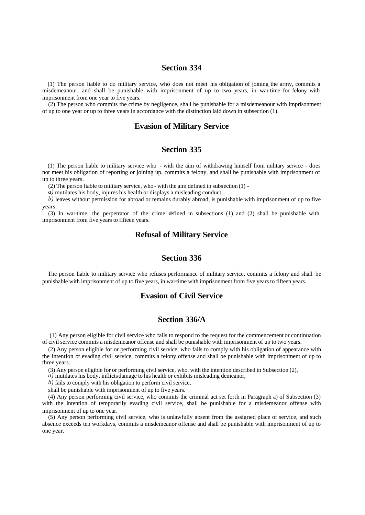(1) The person liable to do military service, who does not meet his obligation of joining the army, commits a misdemeanour, and shall be punishable with imprisonment of up to two years, in war-time for felony with imprisonment from one year to five years.

(2) The person who commits the crime by negligence, shall be punishable for a misdemeanour with imprisonment of up to one year or up to three years in accordance with the distinction laid down in subsection (1).

#### **Evasion of Military Service**

#### **Section 335**

(1) The person liable to military service who - with the aim of withdrawing himself from military service - does not meet his obligation of reporting or joining up, commits a felony, and shall be punishable with imprisonment of up to three years.

(2) The person liable to military service, who - with the aim defined in subsection (1) -

*a)* mutilates his body, injures his health or displays a misleading conduct,

*b)* leaves without permission for abroad or remains durably abroad, is punishable with imprisonment of up to five years.

(3) In war-time, the perpetrator of the crime defined in subsections (1) and (2) shall be punishable with imprisonment from five years to fifteen years.

#### **Refusal of Military Service**

#### **Section 336**

The person liable to military service who refuses performance of military service, commits a felony and shall be punishable with imprisonment of up to five years, in war-time with imprisonment from five years to fifteen years.

### **Evasion of Civil Service**

# **Section 336/A**

 (1) Any person eligible for civil service who fails to respond to the request for the commencement or continuation of civil service commits a misdemeanor offense and shall be punishable with imprisonment of up to two years.

(2) Any person eligible for or performing civil service, who fails to comply with his obligation of appearance with the intention of evading civil service, commits a felony offense and shall be punishable with imprisonment of up to three years.

(3) Any person eligible for or performing civil service, who, with the intention described in Subsection (2),

*a)* mutilates his body, inflicts damage to his health or exhibits misleading demeanor,

*b)* fails to comply with his obligation to perform civil service,

shall be punishable with imprisonment of up to five years.

(4) Any person performing civil service, who commits the criminal act set forth in Paragraph a) of Subsection (3) with the intention of temporarily evading civil service, shall be punishable for a misdemeanor offense with imprisonment of up to one year.

(5) Any person performing civil service, who is unlawfully absent from the assigned place of service, and such absence exceeds ten workdays, commits a misdemeanor offense and shall be punishable with imprisonment of up to one year.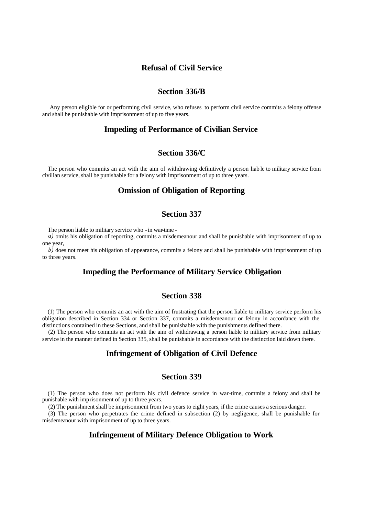### **Refusal of Civil Service**

#### **Section 336/B**

 Any person eligible for or performing civil service, who refuses to perform civil service commits a felony offense and shall be punishable with imprisonment of up to five years.

# **Impeding of Performance of Civilian Service**

# **Section 336/C**

The person who commits an act with the aim of withdrawing definitively a person liab le to military service from civilian service, shall be punishable for a felony with imprisonment of up to three years.

# **Omission of Obligation of Reporting**

# **Section 337**

The person liable to military service who - in war-time -

*a)* omits his obligation of reporting, commits a misdemeanour and shall be punishable with imprisonment of up to one year,

*b*) does not meet his obligation of appearance, commits a felony and shall be punishable with imprisonment of up to three years.

# **Impeding the Performance of Military Service Obligation**

### **Section 338**

(1) The person who commits an act with the aim of frustrating that the person liable to military service perform his obligation described in Section 334 or Section 337, commits a misdemeanour or felony in accordance with the distinctions contained in these Sections, and shall be punishable with the punishments defined there.

(2) The person who commits an act with the aim of withdrawing a person liable to military service from military service in the manner defined in Section 335, shall be punishable in accordance with the distinction laid down there.

#### **Infringement of Obligation of Civil Defence**

### **Section 339**

(1) The person who does not perform his civil defence service in war-time, commits a felony and shall be punishable with imprisonment of up to three years.

(2) The punishment shall be imprisonment from two years to eight years, if the crime causes a serious danger.

(3) The person who perpetrates the crime defined in subsection (2) by negligence, shall be punishable for misdemeanour with imprisonment of up to three years.

# **Infringement of Military Defence Obligation to Work**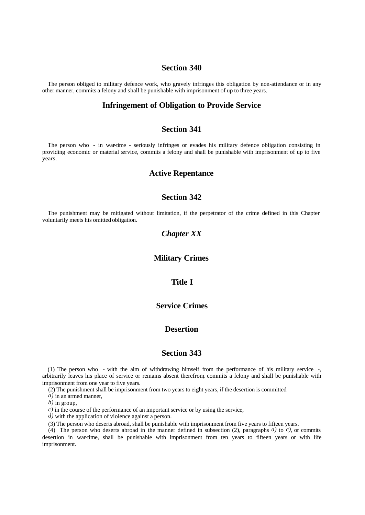The person obliged to military defence work, who gravely infringes this obligation by non-attendance or in any other manner, commits a felony and shall be punishable with imprisonment of up to three years.

# **Infringement of Obligation to Provide Service**

## **Section 341**

The person who - in war-time - seriously infringes or evades his military defence obligation consisting in providing economic or material service, commits a felony and shall be punishable with imprisonment of up to five years.

#### **Active Repentance**

# **Section 342**

The punishment may be mitigated without limitation, if the perpetrator of the crime defined in this Chapter voluntarily meets his omitted obligation.

# *Chapter XX*

#### **Military Crimes**

#### **Title I**

# **Service Crimes**

### **Desertion**

### **Section 343**

(1) The person who - with the aim of withdrawing himself from the performance of his military service -, arbitrarily leaves his place of service or remains absent therefrom, commits a felony and shall be punishable with imprisonment from one year to five years.

(2) The punishment shall be imprisonment from two years to eight years, if the desertion is committed

*a)* in an armed manner,

*b)* in group,

*c*) in the course of the performance of an important service or by using the service,

*d)* with the application of violence against a person.

(3) The person who deserts abroad, shall be punishable with imprisonment from five years to fifteen years.

(4) The person who deserts abroad in the manner defined in subsection (2), paragraphs *a)* to *c)*, or commits desertion in war-time, shall be punishable with imprisonment from ten years to fifteen years or with life imprisonment.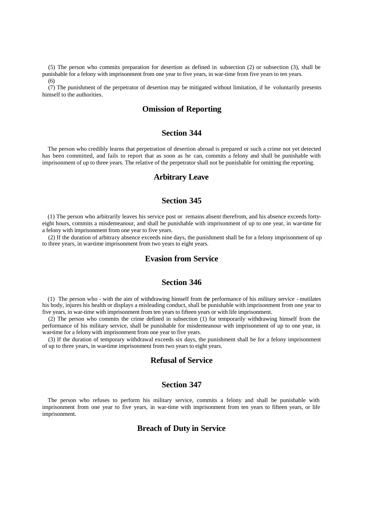(5) The person who commits preparation for desertion as defined in subsection (2) or subsection (3), shall be punishable for a felony with imprisonment from one year to five years, in war-time from five years to ten years.

(6)

(7) The punishment of the perpetrator of desertion may be mitigated without limitation, if he voluntarily presents himself to the authorities.

# **Omission of Reporting**

# **Section 344**

The person who credibly learns that perpetration of desertion abroad is prepared or such a crime not yet detected has been committed, and fails to report that as soon as he can, commits a felony and shall be punishable with imprisonment of up to three years. The relative of the perpetrator shall not be punishable for omitting the reporting.

### **Arbitrary Leave**

# **Section 345**

(1) The person who arbitrarily leaves his service post or remains absent therefrom, and his absence exceeds fortyeight hours, commits a misdemeanour, and shall be punishable with imprisonment of up to one year, in war-time for a felony with imprisonment from one year to five years.

(2) If the duration of arbitrary absence exceeds nine days, the punishment shall be for a felony imprisonment of up to three years, in war-time imprisonment from two years to eight years.

# **Evasion from Service**

#### **Section 346**

(1) The person who - with the aim of withdrawing himself from the performance of his military service - mutilates his body, injures his health or displays a misleading conduct, shall be punishable with imprisonment from one year to five years, in war-time with imprisonment from ten years to fifteen years or with life imprisonment.

(2) The person who commits the crime defined in subsection (1) for temporarily withdrawing himself from the performance of his military service, shall be punishable for misdemeanour with imprisonment of up to one year, in war-time for a felony with imprisonment from one year to five years.

(3) If the duration of temporary withdrawal exceeds six days, the punishment shall be for a felony imprisonment of up to three years, in war-time imprisonment from two years to eight years.

# **Refusal of Service**

### **Section 347**

The person who refuses to perform his military service, commits a felony and shall be punishable with imprisonment from one year to five years, in war-time with imprisonment from ten years to fifteen years, or life imprisonment.

# **Breach of Duty in Service**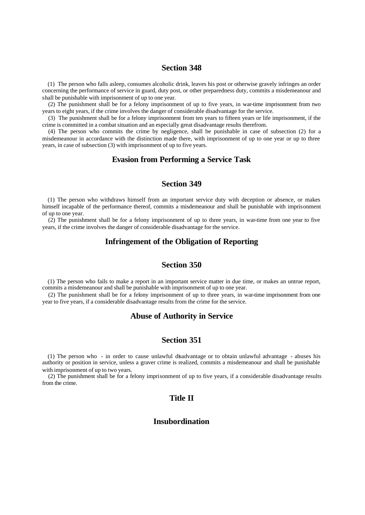(1) The person who falls asleep, consumes alcoholic drink, leaves his post or otherwise gravely infringes an order concerning the performance of service in guard, duty post, or other preparedness duty, commits a misdemeanour and shall be punishable with imprisonment of up to one year.

(2) The punishment shall be for a felony imprisonment of up to five years, in war-time imprisonment from two years to eight years, if the crime involves the danger of considerable disadvantage for the service.

(3) The punishment shall be for a felony imprisonment from ten years to fifteen years or life imprisonment, if the crime is committed in a combat situation and an especially great disadvantage results therefrom.

(4) The person who commits the crime by negligence, shall be punishable in case of subsection (2) for a misdemeanour in accordance with the distinction made there, with imprisonment of up to one year or up to three years, in case of subsection (3) with imprisonment of up to five years.

#### **Evasion from Performing a Service Task**

## **Section 349**

(1) The person who withdraws himself from an important service duty with deception or absence, or makes himself incapable of the performance thereof, commits a misdemeanour and shall be punishable with imprisonment of up to one year.

(2) The punishment shall be for a felony imprisonment of up to three years, in war-time from one year to five years, if the crime involves the danger of considerable disadvantage for the service.

### **Infringement of the Obligation of Reporting**

# **Section 350**

(1) The person who fails to make a report in an important service matter in due time, or makes an untrue report, commits a misdemeanour and shall be punishable with imprisonment of up to one year.

(2) The punishment shall be for a felony imprisonment of up to three years, in war-time imprisonment from one year to five years, if a considerable disadvantage results from the crime for the service.

### **Abuse of Authority in Service**

#### **Section 351**

(1) The person who - in order to cause unlawful disadvantage or to obtain unlawful advantage - abuses his authority or position in service, unless a graver crime is realized, commits a misdemeanour and shall be punishable with imprisonment of up to two years.

(2) The punishment shall be for a felony imprisonment of up to five years, if a considerable disadvantage results from the crime.

## **Title II**

# **Insubordination**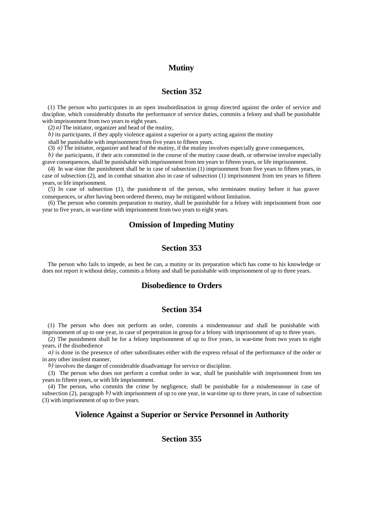### **Mutiny**

# **Section 352**

(1) The person who participates in an open insubordination in group directed against the order of service and discipline, which considerably disturbs the performance of service duties, commits a felony and shall be punishable with imprisonment from two years to eight years.

(2)  $\alpha$ ) The initiator, organizer and head of the mutiny,

*b)* its participants, if they apply violence against a superior or a party acting against the mutiny

shall be punishable with imprisonment from five years to fifteen years.

(3) *a)* The initiator, organizer and head of the mutiny, if the mutiny involves especially grave consequences,

*b)* the participants, if their acts committed in the course of the mutiny cause death, or otherwise involve especially grave consequences, shall be punishable with imprisonment from ten years to fifteen years, or life imprisonment.

(4) In war-time the punishment shall be in case of subsection (1) imprisonment from five years to fifteen years, in case of subsection (2), and in combat situation also in case of subsection (1) imprisonment from ten years to fifteen years, or life imprisonment.

(5) In case of subsection (1), the punishme nt of the person, who terminates mutiny before it has graver consequences, or after having been ordered thereto, may be mitigated without limitation.

(6) The person who commits preparation to mutiny, shall be punishable for a felony with imprisonment from one year to five years, in war-time with imprisonment from two years to eight years.

#### **Omission of Impeding Mutiny**

# **Section 353**

The person who fails to impede, as best he can, a mutiny or its preparation which has come to his knowledge or does not report it without delay, commits a felony and shall be punishable with imprisonment of up to three years.

#### **Disobedience to Orders**

#### **Section 354**

(1) The person who does not perform an order, commits a misdemeanour and shall be punishable with imprisonment of up to one year, in case of perpetration in group for a felony with imprisonment of up to three years.

(2) The punishment shall be for a felony imprisonment of up to five years, in war-time from two years to eight years, if the disobedience

*a*) is done in the presence of other subordinates either with the express refusal of the performance of the order or in any other insolent manner,

*b)* involves the danger of considerable disadvantage for service or discipline.

(3) The person who does not perform a combat order in war, shall be punishable with imprisonment from ten years to fifteen years, or with life imprisonment.

(4) The person, who commits the crime by negligence, shall be punishable for a misdemeanour in case of subsection (2), paragraph b) with imprisonment of up to one year, in war-time up to three years, in case of subsection (3) with imprisonment of up to five years.

#### **Violence Against a Superior or Service Personnel in Authority**

# **Section 355**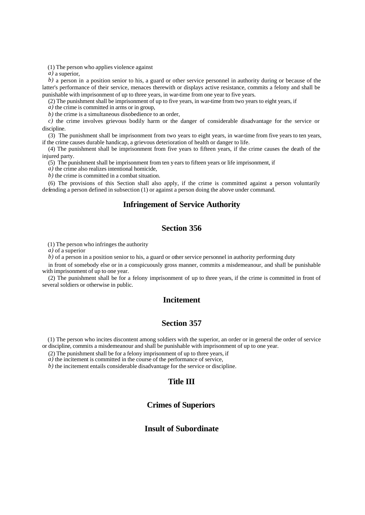(1) The person who applies violence against

*a)* a superior,

*b)* a person in a position senior to his, a guard or other service personnel in authority during or because of the latter's performance of their service, menaces therewith or displays active resistance, commits a felony and shall be punishable with imprisonment of up to three years, in war-time from one year to five years.

(2) The punishment shall be imprisonment of up to five years, in war-time from two years to eight years, if

*a)* the crime is committed in arms or in group,

*b)* the crime is a simultaneous disobedience to an order,

*c)* the crime involves grievous bodily harm or the danger of considerable disadvantage for the service or discipline.

(3) The punishment shall be imprisonment from two years to eight years, in war-time from five years to ten years, if the crime causes durable handicap, a grievous deterioration of health or danger to life.

(4) The punishment shall be imprisonment from five years to fifteen years, if the crime causes the death of the injured party.

(5) The punishment shall be imprisonment from ten y ears to fifteen years or life imprisonment, if

*a)* the crime also realizes intentional homicide,

*b)* the crime is committed in a combat situation.

(6) The provisions of this Section shall also apply, if the crime is committed against a person voluntarily defending a person defined in subsection (1) or against a person doing the above under command.

# **Infringement of Service Authority**

# **Section 356**

(1) The person who infringes the authority

*a)* of a superior

*b)* of a person in a position senior to his, a guard or other service personnel in authority performing duty

in front of somebody else or in a conspicuously gross manner, commits a misdemeanour, and shall be punishable with imprisonment of up to one year.

(2) The punishment shall be for a felony imprisonment of up to three years, if the crime is committed in front of several soldiers or otherwise in public.

# **Incitement**

#### **Section 357**

(1) The person who incites discontent among soldiers with the superior, an order or in general the order of service or discipline, commits a misdemeanour and shall be punishable with imprisonment of up to one year.

(2) The punishment shall be for a felony imprisonment of up to three years, if

*a)* the incitement is committed in the course of the performance of service,

*b)* the incitement entails considerable disadvantage for the service or discipline.

### **Title III**

### **Crimes of Superiors**

# **Insult of Subordinate**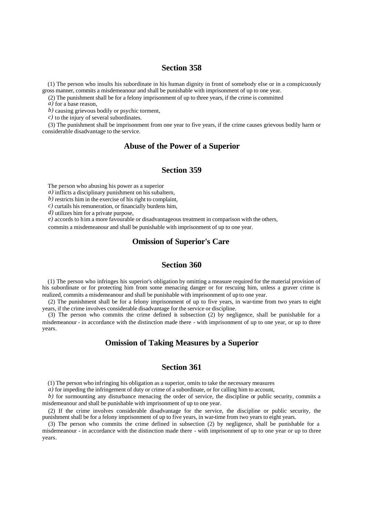(1) The person who insults his subordinate in his human dignity in front of somebody else or in a conspicuously gross manner, commits a misdemeanour and shall be punishable with imprisonment of up to one year.

(2) The punishment shall be for a felony imprisonment of up to three years, if the crime is committed

*a)* for a base reason,

*b)* causing grievous bodily or psychic torment,

*c)* to the injury of several subordinates.

(3) The punishment shall be imprisonment from one year to five years, if the crime causes grievous bodily harm or considerable disadvantage to the service.

# **Abuse of the Power of a Superior**

### **Section 359**

The person who abusing his power as a superior

*a)* inflicts a disciplinary punishment on his subaltern,

*b)* restricts him in the exercise of his right to complaint,

*c)* curtails his remuneration, or financially burdens him,

*d)* utilizes him for a private purpose,

*e)* accords to him a more favourable or disadvantageous treatment in comparison with the others,

commits a misdemeanour and shall be punishable with imprisonment of up to one year.

# **Omission of Superior's Care**

### **Section 360**

(1) The person who infringes his superior's obligation by omitting a measure required for the material provision of his subordinate or for protecting him from some menacing danger or for rescuing him, unless a graver crime is realized, commits a misdemeanour and shall be punishable with imprisonment of up to one year.

(2) The punishment shall be for a felony imprisonment of up to five years, in war-time from two years to eight years, if the crime involves considerable disadvantage for the service or discipline.

(3) The person who commits the crime defined in subsection (2) by negligence, shall be punishable for a misdemeanour - in accordance with the distinction made there - with imprisonment of up to one year, or up to three years.

# **Omission of Taking Measures by a Superior**

# **Section 361**

(1) The person who infringing his obligation as a superior, omits to take the necessary measures

*a*) for impeding the infringement of duty or crime of a subordinate, or for calling him to account,

*b)* for surmounting any disturbance menacing the order of service, the discipline or public security, commits a misdemeanour and shall be punishable with imprisonment of up to one year.

(2) If the crime involves considerable disadvantage for the service, the discipline or public security, the punishment shall be for a felony imprisonment of up to five years, in war-time from two years to eight years.

(3) The person who commits the crime defined in subsection (2) by negligence, shall be punishable for a misdemeanour - in accordance with the distinction made there - with imprisonment of up to one year or up to three years.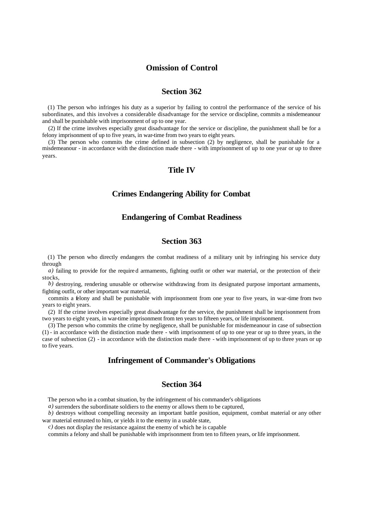# **Omission of Control**

# **Section 362**

(1) The person who infringes his duty as a superior by failing to control the performance of the service of his subordinates, and this involves a considerable disadvantage for the service or discipline, commits a misdemeanour and shall be punishable with imprisonment of up to one year.

(2) If the crime involves especially great disadvantage for the service or discipline, the punishment shall be for a felony imprisonment of up to five years, in war-time from two years to eight years.

(3) The person who commits the crime defined in subsection (2) by negligence, shall be punishable for a misdemeanour - in accordance with the distinction made there - with imprisonment of up to one year or up to three years.

#### **Title IV**

#### **Crimes Endangering Ability for Combat**

### **Endangering of Combat Readiness**

# **Section 363**

(1) The person who directly endangers the combat readiness of a military unit by infringing his service duty through

*a)* failing to provide for the required armaments, fighting outfit or other war material, or the protection of their stocks,

*b)* destroying, rendering unusable or otherwise withdrawing from its designated purpose important armaments, fighting outfit, or other important war material,

commits a felony and shall be punishable with imprisonment from one year to five years, in war-time from two years to eight years.

(2) If the crime involves especially great disadvantage for the service, the punishment shall be imprisonment from two years to eight years, in war-time imprisonment from ten years to fifteen years, or life imprisonment.

(3) The person who commits the crime by negligence, shall be punishable for misdemeanour in case of subsection (1) - in accordance with the distinction made there - with imprisonment of up to one year or up to three years, in the case of subsection (2) - in accordance with the distinction made there - with imprisonment of up to three years or up to five years.

# **Infringement of Commander's Obligations**

### **Section 364**

The person who in a combat situation, by the infringement of his commander's obligations

*a)* surrenders the subordinate soldiers to the enemy or allows them to be captured,

*b*) destroys without compelling necessity an important battle position, equipment, combat material or any other war material entrusted to him, or yields it to the enemy in a usable state,

*c)* does not display the resistance against the enemy of which he is capable

commits a felony and shall be punishable with imprisonment from ten to fifteen years, or life imprisonment.